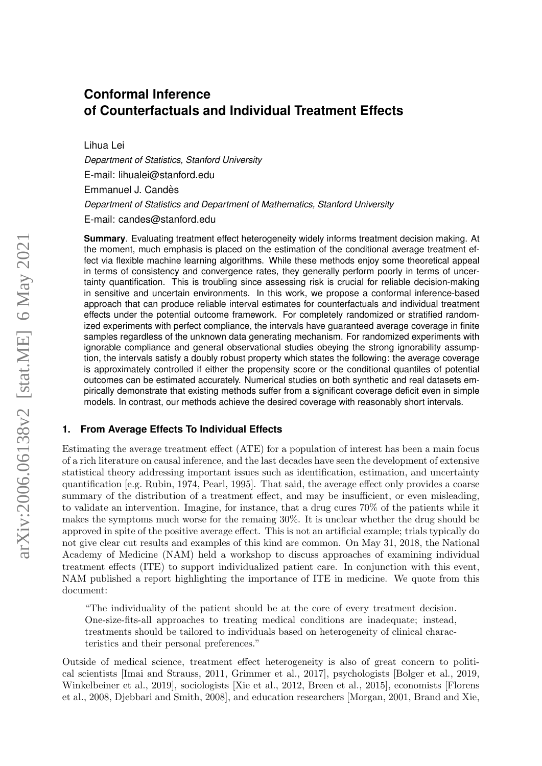# **Conformal Inference of Counterfactuals and Individual Treatment Effects**

Lihua Lei

*Department of Statistics, Stanford University* E-mail: lihualei@stanford.edu Emmanuel J. Candès *Department of Statistics and Department of Mathematics, Stanford University* E-mail: candes@stanford.edu

**Summary**. Evaluating treatment effect heterogeneity widely informs treatment decision making. At the moment, much emphasis is placed on the estimation of the conditional average treatment effect via flexible machine learning algorithms. While these methods enjoy some theoretical appeal in terms of consistency and convergence rates, they generally perform poorly in terms of uncertainty quantification. This is troubling since assessing risk is crucial for reliable decision-making in sensitive and uncertain environments. In this work, we propose a conformal inference-based approach that can produce reliable interval estimates for counterfactuals and individual treatment effects under the potential outcome framework. For completely randomized or stratified randomized experiments with perfect compliance, the intervals have guaranteed average coverage in finite samples regardless of the unknown data generating mechanism. For randomized experiments with ignorable compliance and general observational studies obeying the strong ignorability assumption, the intervals satisfy a doubly robust property which states the following: the average coverage is approximately controlled if either the propensity score or the conditional quantiles of potential outcomes can be estimated accurately. Numerical studies on both synthetic and real datasets empirically demonstrate that existing methods suffer from a significant coverage deficit even in simple models. In contrast, our methods achieve the desired coverage with reasonably short intervals.

# **1. From Average Effects To Individual Effects**

Estimating the average treatment effect (ATE) for a population of interest has been a main focus of a rich literature on causal inference, and the last decades have seen the development of extensive statistical theory addressing important issues such as identification, estimation, and uncertainty quantification [e.g. [Rubin, 1974,](#page-22-0) [Pearl, 1995\]](#page-22-1). That said, the average effect only provides a coarse summary of the distribution of a treatment effect, and may be insufficient, or even misleading, to validate an intervention. Imagine, for instance, that a drug cures 70% of the patients while it makes the symptoms much worse for the remaing 30%. It is unclear whether the drug should be approved in spite of the positive average effect. This is not an artificial example; trials typically do not give clear cut results and examples of this kind are common. On May 31, 2018, the National Academy of Medicine (NAM) held a workshop to discuss approaches of examining individual treatment effects (ITE) to support individualized patient care. In conjunction with this event, NAM published a report highlighting the importance of ITE in medicine. We quote from this document:

"The individuality of the patient should be at the core of every treatment decision. One-size-fits-all approaches to treating medical conditions are inadequate; instead, treatments should be tailored to individuals based on heterogeneity of clinical characteristics and their personal preferences."

Outside of medical science, treatment effect heterogeneity is also of great concern to political scientists [\[Imai and Strauss, 2011,](#page-21-0) [Grimmer et al., 2017\]](#page-20-0), psychologists [\[Bolger et al., 2019,](#page-19-0) [Winkelbeiner et al., 2019\]](#page-24-0), sociologists [\[Xie et al., 2012,](#page-24-1) [Breen et al., 2015\]](#page-20-1), economists [\[Florens](#page-20-2) [et al., 2008,](#page-20-2) [Djebbari and Smith, 2008\]](#page-20-3), and education researchers [\[Morgan, 2001,](#page-22-2) [Brand and Xie,](#page-19-1)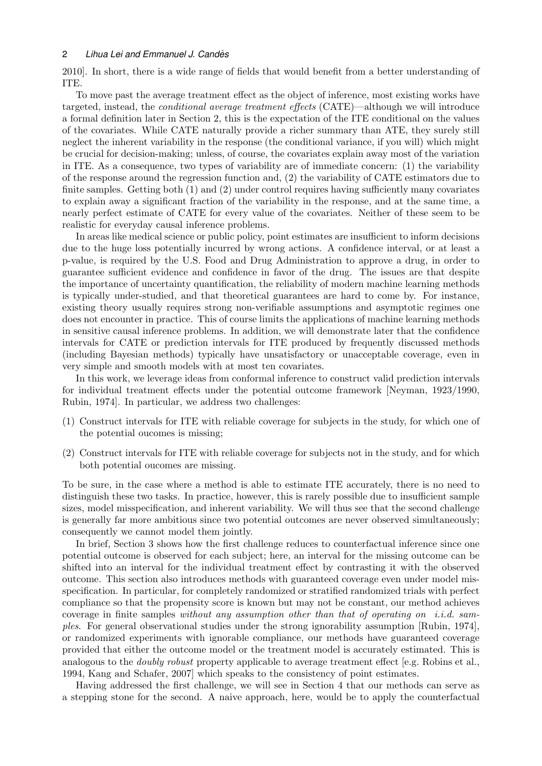[2010\]](#page-19-1). In short, there is a wide range of fields that would benefit from a better understanding of ITE.

To move past the average treatment effect as the object of inference, most existing works have targeted, instead, the conditional average treatment effects (CATE)—although we will introduce a formal definition later in Section [2,](#page-2-0) this is the expectation of the ITE conditional on the values of the covariates. While CATE naturally provide a richer summary than ATE, they surely still neglect the inherent variability in the response (the conditional variance, if you will) which might be crucial for decision-making; unless, of course, the covariates explain away most of the variation in ITE. As a consequence, two types of variability are of immediate concern: (1) the variability of the response around the regression function and, (2) the variability of CATE estimators due to finite samples. Getting both (1) and (2) under control requires having sufficiently many covariates to explain away a significant fraction of the variability in the response, and at the same time, a nearly perfect estimate of CATE for every value of the covariates. Neither of these seem to be realistic for everyday causal inference problems.

In areas like medical science or public policy, point estimates are insufficient to inform decisions due to the huge loss potentially incurred by wrong actions. A confidence interval, or at least a p-value, is required by the U.S. Food and Drug Administration to approve a drug, in order to guarantee sufficient evidence and confidence in favor of the drug. The issues are that despite the importance of uncertainty quantification, the reliability of modern machine learning methods is typically under-studied, and that theoretical guarantees are hard to come by. For instance, existing theory usually requires strong non-verifiable assumptions and asymptotic regimes one does not encounter in practice. This of course limits the applications of machine learning methods in sensitive causal inference problems. In addition, we will demonstrate later that the confidence intervals for CATE or prediction intervals for ITE produced by frequently discussed methods (including Bayesian methods) typically have unsatisfactory or unacceptable coverage, even in very simple and smooth models with at most ten covariates.

In this work, we leverage ideas from conformal inference to construct valid prediction intervals for individual treatment effects under the potential outcome framework [\[Neyman, 1923/1990,](#page-22-3) [Rubin, 1974\]](#page-22-0). In particular, we address two challenges:

- (1) Construct intervals for ITE with reliable coverage for subjects in the study, for which one of the potential oucomes is missing;
- (2) Construct intervals for ITE with reliable coverage for subjects not in the study, and for which both potential oucomes are missing.

To be sure, in the case where a method is able to estimate ITE accurately, there is no need to distinguish these two tasks. In practice, however, this is rarely possible due to insufficient sample sizes, model misspecification, and inherent variability. We will thus see that the second challenge is generally far more ambitious since two potential outcomes are never observed simultaneously; consequently we cannot model them jointly.

In brief, Section [3](#page-4-0) shows how the first challenge reduces to counterfactual inference since one potential outcome is observed for each subject; here, an interval for the missing outcome can be shifted into an interval for the individual treatment effect by contrasting it with the observed outcome. This section also introduces methods with guaranteed coverage even under model misspecification. In particular, for completely randomized or stratified randomized trials with perfect compliance so that the propensity score is known but may not be constant, our method achieves coverage in finite samples without any assumption other than that of operating on i.i.d. samples. For general observational studies under the strong ignorability assumption [\[Rubin, 1974\]](#page-22-0), or randomized experiments with ignorable compliance, our methods have guaranteed coverage provided that either the outcome model or the treatment model is accurately estimated. This is analogous to the *doubly robust* property applicable to average treatment effect [e.g. [Robins et al.,](#page-22-4) [1994,](#page-22-4) [Kang and Schafer, 2007\]](#page-21-1) which speaks to the consistency of point estimates.

Having addressed the first challenge, we will see in Section [4](#page-13-0) that our methods can serve as a stepping stone for the second. A naive approach, here, would be to apply the counterfactual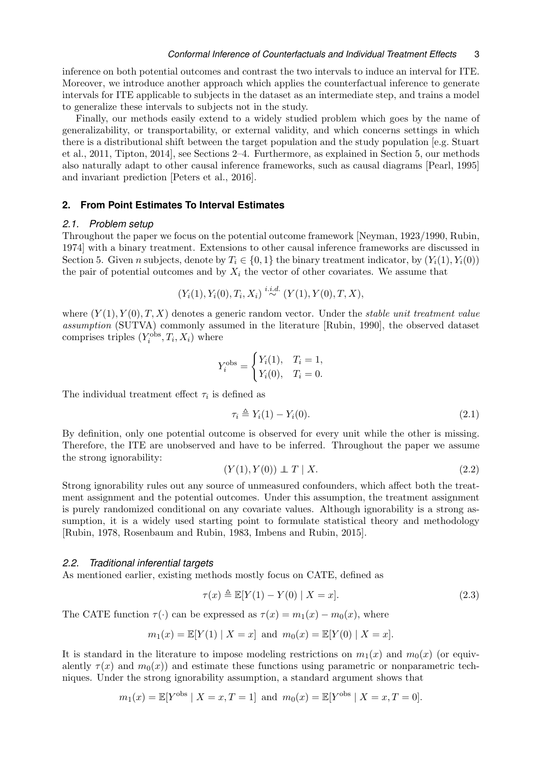inference on both potential outcomes and contrast the two intervals to induce an interval for ITE. Moreover, we introduce another approach which applies the counterfactual inference to generate intervals for ITE applicable to subjects in the dataset as an intermediate step, and trains a model to generalize these intervals to subjects not in the study.

Finally, our methods easily extend to a widely studied problem which goes by the name of generalizability, or transportability, or external validity, and which concerns settings in which there is a distributional shift between the target population and the study population [e.g. [Stuart](#page-23-0) [et al., 2011,](#page-23-0) [Tipton, 2014\]](#page-23-1), see Sections [2–](#page-2-0)[4.](#page-13-0) Furthermore, as explained in Section [5,](#page-18-0) our methods also naturally adapt to other causal inference frameworks, such as causal diagrams [\[Pearl, 1995\]](#page-22-1) and invariant prediction [\[Peters et al., 2016\]](#page-22-5).

# <span id="page-2-0"></span>**2. From Point Estimates To Interval Estimates**

#### *2.1. Problem setup*

Throughout the paper we focus on the potential outcome framework [\[Neyman, 1923/1990,](#page-22-3) [Rubin,](#page-22-0) [1974\]](#page-22-0) with a binary treatment. Extensions to other causal inference frameworks are discussed in Section [5.](#page-18-0) Given n subjects, denote by  $T_i \in \{0,1\}$  the binary treatment indicator, by  $(Y_i(1), Y_i(0))$ the pair of potential outcomes and by  $X_i$  the vector of other covariates. We assume that

$$
(Y_i(1), Y_i(0), T_i, X_i) \stackrel{i.i.d.}{\sim} (Y(1), Y(0), T, X),
$$

where  $(Y(1), Y(0), T, X)$  denotes a generic random vector. Under the *stable unit treatment value* assumption (SUTVA) commonly assumed in the literature [\[Rubin, 1990\]](#page-22-6), the observed dataset comprises triples  $(Y_i^{\text{obs}}, T_i, X_i)$  where

$$
Y_i^{\text{obs}} = \begin{cases} Y_i(1), & T_i = 1, \\ Y_i(0), & T_i = 0. \end{cases}
$$

The individual treatment effect  $\tau_i$  is defined as

$$
\tau_i \triangleq Y_i(1) - Y_i(0). \tag{2.1}
$$

By definition, only one potential outcome is observed for every unit while the other is missing. Therefore, the ITE are unobserved and have to be inferred. Throughout the paper we assume the strong ignorability:

$$
(Y(1), Y(0)) \perp T \mid X. \tag{2.2}
$$

Strong ignorability rules out any source of unmeasured confounders, which affect both the treatment assignment and the potential outcomes. Under this assumption, the treatment assignment is purely randomized conditional on any covariate values. Although ignorability is a strong assumption, it is a widely used starting point to formulate statistical theory and methodology [\[Rubin, 1978,](#page-22-7) [Rosenbaum and Rubin, 1983,](#page-22-8) [Imbens and Rubin, 2015\]](#page-21-2).

#### *2.2. Traditional inferential targets*

As mentioned earlier, existing methods mostly focus on CATE, defined as

$$
\tau(x) \triangleq \mathbb{E}[Y(1) - Y(0) | X = x]. \tag{2.3}
$$

The CATE function  $\tau(\cdot)$  can be expressed as  $\tau(x) = m_1(x) - m_0(x)$ , where

$$
m_1(x) = \mathbb{E}[Y(1) | X = x]
$$
 and  $m_0(x) = \mathbb{E}[Y(0) | X = x].$ 

It is standard in the literature to impose modeling restrictions on  $m_1(x)$  and  $m_0(x)$  (or equivalently  $\tau(x)$  and  $m_0(x)$  and estimate these functions using parametric or nonparametric techniques. Under the strong ignorability assumption, a standard argument shows that

$$
m_1(x) = \mathbb{E}[Y^{\text{obs}} | X = x, T = 1]
$$
 and  $m_0(x) = \mathbb{E}[Y^{\text{obs}} | X = x, T = 0].$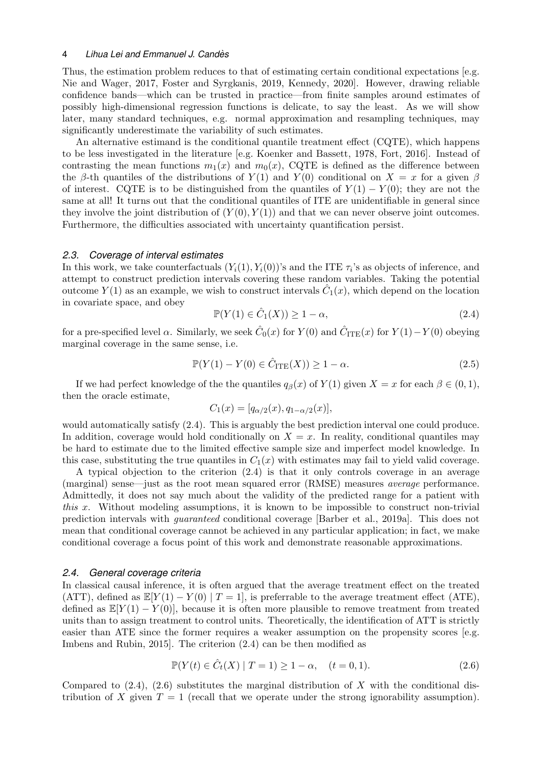Thus, the estimation problem reduces to that of estimating certain conditional expectations [e.g. [Nie and Wager, 2017,](#page-22-9) [Foster and Syrgkanis, 2019,](#page-20-4) [Kennedy, 2020\]](#page-21-3). However, drawing reliable confidence bands—which can be trusted in practice—from finite samples around estimates of possibly high-dimensional regression functions is delicate, to say the least. As we will show later, many standard techniques, e.g. normal approximation and resampling techniques, may significantly underestimate the variability of such estimates.

An alternative estimand is the conditional quantile treatment effect (CQTE), which happens to be less investigated in the literature [e.g. [Koenker and Bassett, 1978,](#page-21-4) [Fort, 2016\]](#page-20-5). Instead of contrasting the mean functions  $m_1(x)$  and  $m_0(x)$ . COTE is defined as the difference between the β-th quantiles of the distributions of  $Y(1)$  and  $Y(0)$  conditional on  $X = x$  for a given  $\beta$ of interest. CQTE is to be distinguished from the quantiles of  $Y(1) - Y(0)$ ; they are not the same at all! It turns out that the conditional quantiles of ITE are unidentifiable in general since they involve the joint distribution of  $(Y(0), Y(1))$  and that we can never observe joint outcomes. Furthermore, the difficulties associated with uncertainty quantification persist.

#### *2.3. Coverage of interval estimates*

In this work, we take counterfactuals  $(Y_i(1), Y_i(0))$ 's and the ITE  $\tau_i$ 's as objects of inference, and attempt to construct prediction intervals covering these random variables. Taking the potential outcome  $Y(1)$  as an example, we wish to construct intervals  $\hat{C}_1(x)$ , which depend on the location in covariate space, and obey

<span id="page-3-0"></span>
$$
\mathbb{P}(Y(1) \in \hat{C}_1(X)) \ge 1 - \alpha,\tag{2.4}
$$

for a pre-specified level  $\alpha$ . Similarly, we seek  $\hat{C}_0(x)$  for  $Y(0)$  and  $\hat{C}_{\text{ITE}}(x)$  for  $Y(1) - Y(0)$  obeying marginal coverage in the same sense, i.e.

<span id="page-3-2"></span>
$$
\mathbb{P}(Y(1) - Y(0) \in \hat{C}_{\text{ITE}}(X)) \ge 1 - \alpha. \tag{2.5}
$$

If we had perfect knowledge of the the quantiles  $q_\beta(x)$  of  $Y(1)$  given  $X = x$  for each  $\beta \in (0,1)$ , then the oracle estimate,

$$
C_1(x) = [q_{\alpha/2}(x), q_{1-\alpha/2}(x)],
$$

would automatically satisfy [\(2.4\).](#page-3-0) This is arguably the best prediction interval one could produce. In addition, coverage would hold conditionally on  $X = x$ . In reality, conditional quantiles may be hard to estimate due to the limited effective sample size and imperfect model knowledge. In this case, substituting the true quantiles in  $C_1(x)$  with estimates may fail to yield valid coverage.

A typical objection to the criterion [\(2.4\)](#page-3-0) is that it only controls coverage in an average (marginal) sense—just as the root mean squared error (RMSE) measures average performance. Admittedly, it does not say much about the validity of the predicted range for a patient with this x. Without modeling assumptions, it is known to be impossible to construct non-trivial prediction intervals with guaranteed conditional coverage [\[Barber et al., 2019a\]](#page-19-2). This does not mean that conditional coverage cannot be achieved in any particular application; in fact, we make conditional coverage a focus point of this work and demonstrate reasonable approximations.

#### *2.4. General coverage criteria*

In classical causal inference, it is often argued that the average treatment effect on the treated (ATT), defined as  $\mathbb{E}[Y(1) - Y(0) | T = 1]$ , is preferrable to the average treatment effect (ATE), defined as  $\mathbb{E}[Y(1) - Y(0)]$ , because it is often more plausible to remove treatment from treated units than to assign treatment to control units. Theoretically, the identification of ATT is strictly easier than ATE since the former requires a weaker assumption on the propensity scores [e.g. [Imbens and Rubin, 2015\]](#page-21-2). The criterion [\(2.4\)](#page-3-0) can be then modified as

<span id="page-3-1"></span>
$$
\mathbb{P}(Y(t) \in \hat{C}_t(X) | T = 1) \ge 1 - \alpha, \quad (t = 0, 1).
$$
 (2.6)

Compared to  $(2.4)$ ,  $(2.6)$  substitutes the marginal distribution of X with the conditional distribution of X given  $T = 1$  (recall that we operate under the strong ignorability assumption).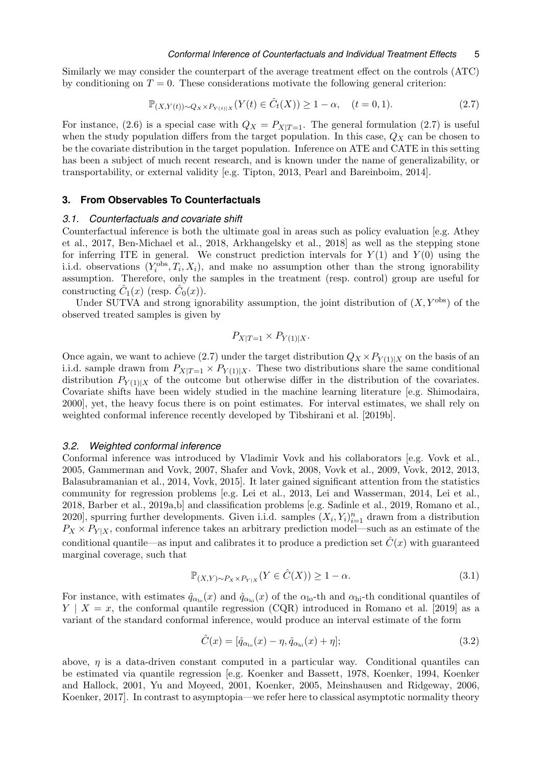Similarly we may consider the counterpart of the average treatment effect on the controls (ATC) by conditioning on  $T = 0$ . These considerations motivate the following general criterion:

<span id="page-4-1"></span>
$$
\mathbb{P}_{(X,Y(t)) \sim Q_X \times P_{Y(t)|X}}(Y(t) \in \hat{C}_t(X)) \ge 1 - \alpha, \quad (t = 0, 1).
$$
 (2.7)

For instance, [\(2.6\)](#page-3-1) is a special case with  $Q_X = P_{X|T=1}$ . The general formulation [\(2.7\)](#page-4-1) is useful when the study population differs from the target population. In this case,  $Q_X$  can be chosen to be the covariate distribution in the target population. Inference on ATE and CATE in this setting has been a subject of much recent research, and is known under the name of generalizability, or transportability, or external validity [e.g. [Tipton, 2013,](#page-23-2) [Pearl and Bareinboim, 2014\]](#page-22-10).

## <span id="page-4-0"></span>**3. From Observables To Counterfactuals**

#### *3.1. Counterfactuals and covariate shift*

Counterfactual inference is both the ultimate goal in areas such as policy evaluation [e.g. [Athey](#page-19-3) [et al., 2017,](#page-19-3) [Ben-Michael et al., 2018,](#page-19-4) [Arkhangelsky et al., 2018\]](#page-19-5) as well as the stepping stone for inferring ITE in general. We construct prediction intervals for  $Y(1)$  and  $Y(0)$  using the i.i.d. observations  $(Y_i^{\text{obs}}, T_i, X_i)$ , and make no assumption other than the strong ignorability assumption. Therefore, only the samples in the treatment (resp. control) group are useful for constructing  $\hat{C}_1(x)$  (resp.  $\hat{C}_0(x)$ ).

Under SUTVA and strong ignorability assumption, the joint distribution of  $(X, Y^{\text{obs}})$  of the observed treated samples is given by

$$
P_{X|T=1} \times P_{Y(1)|X}.
$$

Once again, we want to achieve [\(2.7\)](#page-4-1) under the target distribution  $Q_X \times P_{Y(1)|X}$  on the basis of an i.i.d. sample drawn from  $P_{X|T=1} \times P_{Y(1)|X}$ . These two distributions share the same conditional distribution  $P_{Y(1)|X}$  of the outcome but otherwise differ in the distribution of the covariates. Covariate shifts have been widely studied in the machine learning literature [e.g. [Shimodaira,](#page-23-3) [2000\]](#page-23-3), yet, the heavy focus there is on point estimates. For interval estimates, we shall rely on weighted conformal inference recently developed by [Tibshirani et al. \[2019b\]](#page-23-4).

#### *3.2. Weighted conformal inference*

Conformal inference was introduced by Vladimir Vovk and his collaborators [e.g. [Vovk et al.,](#page-23-5) [2005,](#page-23-5) [Gammerman and Vovk, 2007,](#page-20-6) [Shafer and Vovk, 2008,](#page-23-6) [Vovk et al., 2009,](#page-23-7) [Vovk, 2012,](#page-23-8) [2013,](#page-23-9) [Balasubramanian et al., 2014,](#page-19-6) [Vovk, 2015\]](#page-23-10). It later gained significant attention from the statistics community for regression problems [e.g. [Lei et al., 2013,](#page-21-5) [Lei and Wasserman, 2014,](#page-21-6) [Lei et al.,](#page-21-7) [2018,](#page-21-7) [Barber et al., 2019a,](#page-19-2)[b\]](#page-19-7) and classification problems [e.g. [Sadinle et al., 2019,](#page-22-11) [Romano et al.,](#page-22-12) [2020\]](#page-22-12), spurring further developments. Given i.i.d. samples  $(X_i, Y_i)_{i=1}^n$  drawn from a distribution  $P_X \times P_{Y|X}$ , conformal inference takes an arbitrary prediction model—such as an estimate of the conditional quantile—as input and calibrates it to produce a prediction set  $\hat{C}(x)$  with guaranteed marginal coverage, such that

<span id="page-4-2"></span>
$$
\mathbb{P}_{(X,Y)\sim P_X \times P_{Y|X}}(Y \in \hat{C}(X)) \ge 1 - \alpha.
$$
\n(3.1)

For instance, with estimates  $\hat{q}_{\alpha_{lo}}(x)$  and  $\hat{q}_{\alpha_{hi}}(x)$  of the  $\alpha_{lo}$ -th and  $\alpha_{hi}$ -th conditional quantiles of  $Y \mid X = x$ , the conformal quantile regression (CQR) introduced in [Romano et al. \[2019\]](#page-22-13) as a variant of the standard conformal inference, would produce an interval estimate of the form

<span id="page-4-3"></span>
$$
\hat{C}(x) = [\hat{q}_{\alpha_{\text{lo}}}(x) - \eta, \hat{q}_{\alpha_{\text{hi}}}(x) + \eta];
$$
\n(3.2)

above,  $\eta$  is a data-driven constant computed in a particular way. Conditional quantiles can be estimated via quantile regression [e.g. [Koenker and Bassett, 1978,](#page-21-4) [Koenker, 1994,](#page-21-8) [Koenker](#page-21-9) [and Hallock, 2001,](#page-21-9) [Yu and Moyeed, 2001,](#page-24-2) [Koenker, 2005,](#page-21-10) [Meinshausen and Ridgeway, 2006,](#page-22-14) [Koenker, 2017\]](#page-21-11). In contrast to asymptopia—we refer here to classical asymptotic normality theory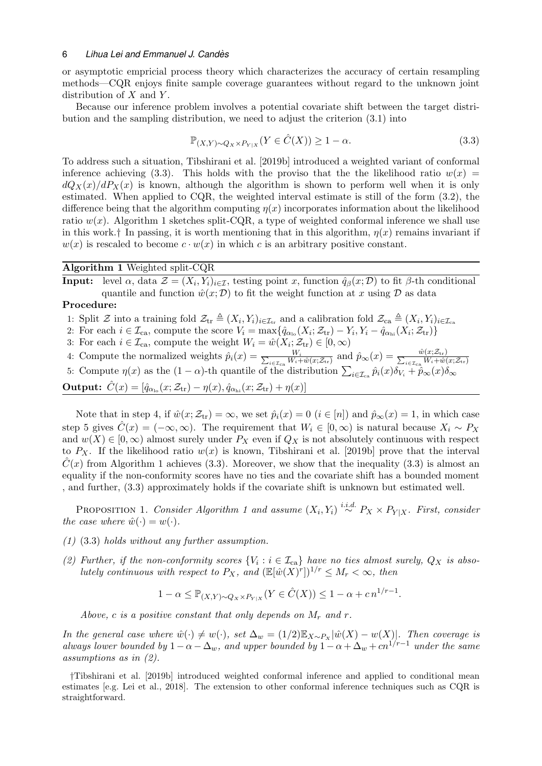or asymptotic empricial process theory which characterizes the accuracy of certain resampling methods—CQR enjoys finite sample coverage guarantees without regard to the unknown joint distribution of  $X$  and  $Y$ .

Because our inference problem involves a potential covariate shift between the target distribution and the sampling distribution, we need to adjust the criterion [\(3.1\)](#page-4-2) into

<span id="page-5-0"></span>
$$
\mathbb{P}_{(X,Y)\sim Q_X \times P_{Y|X}}(Y \in \hat{C}(X)) \ge 1 - \alpha.
$$
\n(3.3)

To address such a situation, [Tibshirani et al. \[2019b\]](#page-23-4) introduced a weighted variant of conformal inference achieving [\(3.3\).](#page-5-0) This holds with the proviso that the the likelihood ratio  $w(x)$  =  $dQ_X(x)/dP_X(x)$  is known, although the algorithm is shown to perform well when it is only estimated. When applied to CQR, the weighted interval estimate is still of the form [\(3.2\),](#page-4-3) the difference being that the algorithm computing  $\eta(x)$  incorporates information about the likelihood ratio  $w(x)$ . Algorithm [1](#page-5-1) sketches split-CQR, a type of weighted conformal inference we shall use in this work.<sup>[†](#page-5-2)</sup> In passing, it is worth mentioning that in this algorithm,  $\eta(x)$  remains invariant if  $w(x)$  is rescaled to become  $c \cdot w(x)$  in which c is an arbitrary positive constant.

# Algorithm 1 Weighted split-CQR

<span id="page-5-1"></span>**Input:** level  $\alpha$ , data  $\mathcal{Z} = (X_i, Y_i)_{i \in \mathcal{I}}$ , testing point x, function  $\hat{q}_{\beta}(x; \mathcal{D})$  to fit  $\beta$ -th conditional quantile and function  $\hat{w}(x; \mathcal{D})$  to fit the weight function at x using  $\mathcal D$  as data

## Procedure:

1: Split  $\mathcal Z$  into a training fold  $\mathcal Z_{\text{tr}} \triangleq (X_i, Y_i)_{i \in \mathcal I_{\text{tr}}}$  and a calibration fold  $\mathcal Z_{\text{ca}} \triangleq (X_i, Y_i)_{i \in \mathcal I_{\text{ca}}}$ 

- 2: For each  $i \in \mathcal{I}_{\text{ca}}$ , compute the score  $V_i = \max\{\hat{q}_{\alpha_{lo}}(X_i; \mathcal{Z}_{\text{tr}}) Y_i, Y_i \hat{q}_{\alpha_{hi}}(X_i; \mathcal{Z}_{\text{tr}})\}\$
- 3: For each  $i \in \mathcal{I}_{\text{ca}}$ , compute the weight  $W_i = \hat{w}(X_i; \mathcal{Z}_{\text{tr}}) \in [0, \infty)$
- 4: Compute the normalized weights  $\hat{p}_i(x) = \frac{W_i}{\sum_{i \in \mathcal{T}} W_i + P_i}$  $\frac{W_i}{\psi_i\in\mathcal{I}_{\text{ca}} W_i + \hat{w}(x;\mathcal{Z}_{\text{tr}})}$  and  $\hat{p}_{\infty}(x) = \frac{\hat{w}(x;\mathcal{Z}_{\text{tr}})}{\sum_{i\in\mathcal{I}_{\text{ca}} W_i + \hat{w}(x;\mathcal{Z}_{\text{tr}})}}$
- 5: Compute  $\eta(x)$  as the  $(1-\alpha)$ -th quantile of the distribution  $\sum_{i\in\mathcal{I}_{\text{ca}}} \hat{p}_i(x)\delta_{V_i} + \hat{p}_{\infty}(x)\delta_{\infty}$

Output:  $\hat{C}(x) = [\hat{q}_{\alpha_{lo}}(x; \mathcal{Z}_{tr}) - \eta(x), \hat{q}_{\alpha_{hi}}(x; \mathcal{Z}_{tr}) + \eta(x)]$ 

Note that in step 4, if  $\hat{w}(x; \mathcal{Z}_{tr}) = \infty$ , we set  $\hat{p}_i(x) = 0$   $(i \in [n])$  and  $\hat{p}_\infty(x) = 1$ , in which case step 5 gives  $\hat{C}(x) = (-\infty, \infty)$ . The requirement that  $W_i \in [0, \infty)$  is natural because  $X_i \sim P_X$ and  $w(X) \in [0, \infty)$  almost surely under  $P_X$  even if  $Q_X$  is not absolutely continuous with respect to  $P_X$ . If the likelihood ratio  $w(x)$  is known, [Tibshirani et al. \[2019b\]](#page-23-4) prove that the interval  $\hat{C}(x)$  from Algorithm [1](#page-5-1) achieves [\(3.3\).](#page-5-0) Moreover, we show that the inequality [\(3.3\)](#page-5-0) is almost an equality if the non-conformity scores have no ties and the covariate shift has a bounded moment , and further, [\(3.3\)](#page-5-0) approximately holds if the covariate shift is unknown but estimated well.

PROPOSITION [1](#page-5-1). Consider Algorithm 1 and assume  $(X_i, Y_i) \stackrel{i.i.d.}{\sim} P_X \times P_{Y|X}$ . First, consider the case where  $\hat{w}(\cdot) = w(\cdot)$ .

- (1) [\(3.3\)](#page-5-0) holds without any further assumption.
- (2) Further, if the non-conformity scores  $\{V_i : i \in \mathcal{I}_{\text{ca}}\}$  have no ties almost surely,  $Q_X$  is absolutely continuous with respect to  $P_X$ , and  $(\mathbb{E}[\hat{w}(X)^r])^{1/r} \leq M_r < \infty$ , then

<span id="page-5-3"></span>
$$
1 - \alpha \le \mathbb{P}_{(X,Y) \sim Q_X \times P_{Y \mid X}} (Y \in \hat{C}(X)) \le 1 - \alpha + c n^{1/r - 1}.
$$

Above, c is a positive constant that only depends on  $M_r$  and r.

In the general case where  $\hat{w}(\cdot) \neq w(\cdot)$ , set  $\Delta_w = (1/2)\mathbb{E}_{X \sim P_X} |\hat{w}(X) - w(X)|$ . Then coverage is always lower bounded by  $1 - \alpha - \Delta_w$ , and upper bounded by  $1 - \alpha + \Delta_w + cn^{1/r-1}$  under the same assumptions as in (2).

<span id="page-5-2"></span>†[Tibshirani et al. \[2019b\]](#page-23-4) introduced weighted conformal inference and applied to conditional mean estimates [e.g. [Lei et al., 2018\]](#page-21-7). The extension to other conformal inference techniques such as CQR is straightforward.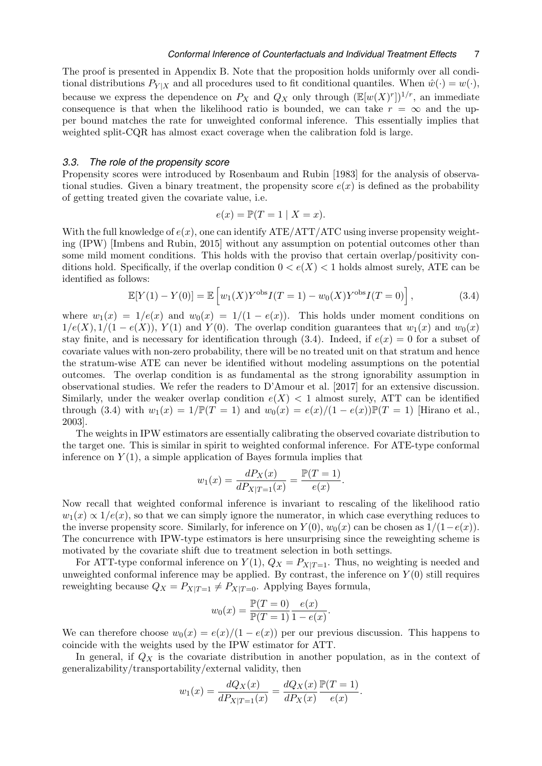The proof is presented in Appendix [B.](#page-34-0) Note that the proposition holds uniformly over all conditional distributions  $P_{Y|X}$  and all procedures used to fit conditional quantiles. When  $\hat{w}(\cdot) = w(\cdot)$ , because we express the dependence on  $P_X$  and  $Q_X$  only through  $(\mathbb{E}[w(X)^r])^{1/r}$ , an immediate consequence is that when the likelihood ratio is bounded, we can take  $r = \infty$  and the upper bound matches the rate for unweighted conformal inference. This essentially implies that weighted split-CQR has almost exact coverage when the calibration fold is large.

#### *3.3. The role of the propensity score*

Propensity scores were introduced by [Rosenbaum and Rubin \[1983\]](#page-22-8) for the analysis of observational studies. Given a binary treatment, the propensity score  $e(x)$  is defined as the probability of getting treated given the covariate value, i.e.

$$
e(x) = \mathbb{P}(T = 1 | X = x).
$$

With the full knowledge of  $e(x)$ , one can identify ATE/ATT/ATC using inverse propensity weighting (IPW) [\[Imbens and Rubin, 2015\]](#page-21-2) without any assumption on potential outcomes other than some mild moment conditions. This holds with the proviso that certain overlap/positivity conditions hold. Specifically, if the overlap condition  $0 < e(X) < 1$  holds almost surely, ATE can be identified as follows:

<span id="page-6-0"></span>
$$
\mathbb{E}[Y(1) - Y(0)] = \mathbb{E}\left[w_1(X)Y^{\text{obs}}I(T=1) - w_0(X)Y^{\text{obs}}I(T=0)\right],\tag{3.4}
$$

where  $w_1(x) = 1/e(x)$  and  $w_0(x) = 1/(1 - e(x))$ . This holds under moment conditions on  $1/e(X), 1/(1 - e(X)), Y(1)$  and  $Y(0)$ . The overlap condition guarantees that  $w_1(x)$  and  $w_0(x)$ stay finite, and is necessary for identification through [\(3.4\).](#page-6-0) Indeed, if  $e(x) = 0$  for a subset of covariate values with non-zero probability, there will be no treated unit on that stratum and hence the stratum-wise ATE can never be identified without modeling assumptions on the potential outcomes. The overlap condition is as fundamental as the strong ignorability assumption in observational studies. We refer the readers to [D'Amour et al. \[2017\]](#page-20-7) for an extensive discussion. Similarly, under the weaker overlap condition  $e(X) < 1$  almost surely, ATT can be identified through [\(3.4\)](#page-6-0) with  $w_1(x) = 1/\mathbb{P}(T = 1)$  and  $w_0(x) = e(x)/(1 - e(x))\mathbb{P}(T = 1)$  [\[Hirano et al.,](#page-21-12) [2003\]](#page-21-12).

The weights in IPW estimators are essentially calibrating the observed covariate distribution to the target one. This is similar in spirit to weighted conformal inference. For ATE-type conformal inference on  $Y(1)$ , a simple application of Bayes formula implies that

$$
w_1(x) = \frac{dP_X(x)}{dP_{X|T=1}(x)} = \frac{\mathbb{P}(T=1)}{e(x)}.
$$

Now recall that weighted conformal inference is invariant to rescaling of the likelihood ratio  $w_1(x) \propto 1/e(x)$ , so that we can simply ignore the numerator, in which case everything reduces to the inverse propensity score. Similarly, for inference on  $Y(0)$ ,  $w_0(x)$  can be chosen as  $1/(1-e(x))$ . The concurrence with IPW-type estimators is here unsurprising since the reweighting scheme is motivated by the covariate shift due to treatment selection in both settings.

For ATT-type conformal inference on  $Y(1)$ ,  $Q_X = P_{X|T=1}$ . Thus, no weighting is needed and unweighted conformal inference may be applied. By contrast, the inference on  $Y(0)$  still requires reweighting because  $Q_X = P_{X|T=1} \neq P_{X|T=0}$ . Applying Bayes formula,

$$
w_0(x) = \frac{\mathbb{P}(T = 0)}{\mathbb{P}(T = 1)} \frac{e(x)}{1 - e(x)}.
$$

We can therefore choose  $w_0(x) = e(x)/(1-e(x))$  per our previous discussion. This happens to coincide with the weights used by the IPW estimator for ATT.

In general, if  $Q_X$  is the covariate distribution in another population, as in the context of generalizability/transportability/external validity, then

$$
w_1(x) = \frac{dQ_X(x)}{dP_{X|T=1}(x)} = \frac{dQ_X(x)}{dP_X(x)} \frac{\mathbb{P}(T=1)}{e(x)}.
$$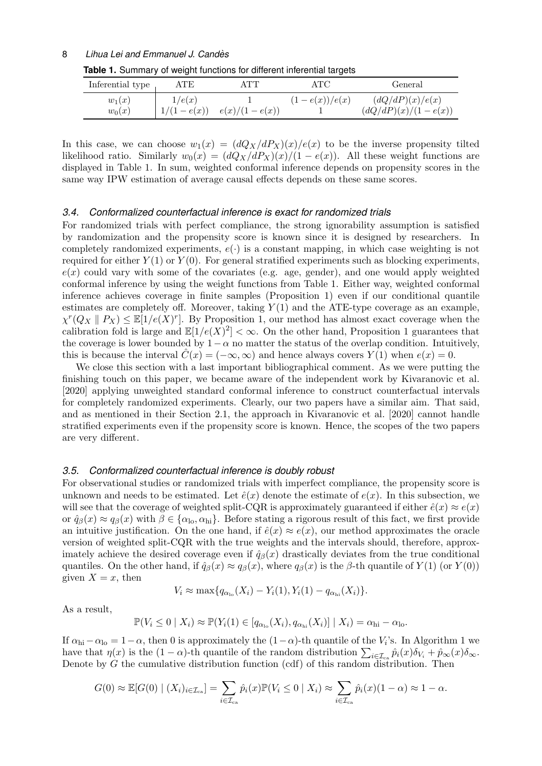<span id="page-7-0"></span>

| Inferential type | ATE          | ATT             | ATC             | General               |
|------------------|--------------|-----------------|-----------------|-----------------------|
| $w_1(x)$         | 1/e(x)       |                 | $(1-e(x))/e(x)$ | (dQ/dP)(x)/e(x)       |
| $w_0(x)$         | $1/(1-e(x))$ | $e(x)/(1-e(x))$ |                 | $(dQ/dP)(x)/(1-e(x))$ |

**Table 1.** Summary of weight functions for different inferential targets

In this case, we can choose  $w_1(x) = (dQ_X/dP_X)(x)/e(x)$  to be the inverse propensity tilted likelihood ratio. Similarly  $w_0(x) = (dQ_X/dP_X)(x)/(1-e(x))$ . All these weight functions are displayed in Table [1.](#page-7-0) In sum, weighted conformal inference depends on propensity scores in the same way IPW estimation of average causal effects depends on these same scores.

#### *3.4. Conformalized counterfactual inference is exact for randomized trials*

For randomized trials with perfect compliance, the strong ignorability assumption is satisfied by randomization and the propensity score is known since it is designed by researchers. In completely randomized experiments,  $e(.)$  is a constant mapping, in which case weighting is not required for either  $Y(1)$  or  $Y(0)$ . For general stratified experiments such as blocking experiments,  $e(x)$  could vary with some of the covariates (e.g. age, gender), and one would apply weighted conformal inference by using the weight functions from Table [1.](#page-7-0) Either way, weighted conformal inference achieves coverage in finite samples (Proposition [1\)](#page-5-3) even if our conditional quantile estimates are completely off. Moreover, taking  $Y(1)$  and the ATE-type coverage as an example,  $\chi^r(Q_X \parallel P_X) \leq \mathbb{E}[1/e(X)^r]$ . By Proposition [1,](#page-5-3) our method has almost exact coverage when the calibration fold is large and  $\mathbb{E}[1/e(X)^2] < \infty$  $\mathbb{E}[1/e(X)^2] < \infty$  $\mathbb{E}[1/e(X)^2] < \infty$ . On the other hand, Proposition 1 guarantees that the coverage is lower bounded by  $1 - \alpha$  no matter the status of the overlap condition. Intuitively, this is because the interval  $\hat{C}(x) = (-\infty, \infty)$  and hence always covers  $Y(1)$  when  $e(x) = 0$ .

We close this section with a last important bibliographical comment. As we were putting the finishing touch on this paper, we became aware of the independent work by [Kivaranovic et al.](#page-21-13) [\[2020\]](#page-21-13) applying unweighted standard conformal inference to construct counterfactual intervals for completely randomized experiments. Clearly, our two papers have a similar aim. That said, and as mentioned in their Section 2.1, the approach in [Kivaranovic et al. \[2020\]](#page-21-13) cannot handle stratified experiments even if the propensity score is known. Hence, the scopes of the two papers are very different.

#### <span id="page-7-1"></span>*3.5. Conformalized counterfactual inference is doubly robust*

For observational studies or randomized trials with imperfect compliance, the propensity score is unknown and needs to be estimated. Let  $\hat{e}(x)$  denote the estimate of  $e(x)$ . In this subsection, we will see that the coverage of weighted split-CQR is approximately guaranteed if either  $\hat{e}(x) \approx e(x)$ or  $\hat{q}_{\beta}(x) \approx q_{\beta}(x)$  with  $\beta \in {\alpha_{\text{lo}}}, {\alpha_{\text{hi}}}$ . Before stating a rigorous result of this fact, we first provide an intuitive justification. On the one hand, if  $\hat{e}(x) \approx e(x)$ , our method approximates the oracle version of weighted split-CQR with the true weights and the intervals should, therefore, approximately achieve the desired coverage even if  $\hat{q}_{\beta}(x)$  drastically deviates from the true conditional quantiles. On the other hand, if  $\hat{q}_{\beta}(x) \approx q_{\beta}(x)$ , where  $q_{\beta}(x)$  is the β-th quantile of  $Y(1)$  (or  $Y(0)$ ) given  $X = x$ , then

$$
V_i \approx \max\{q_{\alpha_{10}}(X_i) - Y_i(1), Y_i(1) - q_{\alpha_{hi}}(X_i)\}.
$$

As a result,

$$
\mathbb{P}(V_i \leq 0 \mid X_i) \approx \mathbb{P}(Y_i(1) \in [q_{\alpha_{\text{lo}}}(X_i), q_{\alpha_{\text{hi}}}(X_i)] \mid X_i) = \alpha_{\text{hi}} - \alpha_{\text{lo}}.
$$

If  $\alpha_{hi} - \alpha_{lo} = 1 - \alpha$  $\alpha_{hi} - \alpha_{lo} = 1 - \alpha$  $\alpha_{hi} - \alpha_{lo} = 1 - \alpha$ , then 0 is approximately the  $(1 - \alpha)$ -th quantile of the  $V_i$ 's. In Algorithm 1 we have that  $\eta(x)$  is the  $(1 - \alpha)$ -th quantile of the random distribution  $\sum_{i \in \mathcal{I}_{\text{ca}}} \hat{p}_i(x) \delta_{V_i} + \hat{p}_{\infty}(x) \delta_{\infty}$ . Denote by G the cumulative distribution function (cdf) of this random distribution. Then

$$
G(0) \approx \mathbb{E}[G(0) \mid (X_i)_{i \in \mathcal{I}_{\text{ca}}}] = \sum_{i \in \mathcal{I}_{\text{ca}}} \hat{p}_i(x) \mathbb{P}(V_i \le 0 \mid X_i) \approx \sum_{i \in \mathcal{I}_{\text{ca}}} \hat{p}_i(x) (1 - \alpha) \approx 1 - \alpha.
$$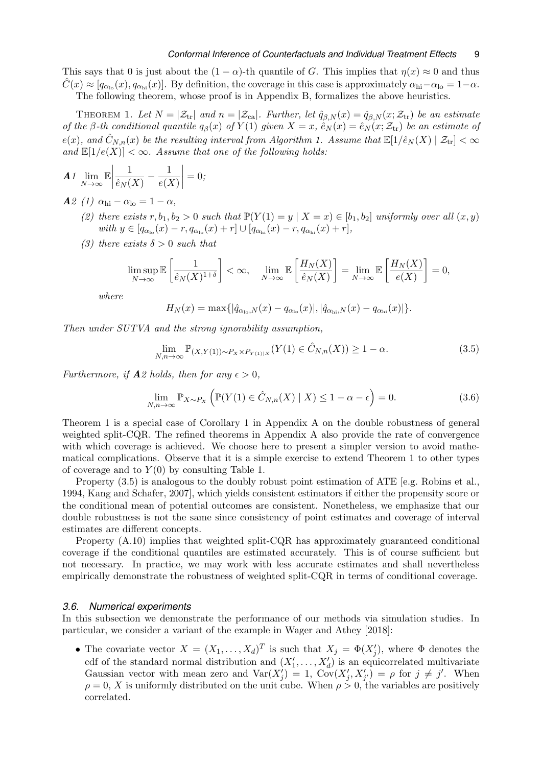This says that 0 is just about the  $(1 - \alpha)$ -th quantile of G. This implies that  $\eta(x) \approx 0$  and thus  $\hat{C}(x) \approx [q_{\alpha_{\text{lo}}}(x), q_{\alpha_{\text{hi}}}(x)]$ . By definition, the coverage in this case is approximately  $\alpha_{\text{hi}} - \alpha_{\text{lo}} = 1 - \alpha$ . The following theorem, whose proof is in Appendix [B,](#page-34-0) formalizes the above heuristics.

THEOREM 1. Let  $N = |\mathcal{Z}_{tr}|$  and  $n = |\mathcal{Z}_{ca}|$ . Further, let  $\hat{q}_{\beta,N}(x) = \hat{q}_{\beta,N}(x; \mathcal{Z}_{tr})$  be an estimate of the β-th conditional quantile  $q_\beta(x)$  of  $Y(1)$  given  $X = x$ ,  $\hat{e}_N(x) = \hat{e}_N(x; \mathcal{Z}_{tr})$  be an estimate of  $e(x)$ , and  $\tilde{C}_{N,n}(x)$  be the resulting interval from Algorithm [1.](#page-5-1) Assume that  $\mathbb{E}[1/\hat{e}_N(X) | \mathcal{Z}_{tr}] < \infty$ and  $\mathbb{E}[1/e(X)] < \infty$ . Assume that one of the following holds:

$$
\mathbf{A} \mathbf{1} \lim_{N \to \infty} \mathbb{E} \left| \frac{1}{\hat{e}_N(X)} - \frac{1}{e(X)} \right| = 0;
$$

 $\mathbf{A}$ 2 (1)  $\alpha_{\rm hi} - \alpha_{\rm lo} = 1 - \alpha$ ,

- (2) there exists  $r, b_1, b_2 > 0$  such that  $\mathbb{P}(Y(1) = y | X = x) \in [b_1, b_2]$  uniformly over all  $(x, y)$ with  $y \in [q_{\alpha_{\text{lo}}}(x) - r, q_{\alpha_{\text{lo}}}(x) + r] \cup [q_{\alpha_{\text{hi}}}(x) - r, q_{\alpha_{\text{hi}}}(x) + r],$
- (3) there exists  $\delta > 0$  such that

$$
\limsup_{N \to \infty} \mathbb{E}\left[\frac{1}{\hat{e}_N(X)^{1+\delta}}\right] < \infty, \quad \lim_{N \to \infty} \mathbb{E}\left[\frac{H_N(X)}{\hat{e}_N(X)}\right] = \lim_{N \to \infty} \mathbb{E}\left[\frac{H_N(X)}{e(X)}\right] = 0,
$$

where

<span id="page-8-0"></span>
$$
H_N(x) = \max\{|\hat{q}_{\alpha_{\text{lo}},N}(x) - q_{\alpha_{\text{lo}}}(x)|, |\hat{q}_{\alpha_{\text{hi}},N}(x) - q_{\alpha_{\text{hi}}}(x)|\}.
$$

Then under SUTVA and the strong ignorability assumption,

<span id="page-8-1"></span>
$$
\lim_{N,n \to \infty} \mathbb{P}_{(X,Y(1)) \sim P_X \times P_{Y(1)|X}}(Y(1) \in \hat{C}_{N,n}(X)) \ge 1 - \alpha.
$$
\n(3.5)

Furthermore, if  $A2$  holds, then for any  $\epsilon > 0$ ,

$$
\lim_{N,n \to \infty} \mathbb{P}_{X \sim P_X} \left( \mathbb{P}(Y(1) \in \hat{C}_{N,n}(X) \mid X) \le 1 - \alpha - \epsilon \right) = 0. \tag{3.6}
$$

Theorem [1](#page-8-0) is a special case of Corollary [1](#page-34-1) in Appendix [A](#page-25-0) on the double robustness of general weighted split-CQR. The refined theorems in Appendix [A](#page-25-0) also provide the rate of convergence with which coverage is achieved. We choose here to present a simpler version to avoid mathematical complications. Observe that it is a simple exercise to extend Theorem [1](#page-8-0) to other types of coverage and to  $Y(0)$  by consulting Table [1.](#page-7-0)

Property  $(3.5)$  is analogous to the doubly robust point estimation of ATE [e.g. [Robins et al.,](#page-22-4) [1994,](#page-22-4) [Kang and Schafer, 2007\]](#page-21-1), which yields consistent estimators if either the propensity score or the conditional mean of potential outcomes are consistent. Nonetheless, we emphasize that our double robustness is not the same since consistency of point estimates and coverage of interval estimates are different concepts.

Property [\(A.10\)](#page-29-0) implies that weighted split-CQR has approximately guaranteed conditional coverage if the conditional quantiles are estimated accurately. This is of course sufficient but not necessary. In practice, we may work with less accurate estimates and shall nevertheless empirically demonstrate the robustness of weighted split-CQR in terms of conditional coverage.

#### <span id="page-8-2"></span>*3.6. Numerical experiments*

In this subsection we demonstrate the performance of our methods via simulation studies. In particular, we consider a variant of the example in [Wager and Athey \[2018\]](#page-23-11):

• The covariate vector  $X = (X_1, \ldots, X_d)^T$  is such that  $X_j = \Phi(X'_j)$ , where  $\Phi$  denotes the cdf of the standard normal distribution and  $(X'_1, \ldots, X'_d)$  is an equicorrelated multivariate Gaussian vector with mean zero and  $Var(X_j') = 1$ ,  $Cov(X_j', X_{j'}') = \rho$  for  $j \neq j'$ . When  $\rho = 0$ , X is uniformly distributed on the unit cube. When  $\rho > 0$ , the variables are positively correlated.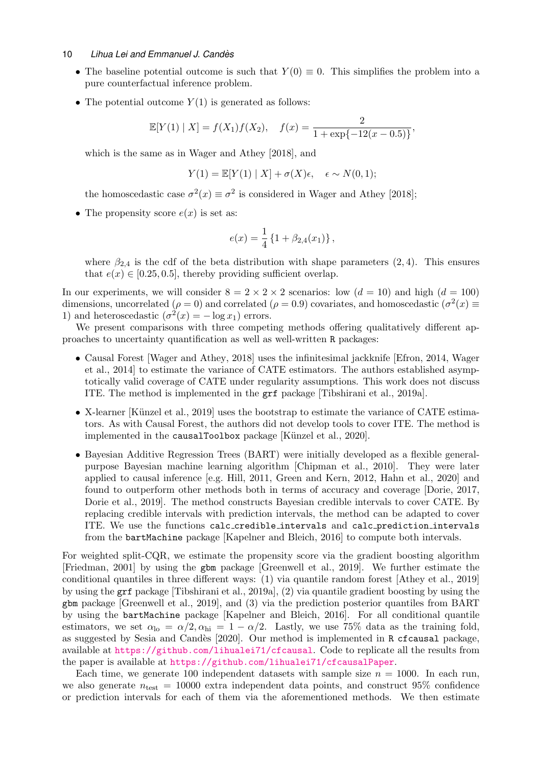- The baseline potential outcome is such that  $Y(0) \equiv 0$ . This simplifies the problem into a pure counterfactual inference problem.
- The potential outcome  $Y(1)$  is generated as follows:

$$
\mathbb{E}[Y(1) | X] = f(X_1)f(X_2), \quad f(x) = \frac{2}{1 + \exp\{-12(x - 0.5)\}},
$$

which is the same as in [Wager and Athey \[2018\]](#page-23-11), and

$$
Y(1) = \mathbb{E}[Y(1) | X] + \sigma(X)\epsilon, \quad \epsilon \sim N(0, 1);
$$

the homoscedastic case  $\sigma^2(x) \equiv \sigma^2$  is considered in [Wager and Athey \[2018\]](#page-23-11);

• The propensity score  $e(x)$  is set as:

$$
e(x) = \frac{1}{4} \left\{ 1 + \beta_{2,4}(x_1) \right\},\,
$$

where  $\beta_{2,4}$  is the cdf of the beta distribution with shape parameters  $(2, 4)$ . This ensures that  $e(x) \in [0.25, 0.5]$ , thereby providing sufficient overlap.

In our experiments, we will consider  $8 = 2 \times 2 \times 2$  scenarios: low  $(d = 10)$  and high  $(d = 100)$ dimensions, uncorrelated ( $\rho = 0$ ) and correlated ( $\rho = 0.9$ ) covariates, and homoscedastic ( $\sigma^2(x) \equiv$ 1) and heteroscedastic  $(\sigma^2(x) = -\log x_1)$  errors.

We present comparisons with three competing methods offering qualitatively different approaches to uncertainty quantification as well as well-written R packages:

- Causal Forest [\[Wager and Athey, 2018\]](#page-23-11) uses the infinitesimal jackknife [\[Efron, 2014,](#page-20-8) [Wager](#page-23-12) [et al., 2014\]](#page-23-12) to estimate the variance of CATE estimators. The authors established asymptotically valid coverage of CATE under regularity assumptions. This work does not discuss ITE. The method is implemented in the grf package [\[Tibshirani et al., 2019a\]](#page-23-13).
- X-learner [Künzel et al., 2019] uses the bootstrap to estimate the variance of CATE estimators. As with Causal Forest, the authors did not develop tools to cover ITE. The method is implemented in the causalToolbox package [Künzel et al., 2020].
- Bayesian Additive Regression Trees (BART) were initially developed as a flexible generalpurpose Bayesian machine learning algorithm [\[Chipman et al., 2010\]](#page-20-9). They were later applied to causal inference [e.g. [Hill, 2011,](#page-21-16) [Green and Kern, 2012,](#page-20-10) [Hahn et al., 2020\]](#page-21-17) and found to outperform other methods both in terms of accuracy and coverage [\[Dorie, 2017,](#page-20-11) [Dorie et al., 2019\]](#page-20-12). The method constructs Bayesian credible intervals to cover CATE. By replacing credible intervals with prediction intervals, the method can be adapted to cover ITE. We use the functions calc credible intervals and calc prediction intervals from the bartMachine package [\[Kapelner and Bleich, 2016\]](#page-21-18) to compute both intervals.

For weighted split-CQR, we estimate the propensity score via the gradient boosting algorithm [\[Friedman, 2001\]](#page-20-13) by using the gbm package [\[Greenwell et al., 2019\]](#page-20-14). We further estimate the conditional quantiles in three different ways: (1) via quantile random forest [\[Athey et al., 2019\]](#page-19-8) by using the grf package [\[Tibshirani et al., 2019a\]](#page-23-13), (2) via quantile gradient boosting by using the gbm package [\[Greenwell et al., 2019\]](#page-20-14), and (3) via the prediction posterior quantiles from BART by using the bartMachine package [\[Kapelner and Bleich, 2016\]](#page-21-18). For all conditional quantile estimators, we set  $\alpha_{\text{lo}} = \alpha/2, \alpha_{\text{hi}} = 1 - \alpha/2$ . Lastly, we use 75% data as the training fold, as suggested by [Sesia and Cand`es \[2020\]](#page-23-14). Our method is implemented in R cfcausal package, available at <https://github.com/lihualei71/cfcausal>. Code to replicate all the results from the paper is available at <https://github.com/lihualei71/cfcausalPaper>.

Each time, we generate 100 independent datasets with sample size  $n = 1000$ . In each run, we also generate  $n_{\text{test}} = 10000$  extra independent data points, and construct 95% confidence or prediction intervals for each of them via the aforementioned methods. We then estimate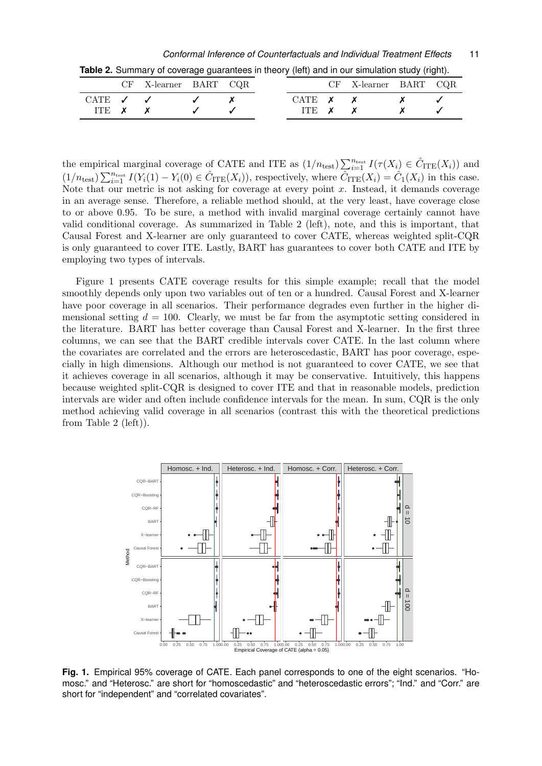*Conformal Inference of Counterfactuals and Individual Treatment Effects* 11

<span id="page-10-0"></span>

|                                | CF X-learner BART CQR |  |                   | CF X-learner BART CQR |  |
|--------------------------------|-----------------------|--|-------------------|-----------------------|--|
| CATE $\checkmark$ $\checkmark$ |                       |  | CATE $x \times x$ |                       |  |
| ITE $x \, x$                   |                       |  | ITE $x \times x$  |                       |  |

**Table 2.** Summary of coverage guarantees in theory (left) and in our simulation study (right).

the empirical marginal coverage of CATE and ITE as  $(1/n_{\text{test}}) \sum_{i=1}^{n_{\text{test}}} I(\tau(X_i) \in \hat{C}_{\text{ITE}}(X_i))$  and  $(1/n_{\text{test}})\sum_{i=1}^{n_{\text{test}}} I(Y_i(1) - Y_i(0) \in \hat{C}_{\text{ITE}}(X_i)),$  respectively, where  $\hat{C}_{\text{ITE}}(X_i) = \hat{C}_1(X_i)$  in this case. Note that our metric is not asking for coverage at every point  $x$ . Instead, it demands coverage in an average sense. Therefore, a reliable method should, at the very least, have coverage close to or above 0.95. To be sure, a method with invalid marginal coverage certainly cannot have valid conditional coverage. As summarized in Table [2](#page-10-0) (left), note, and this is important, that Causal Forest and X-learner are only guaranteed to cover CATE, whereas weighted split-CQR is only guaranteed to cover ITE. Lastly, BART has guarantees to cover both CATE and ITE by employing two types of intervals.

Figure [1](#page-10-1) presents CATE coverage results for this simple example; recall that the model smoothly depends only upon two variables out of ten or a hundred. Causal Forest and X-learner have poor coverage in all scenarios. Their performance degrades even further in the higher dimensional setting  $d = 100$ . Clearly, we must be far from the asymptotic setting considered in the literature. BART has better coverage than Causal Forest and X-learner. In the first three columns, we can see that the BART credible intervals cover CATE. In the last column where the covariates are correlated and the errors are heteroscedastic, BART has poor coverage, especially in high dimensions. Although our method is not guaranteed to cover CATE, we see that it achieves coverage in all scenarios, although it may be conservative. Intuitively, this happens because weighted split-CQR is designed to cover ITE and that in reasonable models, prediction intervals are wider and often include confidence intervals for the mean. In sum, CQR is the only method achieving valid coverage in all scenarios (contrast this with the theoretical predictions from Table [2](#page-10-0) (left)).



<span id="page-10-1"></span>**Fig. 1.** Empirical 95% coverage of CATE. Each panel corresponds to one of the eight scenarios. "Homosc." and "Heterosc." are short for "homoscedastic" and "heteroscedastic errors"; "Ind." and "Corr." are short for "independent" and "correlated covariates".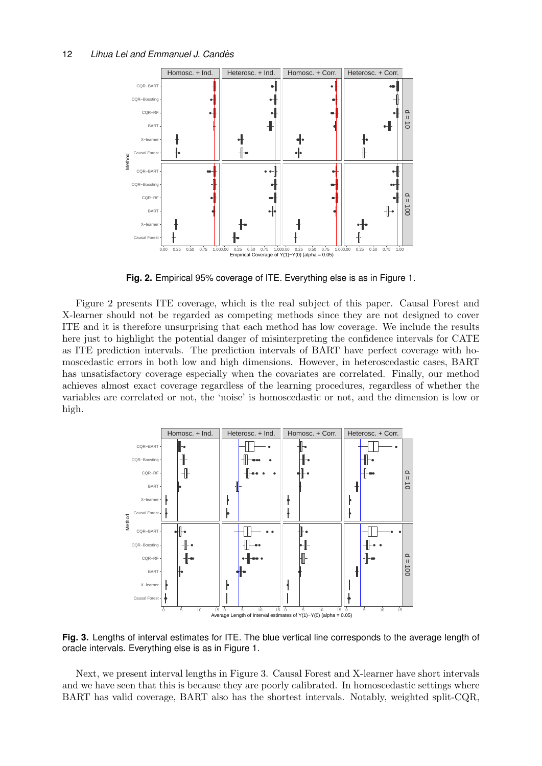

<span id="page-11-0"></span>**Fig. 2.** Empirical 95% coverage of ITE. Everything else is as in Figure [1.](#page-10-1)

Figure [2](#page-11-0) presents ITE coverage, which is the real subject of this paper. Causal Forest and X-learner should not be regarded as competing methods since they are not designed to cover ITE and it is therefore unsurprising that each method has low coverage. We include the results here just to highlight the potential danger of misinterpreting the confidence intervals for CATE as ITE prediction intervals. The prediction intervals of BART have perfect coverage with homoscedastic errors in both low and high dimensions. However, in heteroscedastic cases, BART has unsatisfactory coverage especially when the covariates are correlated. Finally, our method achieves almost exact coverage regardless of the learning procedures, regardless of whether the variables are correlated or not, the 'noise' is homoscedastic or not, and the dimension is low or high.



<span id="page-11-1"></span>**Fig. 3.** Lengths of interval estimates for ITE. The blue vertical line corresponds to the average length of oracle intervals. Everything else is as in Figure [1.](#page-10-1)

Next, we present interval lengths in Figure [3.](#page-11-1) Causal Forest and X-learner have short intervals and we have seen that this is because they are poorly calibrated. In homoscedastic settings where BART has valid coverage, BART also has the shortest intervals. Notably, weighted split-CQR,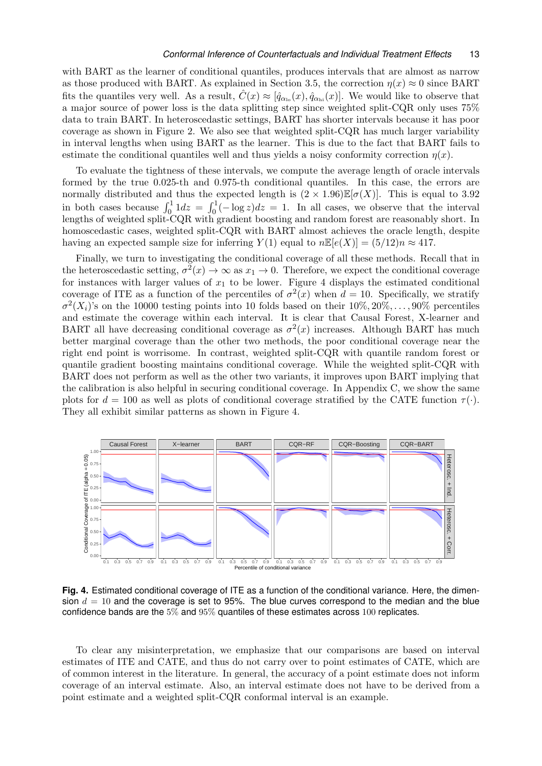with BART as the learner of conditional quantiles, produces intervals that are almost as narrow as those produced with BART. As explained in Section [3.5,](#page-7-1) the correction  $\eta(x) \approx 0$  since BART fits the quantiles very well. As a result,  $\hat{C}(x) \approx [\hat{q}_{\alpha_{\text{lo}}}(x), \hat{q}_{\alpha_{\text{hi}}}(x)]$ . We would like to observe that a major source of power loss is the data splitting step since weighted split-CQR only uses 75% data to train BART. In heteroscedastic settings, BART has shorter intervals because it has poor coverage as shown in Figure [2.](#page-11-0) We also see that weighted split-CQR has much larger variability in interval lengths when using BART as the learner. This is due to the fact that BART fails to estimate the conditional quantiles well and thus yields a noisy conformity correction  $\eta(x)$ .

To evaluate the tightness of these intervals, we compute the average length of oracle intervals formed by the true 0.025-th and 0.975-th conditional quantiles. In this case, the errors are normally distributed and thus the expected length is  $(2 \times 1.96) \mathbb{E}[\sigma(X)]$ . This is equal to 3.92 in both cases because  $\int_0^1 1 dz = \int_0^1 (-\log z) dz = 1$ . In all cases, we observe that the interval lengths of weighted split-CQR with gradient boosting and random forest are reasonably short. In homoscedastic cases, weighted split-CQR with BART almost achieves the oracle length, despite having an expected sample size for inferring  $Y(1)$  equal to  $n\mathbb{E}[e(X)] = (5/12)n \approx 417$ .

Finally, we turn to investigating the conditional coverage of all these methods. Recall that in the heteroscedastic setting,  $\sigma^2(x) \to \infty$  as  $x_1 \to 0$ . Therefore, we expect the conditional coverage for instances with larger values of  $x_1$  to be lower. Figure [4](#page-12-0) displays the estimated conditional coverage of ITE as a function of the percentiles of  $\sigma^2(x)$  when  $d = 10$ . Specifically, we stratify  $\sigma^2(X_i)$ 's on the 10000 testing points into 10 folds based on their  $10\%, 20\%, \ldots, 90\%$  percentiles and estimate the coverage within each interval. It is clear that Causal Forest, X-learner and BART all have decreasing conditional coverage as  $\sigma^2(x)$  increases. Although BART has much better marginal coverage than the other two methods, the poor conditional coverage near the right end point is worrisome. In contrast, weighted split-CQR with quantile random forest or quantile gradient boosting maintains conditional coverage. While the weighted split-CQR with BART does not perform as well as the other two variants, it improves upon BART implying that the calibration is also helpful in securing conditional coverage. In Appendix [C,](#page-36-0) we show the same plots for  $d = 100$  as well as plots of conditional coverage stratified by the CATE function  $\tau(\cdot)$ . They all exhibit similar patterns as shown in Figure [4.](#page-12-0)



<span id="page-12-0"></span>**Fig. 4.** Estimated conditional coverage of ITE as a function of the conditional variance. Here, the dimension  $d = 10$  and the coverage is set to 95%. The blue curves correspond to the median and the blue confidence bands are the 5% and 95% quantiles of these estimates across 100 replicates.

To clear any misinterpretation, we emphasize that our comparisons are based on interval estimates of ITE and CATE, and thus do not carry over to point estimates of CATE, which are of common interest in the literature. In general, the accuracy of a point estimate does not inform coverage of an interval estimate. Also, an interval estimate does not have to be derived from a point estimate and a weighted split-CQR conformal interval is an example.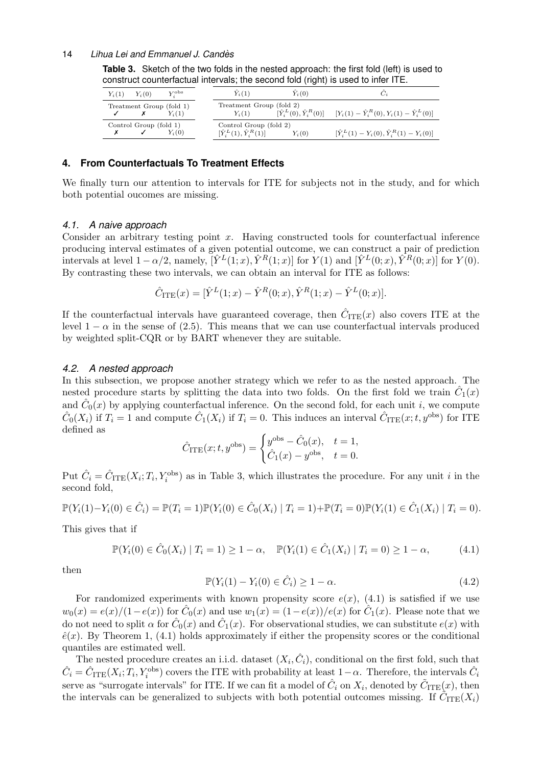<span id="page-13-1"></span>

| $[\hat{Y}_i^L(0), \hat{Y}_i^R(0)]$ $[Y_i(1) - \hat{Y}_i^R(0), Y_i(1) - \hat{Y}_i^L(0)]$ |
|-----------------------------------------------------------------------------------------|
| $[\hat{Y}_i^L(1) - Y_i(0), \hat{Y}_i^R(1) - Y_i(0)]$                                    |
|                                                                                         |

**Table 3.** Sketch of the two folds in the nested approach: the first fold (left) is used to construct counterfactual intervals; the second fold (right) is used to infer ITE.

# <span id="page-13-0"></span>**4. From Counterfactuals To Treatment Effects**

We finally turn our attention to intervals for ITE for subjects not in the study, and for which both potential oucomes are missing.

#### <span id="page-13-4"></span>*4.1. A naive approach*

Consider an arbitrary testing point  $x$ . Having constructed tools for counterfactual inference producing interval estimates of a given potential outcome, we can construct a pair of prediction intervals at level  $1 - \alpha/2$ , namely,  $[\hat{Y}^L(1;x), \hat{Y}^R(1;x)]$  for  $Y(1)$  and  $[\hat{Y}^L(0;x), \hat{Y}^R(0;x)]$  for  $Y(0)$ . By contrasting these two intervals, we can obtain an interval for ITE as follows:

$$
\hat{C}_{\text{ITE}}(x) = [\hat{Y}^L(1; x) - \hat{Y}^R(0; x), \hat{Y}^R(1; x) - \hat{Y}^L(0; x)].
$$

If the counterfactual intervals have guaranteed coverage, then  $\hat{C}_{\text{ITE}}(x)$  also covers ITE at the level  $1 - \alpha$  in the sense of [\(2.5\).](#page-3-2) This means that we can use counterfactual intervals produced by weighted split-CQR or by BART whenever they are suitable.

## *4.2. A nested approach*

In this subsection, we propose another strategy which we refer to as the nested approach. The nested procedure starts by splitting the data into two folds. On the first fold we train  $\hat{C}_1(x)$ and  $\hat{C}_0(x)$  by applying counterfactual inference. On the second fold, for each unit i, we compute  $\hat{C}_0(X_i)$  if  $T_i = 1$  and compute  $\hat{C}_1(X_i)$  if  $T_i = 0$ . This induces an interval  $\hat{C}_{\text{ITE}}(x; t, y^{\text{obs}})$  for ITE defined as

$$
\hat{C}_{\text{ITE}}(x; t, y^{\text{obs}}) = \begin{cases} y^{\text{obs}} - \hat{C}_0(x), & t = 1, \\ \hat{C}_1(x) - y^{\text{obs}}, & t = 0. \end{cases}
$$

Put  $\hat{C}_i = \hat{C}_{\text{ITE}}(X_i; T_i, Y_i^{\text{obs}})$  as in Table [3,](#page-13-1) which illustrates the procedure. For any unit i in the second fold,

$$
\mathbb{P}(Y_i(1) - Y_i(0) \in \hat{C}_i) = \mathbb{P}(T_i = 1)\mathbb{P}(Y_i(0) \in \hat{C}_0(X_i) | T_i = 1) + \mathbb{P}(T_i = 0)\mathbb{P}(Y_i(1) \in \hat{C}_1(X_i) | T_i = 0).
$$

This gives that if

<span id="page-13-2"></span>
$$
\mathbb{P}(Y_i(0) \in \hat{C}_0(X_i) \mid T_i = 1) \ge 1 - \alpha, \quad \mathbb{P}(Y_i(1) \in \hat{C}_1(X_i) \mid T_i = 0) \ge 1 - \alpha,
$$
 (4.1)

then

<span id="page-13-3"></span>
$$
\mathbb{P}(Y_i(1) - Y_i(0) \in \hat{C}_i) \ge 1 - \alpha.
$$
\n(4.2)

For randomized experiments with known propensity score  $e(x)$ , [\(4.1\)](#page-13-2) is satisfied if we use  $w_0(x) = e(x)/(1-e(x))$  for  $\hat{C}_0(x)$  and use  $w_1(x) = (1-e(x))/e(x)$  for  $\hat{C}_1(x)$ . Please note that we do not need to split  $\alpha$  for  $\hat{C}_0(x)$  and  $\hat{C}_1(x)$ . For observational studies, we can substitute  $e(x)$  with  $\hat{e}(x)$ . By Theorem [1,](#page-8-0) [\(4.1\)](#page-13-2) holds approximately if either the propensity scores or the conditional quantiles are estimated well.

The nested procedure creates an i.i.d. dataset  $(X_i, \hat{C}_i)$ , conditional on the first fold, such that  $\hat{C}_i = \hat{C}_{\text{ITE}}(X_i; T_i, Y_i^{\text{obs}})$  covers the ITE with probability at least  $1-\alpha$ . Therefore, the intervals  $\hat{C}_i$ serve as "surrogate intervals" for ITE. If we can fit a model of  $\hat{C}_i$  on  $X_i$ , denoted by  $\tilde{C}_{\rmITE}(x)$ , then the intervals can be generalized to subjects with both potential outcomes missing. If  $\tilde{C}_{\text{ITE}}(X_i)$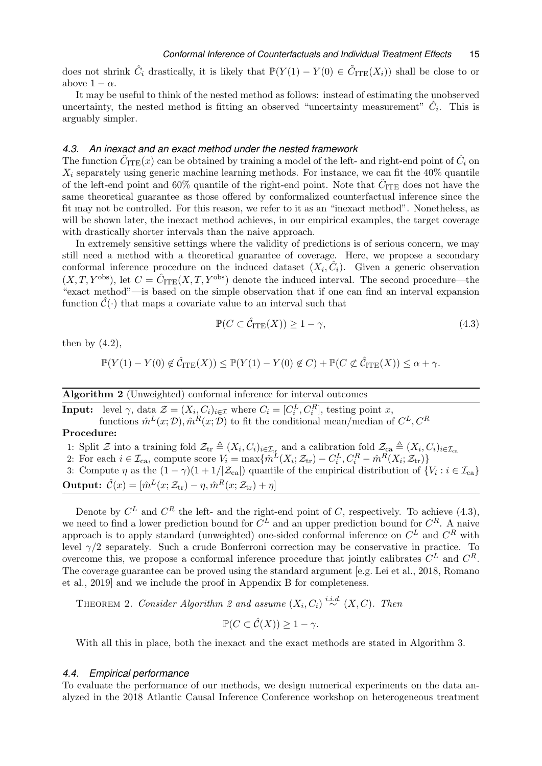does not shrink  $\hat{C}_i$  drastically, it is likely that  $\mathbb{P}(Y(1) - Y(0) \in \tilde{C}_{\text{ITE}}(X_i))$  shall be close to or above  $1 - \alpha$ .

It may be useful to think of the nested method as follows: instead of estimating the unobserved uncertainty, the nested method is fitting an observed "uncertainty measurement"  $\hat{C}_i$ . This is arguably simpler.

#### *4.3. An inexact and an exact method under the nested framework*

The function  $\tilde{C}_{\rmITE}(x)$  can be obtained by training a model of the left- and right-end point of  $\hat{C}_i$  on  $X_i$  separately using generic machine learning methods. For instance, we can fit the  $40\%$  quantile of the left-end point and 60% quantile of the right-end point. Note that  $\tilde{C}_{\text{ITE}}$  does not have the same theoretical guarantee as those offered by conformalized counterfactual inference since the fit may not be controlled. For this reason, we refer to it as an "inexact method". Nonetheless, as will be shown later, the inexact method achieves, in our empirical examples, the target coverage with drastically shorter intervals than the naive approach.

In extremely sensitive settings where the validity of predictions is of serious concern, we may still need a method with a theoretical guarantee of coverage. Here, we propose a secondary conformal inference procedure on the induced dataset  $(X_i, \hat{C}_i)$ . Given a generic observation  $(X, T, Y^{\text{obs}})$ , let  $C = \hat{C}_{\text{ITE}}(X, T, Y^{\text{obs}})$  denote the induced interval. The second procedure—the "exact method"—is based on the simple observation that if one can find an interval expansion function  $\hat{\mathcal{C}}(\cdot)$  that maps a covariate value to an interval such that

<span id="page-14-0"></span>
$$
\mathbb{P}(C \subset \hat{\mathcal{C}}_{\text{ITE}}(X)) \ge 1 - \gamma,\tag{4.3}
$$

then by  $(4.2)$ ,

$$
\mathbb{P}(Y(1) - Y(0) \notin \hat{\mathcal{C}}_{\mathrm{ITE}}(X)) \le \mathbb{P}(Y(1) - Y(0) \notin C) + \mathbb{P}(C \notin \hat{\mathcal{C}}_{\mathrm{ITE}}(X)) \le \alpha + \gamma.
$$

#### Algorithm 2 (Unweighted) conformal inference for interval outcomes

<span id="page-14-1"></span>**Input:** level  $\gamma$ , data  $\mathcal{Z} = (X_i, C_i)_{i \in \mathcal{I}}$  where  $C_i = [C_i^L, C_i^R]$ , testing point x, functions  $\hat{m}^L(x; \mathcal{D}), \hat{m}^R(x; \mathcal{D})$  to fit the conditional mean/median of  $C^L, C^R$ 

# Procedure:

1: Split  $\mathcal Z$  into a training fold  $\mathcal Z_{\text{tr}} \triangleq (X_i, C_i)_{i \in \mathcal I_{\text{tr}}}$  and a calibration fold  $\mathcal Z_{\text{ca}} \triangleq (X_i, C_i)_{i \in \mathcal I_{\text{ca}}}$ 

2: For each  $i \in \mathcal{I}_{\text{ca}}$ , compute score  $V_i = \max\{\hat{m}^L(X_i; \mathcal{Z}_{\text{tr}}) - C_i^L, C_i^R - \hat{m}^R(X_i; \mathcal{Z}_{\text{tr}})\}\$ 3: Compute  $\eta$  as the  $(1 - \gamma)(1 + 1/\mathcal{Z}_{\text{ca}})$  quantile of the empirical distribution of  $\{V_i : i \in \mathcal{I}_{\text{ca}}\}$ **Output:**  $\hat{\mathcal{C}}(x) = [\hat{m}^L(x; \mathcal{Z}_{tr}) - \eta, \hat{m}^R(x; \mathcal{Z}_{tr}) + \eta]$ 

Denote by  $C^L$  and  $C^R$  the left- and the right-end point of C, respectively. To achieve [\(4.3\),](#page-14-0) we need to find a lower prediction bound for  $C^L$  and an upper prediction bound for  $C^R$ . A naive approach is to apply standard (unweighted) one-sided conformal inference on  $C<sup>L</sup>$  and  $C<sup>R</sup>$  with level  $\gamma/2$  separately. Such a crude Bonferroni correction may be conservative in practice. To overcome this, we propose a conformal inference procedure that jointly calibrates  $C^L$  and  $C^R$ . The coverage guarantee can be proved using the standard argument [e.g. [Lei et al., 2018,](#page-21-7) [Romano](#page-22-13) [et al., 2019\]](#page-22-13) and we include the proof in Appendix [B](#page-34-0) for completeness.

THEOREM [2](#page-14-1). Consider Algorithm 2 and assume  $(X_i, C_i) \stackrel{i.i.d.}{\sim} (X, C)$ . Then

<span id="page-14-2"></span>
$$
\mathbb{P}(C \subset \hat{\mathcal{C}}(X)) \ge 1 - \gamma.
$$

With all this in place, both the inexact and the exact methods are stated in Algorithm [3.](#page-15-0)

### *4.4. Empirical performance*

To evaluate the performance of our methods, we design numerical experiments on the data analyzed in the 2018 Atlantic Causal Inference Conference workshop on heterogeneous treatment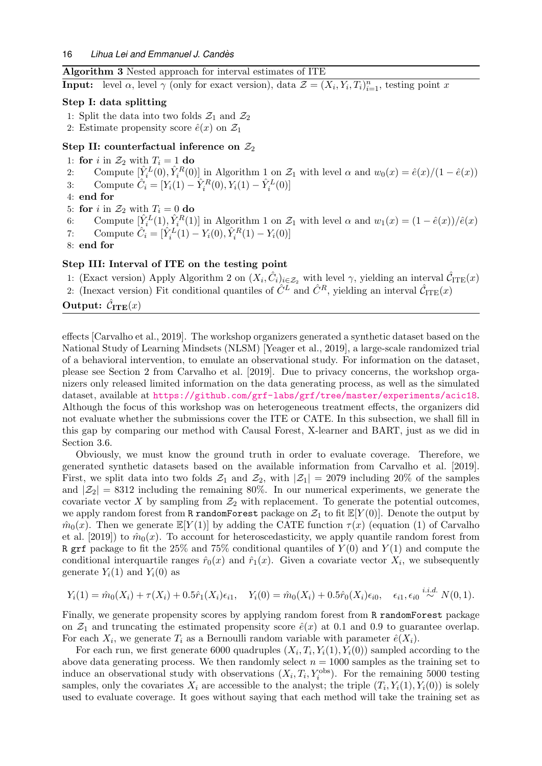## Algorithm 3 Nested approach for interval estimates of ITE

<span id="page-15-0"></span>**Input:** level  $\alpha$ , level  $\gamma$  (only for exact version), data  $\mathcal{Z} = (X_i, Y_i, T_i)_{i=1}^n$ , testing point x

#### Step I: data splitting

- 1: Split the data into two folds  $\mathcal{Z}_1$  and  $\mathcal{Z}_2$
- 2: Estimate propensity score  $\hat{e}(x)$  on  $\mathcal{Z}_1$

#### Step II: counterfactual inference on  $\mathcal{Z}_2$

- 1: for i in  $\mathcal{Z}_2$  with  $T_i = 1$  do
- 2: Compute  $[\hat{Y}_i^L(0), \hat{Y}_i^R(0)]$  in Algorithm [1](#page-5-1) on  $\mathcal{Z}_1$  with level  $\alpha$  and  $w_0(x) = \hat{e}(x)/(1 \hat{e}(x))$
- 3: Compute  $\hat{C}_i = [Y_i(1) \hat{Y}_i^R(0), Y_i(1) \hat{Y}_i^L(0)]$
- 4: end for
- 5: for i in  $\mathcal{Z}_2$  with  $T_i = 0$  do
- 6: Compute  $[\hat{Y}_i^L(1), \hat{Y}_i^R(1)]$  $[\hat{Y}_i^L(1), \hat{Y}_i^R(1)]$  $[\hat{Y}_i^L(1), \hat{Y}_i^R(1)]$  in Algorithm 1 on  $\mathcal{Z}_1$  with level  $\alpha$  and  $w_1(x) = (1 \hat{e}(x))/\hat{e}(x)$
- 7: Compute  $\hat{C}_i = [\hat{Y}_i^L(1) Y_i(0), \hat{Y}_i^R(1) Y_i(0)]$
- 8: end for

# Step III: Interval of ITE on the testing point

- 1: (Exact version) Apply Algorithm [2](#page-14-1) on  $(X_i, \hat{C}_i)_{i \in \mathcal{Z}_2}$  with level  $\gamma$ , yielding an interval  $\hat{C}_{\text{ITE}}(x)$
- 2: (Inexact version) Fit conditional quantiles of  $\hat{C}^L$  and  $\hat{C}^R$ , yielding an interval  $\hat{C}_{\text{ITE}}(x)$

# Output:  $\hat{\mathcal{C}}_{\textbf{ITE}}(x)$

effects [\[Carvalho et al., 2019\]](#page-20-15). The workshop organizers generated a synthetic dataset based on the National Study of Learning Mindsets (NLSM) [\[Yeager et al., 2019\]](#page-24-3), a large-scale randomized trial of a behavioral intervention, to emulate an observational study. For information on the dataset, please see Section 2 from [Carvalho et al. \[2019\]](#page-20-15). Due to privacy concerns, the workshop organizers only released limited information on the data generating process, as well as the simulated dataset, available at <https://github.com/grf-labs/grf/tree/master/experiments/acic18>. Although the focus of this workshop was on heterogeneous treatment effects, the organizers did not evaluate whether the submissions cover the ITE or CATE. In this subsection, we shall fill in this gap by comparing our method with Causal Forest, X-learner and BART, just as we did in Section [3.6.](#page-8-2)

Obviously, we must know the ground truth in order to evaluate coverage. Therefore, we generated synthetic datasets based on the available information from [Carvalho et al. \[2019\]](#page-20-15). First, we split data into two folds  $\mathcal{Z}_1$  and  $\mathcal{Z}_2$ , with  $|\mathcal{Z}_1| = 2079$  including 20% of the samples and  $|\mathcal{Z}_2| = 8312$  including the remaining 80%. In our numerical experiments, we generate the covariate vector X by sampling from  $\mathcal{Z}_2$  with replacement. To generate the potential outcomes, we apply random forest from R random Forest package on  $\mathcal{Z}_1$  to fit  $\mathbb{E}[Y(0)]$ . Denote the output by  $\hat{m}_0(x)$ . Then we generate  $\mathbb{E}[Y(1)]$  by adding the CATE function  $\tau(x)$  (equation (1) of [Carvalho](#page-20-15) [et al. \[2019\]](#page-20-15)) to  $\hat{m}_0(x)$ . To account for heteroscedasticity, we apply quantile random forest from R grf package to fit the 25% and 75% conditional quantiles of  $Y(0)$  and  $Y(1)$  and compute the conditional interquartile ranges  $\hat{r}_0(x)$  and  $\hat{r}_1(x)$ . Given a covariate vector  $X_i$ , we subsequently generate  $Y_i(1)$  and  $Y_i(0)$  as

$$
Y_i(1) = \hat{m}_0(X_i) + \tau(X_i) + 0.5\hat{r}_1(X_i)\epsilon_{i1}, \quad Y_i(0) = \hat{m}_0(X_i) + 0.5\hat{r}_0(X_i)\epsilon_{i0}, \quad \epsilon_{i1}, \epsilon_{i0} \stackrel{i.i.d.}{\sim} N(0, 1).
$$

Finally, we generate propensity scores by applying random forest from R randomForest package on  $\mathcal{Z}_1$  and truncating the estimated propensity score  $\hat{e}(x)$  at 0.1 and 0.9 to guarantee overlap. For each  $X_i$ , we generate  $T_i$  as a Bernoulli random variable with parameter  $\hat{e}(X_i)$ .

For each run, we first generate 6000 quadruples  $(X_i, T_i, Y_i(1), Y_i(0))$  sampled according to the above data generating process. We then randomly select  $n = 1000$  samples as the training set to induce an observational study with observations  $(X_i, T_i, Y_i^{\text{obs}})$ . For the remaining 5000 testing samples, only the covariates  $X_i$  are accessible to the analyst; the triple  $(T_i, Y_i(1), Y_i(0))$  is solely used to evaluate coverage. It goes without saying that each method will take the training set as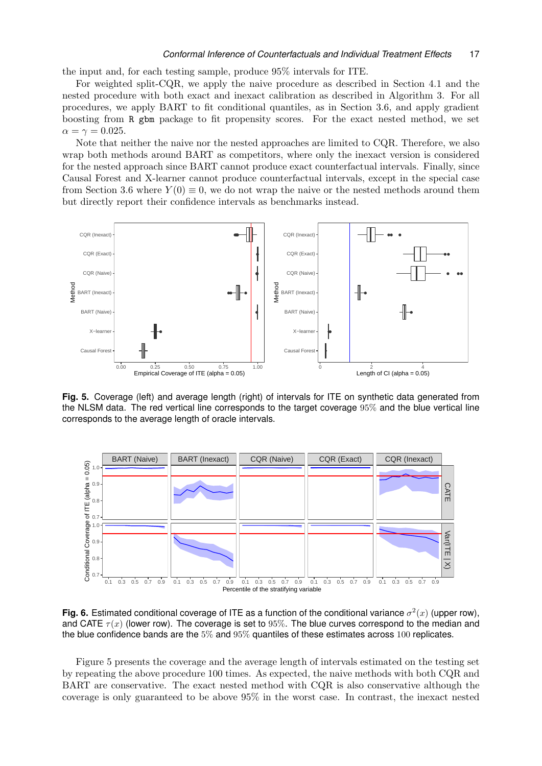the input and, for each testing sample, produce 95% intervals for ITE.

For weighted split-CQR, we apply the naive procedure as described in Section [4.1](#page-13-4) and the nested procedure with both exact and inexact calibration as described in Algorithm [3.](#page-15-0) For all procedures, we apply BART to fit conditional quantiles, as in Section [3.6,](#page-8-2) and apply gradient boosting from R gbm package to fit propensity scores. For the exact nested method, we set  $\alpha = \gamma = 0.025$ .

Note that neither the naive nor the nested approaches are limited to CQR. Therefore, we also wrap both methods around BART as competitors, where only the inexact version is considered for the nested approach since BART cannot produce exact counterfactual intervals. Finally, since Causal Forest and X-learner cannot produce counterfactual intervals, except in the special case from Section [3.6](#page-8-2) where  $Y(0) \equiv 0$ , we do not wrap the naive or the nested methods around them but directly report their confidence intervals as benchmarks instead.



<span id="page-16-0"></span>**Fig. 5.** Coverage (left) and average length (right) of intervals for ITE on synthetic data generated from the NLSM data. The red vertical line corresponds to the target coverage 95% and the blue vertical line corresponds to the average length of oracle intervals.



<span id="page-16-1"></span>Fig. 6. Estimated conditional coverage of ITE as a function of the conditional variance  $\sigma^2(x)$  (upper row), and CATE  $\tau(x)$  (lower row). The coverage is set to 95%. The blue curves correspond to the median and the blue confidence bands are the 5% and 95% quantiles of these estimates across 100 replicates.

Figure [5](#page-16-0) presents the coverage and the average length of intervals estimated on the testing set by repeating the above procedure 100 times. As expected, the naive methods with both CQR and BART are conservative. The exact nested method with CQR is also conservative although the coverage is only guaranteed to be above 95% in the worst case. In contrast, the inexact nested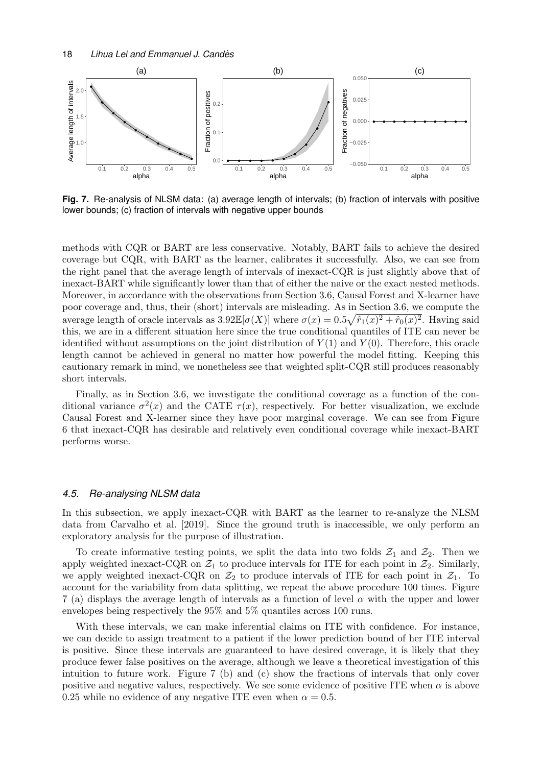

<span id="page-17-0"></span>**Fig. 7.** Re-analysis of NLSM data: (a) average length of intervals; (b) fraction of intervals with positive lower bounds; (c) fraction of intervals with negative upper bounds

methods with CQR or BART are less conservative. Notably, BART fails to achieve the desired coverage but CQR, with BART as the learner, calibrates it successfully. Also, we can see from the right panel that the average length of intervals of inexact-CQR is just slightly above that of inexact-BART while significantly lower than that of either the naive or the exact nested methods. Moreover, in accordance with the observations from Section [3.6,](#page-8-2) Causal Forest and X-learner have poor coverage and, thus, their (short) intervals are misleading. As in Section [3.6,](#page-8-2) we compute the average length of oracle intervals as  $3.92\mathbb{E}[\sigma(X)]$  where  $\sigma(x) = 0.5\sqrt{\hat{r}_1(x)^2 + \hat{r}_0(x)^2}$ . Having said this, we are in a different situation here since the true conditional quantiles of ITE can never be identified without assumptions on the joint distribution of  $Y(1)$  and  $Y(0)$ . Therefore, this oracle length cannot be achieved in general no matter how powerful the model fitting. Keeping this cautionary remark in mind, we nonetheless see that weighted split-CQR still produces reasonably short intervals.

Finally, as in Section [3.6,](#page-8-2) we investigate the conditional coverage as a function of the conditional variance  $\sigma^2(x)$  and the CATE  $\tau(x)$ , respectively. For better visualization, we exclude Causal Forest and X-learner since they have poor marginal coverage. We can see from Figure [6](#page-16-1) that inexact-CQR has desirable and relatively even conditional coverage while inexact-BART performs worse.

#### *4.5. Re-analysing NLSM data*

In this subsection, we apply inexact-CQR with BART as the learner to re-analyze the NLSM data from [Carvalho et al. \[2019\]](#page-20-15). Since the ground truth is inaccessible, we only perform an exploratory analysis for the purpose of illustration.

To create informative testing points, we split the data into two folds  $\mathcal{Z}_1$  and  $\mathcal{Z}_2$ . Then we apply weighted inexact-CQR on  $\mathcal{Z}_1$  to produce intervals for ITE for each point in  $\mathcal{Z}_2$ . Similarly, we apply weighted inexact-CQR on  $\mathcal{Z}_2$  to produce intervals of ITE for each point in  $\mathcal{Z}_1$ . To account for the variability from data splitting, we repeat the above procedure 100 times. Figure [7](#page-17-0) (a) displays the average length of intervals as a function of level  $\alpha$  with the upper and lower envelopes being respectively the 95% and 5% quantiles across 100 runs.

With these intervals, we can make inferential claims on ITE with confidence. For instance, we can decide to assign treatment to a patient if the lower prediction bound of her ITE interval is positive. Since these intervals are guaranteed to have desired coverage, it is likely that they produce fewer false positives on the average, although we leave a theoretical investigation of this intuition to future work. Figure [7](#page-17-0) (b) and (c) show the fractions of intervals that only cover positive and negative values, respectively. We see some evidence of positive ITE when  $\alpha$  is above 0.25 while no evidence of any negative ITE even when  $\alpha = 0.5$ .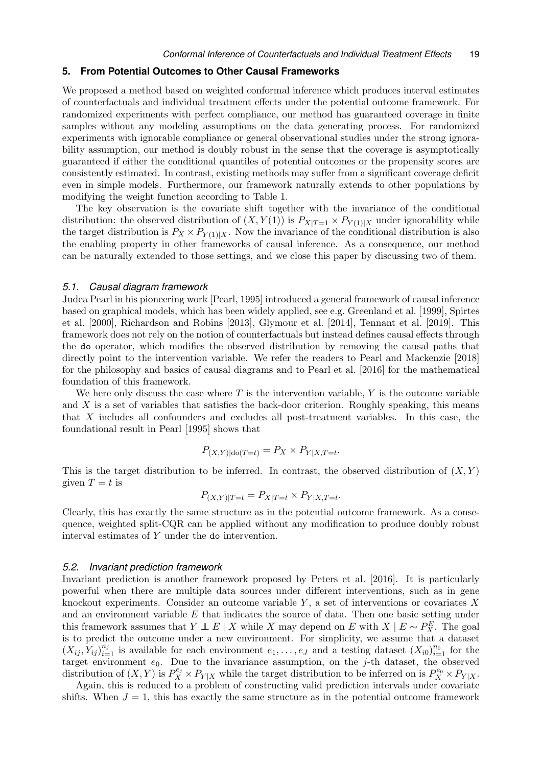#### <span id="page-18-0"></span>**5. From Potential Outcomes to Other Causal Frameworks**

We proposed a method based on weighted conformal inference which produces interval estimates of counterfactuals and individual treatment effects under the potential outcome framework. For randomized experiments with perfect compliance, our method has guaranteed coverage in finite samples without any modeling assumptions on the data generating process. For randomized experiments with ignorable compliance or general observational studies under the strong ignorability assumption, our method is doubly robust in the sense that the coverage is asymptotically guaranteed if either the conditional quantiles of potential outcomes or the propensity scores are consistently estimated. In contrast, existing methods may suffer from a significant coverage deficit even in simple models. Furthermore, our framework naturally extends to other populations by modifying the weight function according to Table [1.](#page-7-0)

The key observation is the covariate shift together with the invariance of the conditional distribution: the observed distribution of  $(X, Y(1))$  is  $P_{X|T=1} \times P_{Y(1)|X}$  under ignorability while the target distribution is  $P_X \times P_{Y(1)|X}$ . Now the invariance of the conditional distribution is also the enabling property in other frameworks of causal inference. As a consequence, our method can be naturally extended to those settings, and we close this paper by discussing two of them.

#### *5.1. Causal diagram framework*

Judea Pearl in his pioneering work [\[Pearl, 1995\]](#page-22-1) introduced a general framework of causal inference based on graphical models, which has been widely applied, see e.g. [Greenland et al. \[1999\]](#page-20-16), [Spirtes](#page-23-15) [et al. \[2000\]](#page-23-15), [Richardson and Robins \[2013\]](#page-22-15), [Glymour et al. \[2014\]](#page-20-17), [Tennant et al. \[2019\]](#page-23-16). This framework does not rely on the notion of counterfactuals but instead defines causal effects through the do operator, which modifies the observed distribution by removing the causal paths that directly point to the intervention variable. We refer the readers to [Pearl and Mackenzie \[2018\]](#page-22-16) for the philosophy and basics of causal diagrams and to [Pearl et al. \[2016\]](#page-22-17) for the mathematical foundation of this framework.

We here only discuss the case where  $T$  is the intervention variable,  $Y$  is the outcome variable and  $X$  is a set of variables that satisfies the back-door criterion. Roughly speaking, this means that X includes all confounders and excludes all post-treatment variables. In this case, the foundational result in [Pearl \[1995\]](#page-22-1) shows that

$$
P_{(X,Y)|\text{do}(T=t)} = P_X \times P_{Y|X,T=t}.
$$

This is the target distribution to be inferred. In contrast, the observed distribution of  $(X, Y)$ given  $T = t$  is

$$
P_{(X,Y)|T=t} = P_{X|T=t} \times P_{Y|X,T=t}.
$$

Clearly, this has exactly the same structure as in the potential outcome framework. As a consequence, weighted split-CQR can be applied without any modification to produce doubly robust interval estimates of Y under the do intervention.

# *5.2. Invariant prediction framework*

Invariant prediction is another framework proposed by [Peters et al. \[2016\]](#page-22-5). It is particularly powerful when there are multiple data sources under different interventions, such as in gene knockout experiments. Consider an outcome variable  $Y$ , a set of interventions or covariates  $X$ and an environment variable  $E$  that indicates the source of data. Then one basic setting under this framework assumes that  $Y \perp E \mid X$  while X may depend on E with  $X \mid E \sim P_X^E$ . The goal is to predict the outcome under a new environment. For simplicity, we assume that a dataset  $(X_{ij}, Y_{ij})_{i=1}^{n_j}$  is available for each environment  $e_1, \ldots, e_J$  and a testing dataset  $(X_{i0})_{i=1}^{n_0}$  for the target environment  $e_0$ . Due to the invariance assumption, on the j-th dataset, the observed distribution of  $(X, Y)$  is  $P_X^{e_j} \times P_{Y|X}$  while the target distribution to be inferred on is  $P_X^{e_0} \times P_{Y|X}$ .

Again, this is reduced to a problem of constructing valid prediction intervals under covariate shifts. When  $J = 1$ , this has exactly the same structure as in the potential outcome framework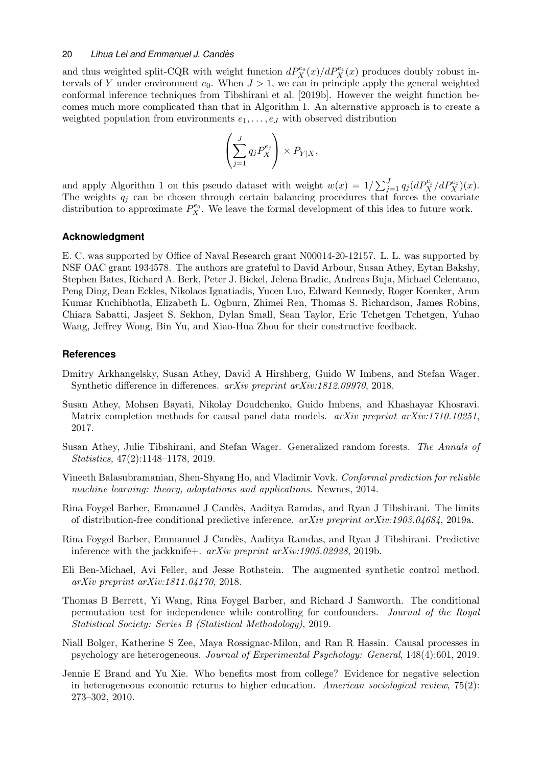and thus weighted split-CQR with weight function  $dP_X^{e_0}(x)/dP_X^{e_1}(x)$  produces doubly robust intervals of Y under environment  $e_0$ . When  $J > 1$ , we can in principle apply the general weighted conformal inference techniques from [Tibshirani et al. \[2019b\]](#page-23-4). However the weight function becomes much more complicated than that in Algorithm [1.](#page-5-1) An alternative approach is to create a weighted population from environments  $e_1, \ldots, e_J$  with observed distribution

$$
\left(\sum_{j=1}^J q_j P_X^{e_j}\right) \times P_{Y|X},
$$

and apply Algorithm [1](#page-5-1) on this pseudo dataset with weight  $w(x) = 1/\sum_{j=1}^{J} q_j (dP_X^{e_j}/dP_X^{e_0})(x)$ . The weights  $q_i$  can be chosen through certain balancing procedures that forces the covariate distribution to approximate  $P_X^{\epsilon_0}$ . We leave the formal development of this idea to future work.

# **Acknowledgment**

E. C. was supported by Office of Naval Research grant N00014-20-12157. L. L. was supported by NSF OAC grant 1934578. The authors are grateful to David Arbour, Susan Athey, Eytan Bakshy, Stephen Bates, Richard A. Berk, Peter J. Bickel, Jelena Bradic, Andreas Buja, Michael Celentano, Peng Ding, Dean Eckles, Nikolaos Ignatiadis, Yucen Luo, Edward Kennedy, Roger Koenker, Arun Kumar Kuchibhotla, Elizabeth L. Ogburn, Zhimei Ren, Thomas S. Richardson, James Robins, Chiara Sabatti, Jasjeet S. Sekhon, Dylan Small, Sean Taylor, Eric Tchetgen Tchetgen, Yuhao Wang, Jeffrey Wong, Bin Yu, and Xiao-Hua Zhou for their constructive feedback.

# **References**

- <span id="page-19-5"></span>Dmitry Arkhangelsky, Susan Athey, David A Hirshberg, Guido W Imbens, and Stefan Wager. Synthetic difference in differences. arXiv preprint arXiv:1812.09970, 2018.
- <span id="page-19-3"></span>Susan Athey, Mohsen Bayati, Nikolay Doudchenko, Guido Imbens, and Khashayar Khosravi. Matrix completion methods for causal panel data models. *arXiv preprint arXiv:1710.10251*, 2017.
- <span id="page-19-8"></span>Susan Athey, Julie Tibshirani, and Stefan Wager. Generalized random forests. The Annals of Statistics, 47(2):1148–1178, 2019.
- <span id="page-19-6"></span>Vineeth Balasubramanian, Shen-Shyang Ho, and Vladimir Vovk. Conformal prediction for reliable machine learning: theory, adaptations and applications. Newnes, 2014.
- <span id="page-19-2"></span>Rina Foygel Barber, Emmanuel J Cand`es, Aaditya Ramdas, and Ryan J Tibshirani. The limits of distribution-free conditional predictive inference.  $arXiv$  preprint  $arXiv:1903.04684$ , 2019a.
- <span id="page-19-7"></span>Rina Foygel Barber, Emmanuel J Cand`es, Aaditya Ramdas, and Ryan J Tibshirani. Predictive inference with the jackknife+.  $arXiv$  preprint  $arXiv:1905.02928$ , 2019b.
- <span id="page-19-4"></span>Eli Ben-Michael, Avi Feller, and Jesse Rothstein. The augmented synthetic control method. arXiv preprint arXiv:1811.04170, 2018.
- <span id="page-19-9"></span>Thomas B Berrett, Yi Wang, Rina Foygel Barber, and Richard J Samworth. The conditional permutation test for independence while controlling for confounders. Journal of the Royal Statistical Society: Series B (Statistical Methodology), 2019.
- <span id="page-19-0"></span>Niall Bolger, Katherine S Zee, Maya Rossignac-Milon, and Ran R Hassin. Causal processes in psychology are heterogeneous. Journal of Experimental Psychology: General, 148(4):601, 2019.
- <span id="page-19-1"></span>Jennie E Brand and Yu Xie. Who benefits most from college? Evidence for negative selection in heterogeneous economic returns to higher education. American sociological review, 75(2): 273–302, 2010.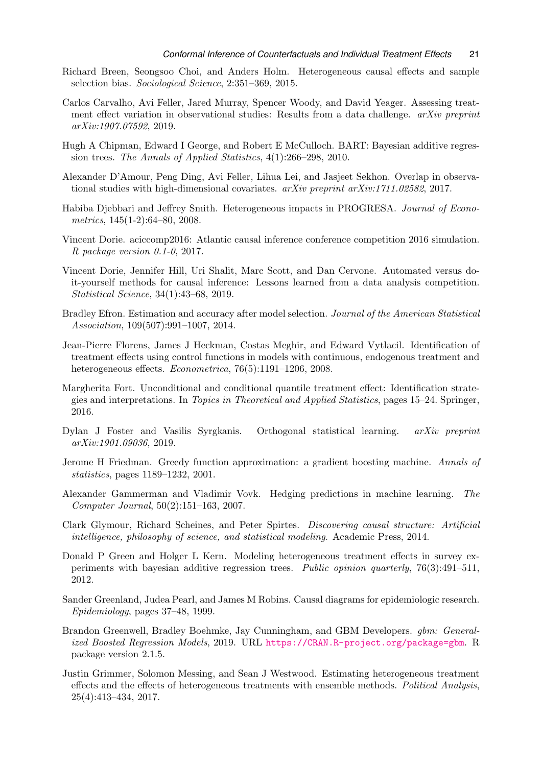- <span id="page-20-1"></span>Richard Breen, Seongsoo Choi, and Anders Holm. Heterogeneous causal effects and sample selection bias. Sociological Science, 2:351–369, 2015.
- <span id="page-20-15"></span>Carlos Carvalho, Avi Feller, Jared Murray, Spencer Woody, and David Yeager. Assessing treatment effect variation in observational studies: Results from a data challenge.  $arXiv$  preprint arXiv:1907.07592, 2019.
- <span id="page-20-9"></span>Hugh A Chipman, Edward I George, and Robert E McCulloch. BART: Bayesian additive regression trees. The Annals of Applied Statistics, 4(1):266–298, 2010.
- <span id="page-20-7"></span>Alexander D'Amour, Peng Ding, Avi Feller, Lihua Lei, and Jasjeet Sekhon. Overlap in observational studies with high-dimensional covariates.  $arXiv$  preprint  $arXiv:1711.02582, 2017$ .
- <span id="page-20-3"></span>Habiba Djebbari and Jeffrey Smith. Heterogeneous impacts in PROGRESA. Journal of Econometrics, 145(1-2):64–80, 2008.
- <span id="page-20-11"></span>Vincent Dorie. aciccomp2016: Atlantic causal inference conference competition 2016 simulation. R package version 0.1-0, 2017.
- <span id="page-20-12"></span>Vincent Dorie, Jennifer Hill, Uri Shalit, Marc Scott, and Dan Cervone. Automated versus doit-yourself methods for causal inference: Lessons learned from a data analysis competition. Statistical Science, 34(1):43–68, 2019.
- <span id="page-20-8"></span>Bradley Efron. Estimation and accuracy after model selection. Journal of the American Statistical Association, 109(507):991–1007, 2014.
- <span id="page-20-2"></span>Jean-Pierre Florens, James J Heckman, Costas Meghir, and Edward Vytlacil. Identification of treatment effects using control functions in models with continuous, endogenous treatment and heterogeneous effects. *Econometrica*, 76(5):1191–1206, 2008.
- <span id="page-20-5"></span>Margherita Fort. Unconditional and conditional quantile treatment effect: Identification strategies and interpretations. In Topics in Theoretical and Applied Statistics, pages 15–24. Springer, 2016.
- <span id="page-20-4"></span>Dylan J Foster and Vasilis Syrgkanis. Orthogonal statistical learning. arXiv preprint arXiv:1901.09036, 2019.
- <span id="page-20-13"></span>Jerome H Friedman. Greedy function approximation: a gradient boosting machine. Annals of statistics, pages 1189–1232, 2001.
- <span id="page-20-6"></span>Alexander Gammerman and Vladimir Vovk. Hedging predictions in machine learning. The Computer Journal, 50(2):151–163, 2007.
- <span id="page-20-17"></span>Clark Glymour, Richard Scheines, and Peter Spirtes. Discovering causal structure: Artificial intelligence, philosophy of science, and statistical modeling. Academic Press, 2014.
- <span id="page-20-10"></span>Donald P Green and Holger L Kern. Modeling heterogeneous treatment effects in survey experiments with bayesian additive regression trees. Public opinion quarterly, 76(3):491–511, 2012.
- <span id="page-20-16"></span>Sander Greenland, Judea Pearl, and James M Robins. Causal diagrams for epidemiologic research. Epidemiology, pages 37–48, 1999.
- <span id="page-20-14"></span>Brandon Greenwell, Bradley Boehmke, Jay Cunningham, and GBM Developers. gbm: Generalized Boosted Regression Models, 2019. URL <https://CRAN.R-project.org/package=gbm>. R package version 2.1.5.
- <span id="page-20-0"></span>Justin Grimmer, Solomon Messing, and Sean J Westwood. Estimating heterogeneous treatment effects and the effects of heterogeneous treatments with ensemble methods. Political Analysis, 25(4):413–434, 2017.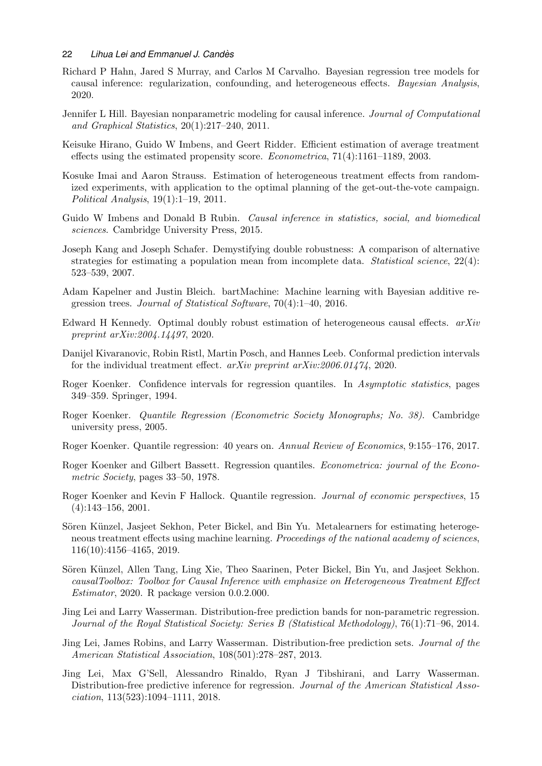- <span id="page-21-17"></span>Richard P Hahn, Jared S Murray, and Carlos M Carvalho. Bayesian regression tree models for causal inference: regularization, confounding, and heterogeneous effects. Bayesian Analysis, 2020.
- <span id="page-21-16"></span>Jennifer L Hill. Bayesian nonparametric modeling for causal inference. Journal of Computational and Graphical Statistics, 20(1):217–240, 2011.
- <span id="page-21-12"></span>Keisuke Hirano, Guido W Imbens, and Geert Ridder. Efficient estimation of average treatment effects using the estimated propensity score. Econometrica, 71(4):1161–1189, 2003.
- <span id="page-21-0"></span>Kosuke Imai and Aaron Strauss. Estimation of heterogeneous treatment effects from randomized experiments, with application to the optimal planning of the get-out-the-vote campaign. Political Analysis, 19(1):1–19, 2011.
- <span id="page-21-2"></span>Guido W Imbens and Donald B Rubin. *Causal inference in statistics, social, and biomedical* sciences. Cambridge University Press, 2015.
- <span id="page-21-1"></span>Joseph Kang and Joseph Schafer. Demystifying double robustness: A comparison of alternative strategies for estimating a population mean from incomplete data. Statistical science, 22(4): 523–539, 2007.
- <span id="page-21-18"></span>Adam Kapelner and Justin Bleich. bartMachine: Machine learning with Bayesian additive regression trees. Journal of Statistical Software, 70(4):1–40, 2016.
- <span id="page-21-3"></span>Edward H Kennedy. Optimal doubly robust estimation of heterogeneous causal effects.  $arXiv$ preprint arXiv:2004.14497, 2020.
- <span id="page-21-13"></span>Danijel Kivaranovic, Robin Ristl, Martin Posch, and Hannes Leeb. Conformal prediction intervals for the individual treatment effect. arXiv preprint arXiv:2006.01474, 2020.
- <span id="page-21-8"></span>Roger Koenker. Confidence intervals for regression quantiles. In Asymptotic statistics, pages 349–359. Springer, 1994.
- <span id="page-21-10"></span>Roger Koenker. Quantile Regression (Econometric Society Monographs; No. 38). Cambridge university press, 2005.
- <span id="page-21-11"></span>Roger Koenker. Quantile regression: 40 years on. Annual Review of Economics, 9:155–176, 2017.
- <span id="page-21-4"></span>Roger Koenker and Gilbert Bassett. Regression quantiles. Econometrica: journal of the Econometric Society, pages 33–50, 1978.
- <span id="page-21-9"></span>Roger Koenker and Kevin F Hallock. Quantile regression. Journal of economic perspectives, 15  $(4):143-156, 2001.$
- <span id="page-21-14"></span>Sören Künzel, Jasjeet Sekhon, Peter Bickel, and Bin Yu. Metalearners for estimating heterogeneous treatment effects using machine learning. Proceedings of the national academy of sciences, 116(10):4156–4165, 2019.
- <span id="page-21-15"></span>Sören Künzel, Allen Tang, Ling Xie, Theo Saarinen, Peter Bickel, Bin Yu, and Jasjeet Sekhon. causalToolbox: Toolbox for Causal Inference with emphasize on Heterogeneous Treatment Effect Estimator, 2020. R package version 0.0.2.000.
- <span id="page-21-6"></span>Jing Lei and Larry Wasserman. Distribution-free prediction bands for non-parametric regression. Journal of the Royal Statistical Society: Series B (Statistical Methodology), 76(1):71–96, 2014.
- <span id="page-21-5"></span>Jing Lei, James Robins, and Larry Wasserman. Distribution-free prediction sets. Journal of the American Statistical Association, 108(501):278–287, 2013.
- <span id="page-21-7"></span>Jing Lei, Max G'Sell, Alessandro Rinaldo, Ryan J Tibshirani, and Larry Wasserman. Distribution-free predictive inference for regression. Journal of the American Statistical Association, 113(523):1094–1111, 2018.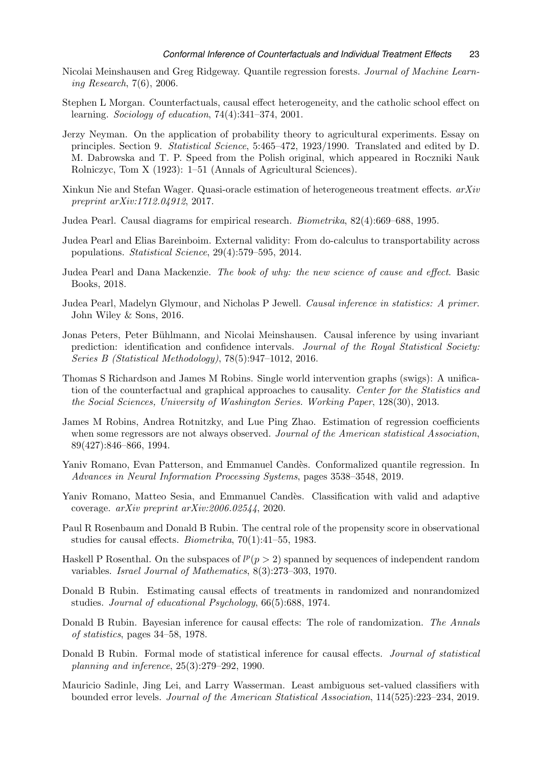- <span id="page-22-14"></span>Nicolai Meinshausen and Greg Ridgeway. Quantile regression forests. Journal of Machine Learning Research, 7(6), 2006.
- <span id="page-22-2"></span>Stephen L Morgan. Counterfactuals, causal effect heterogeneity, and the catholic school effect on learning. Sociology of education, 74(4):341–374, 2001.
- <span id="page-22-3"></span>Jerzy Neyman. On the application of probability theory to agricultural experiments. Essay on principles. Section 9. Statistical Science, 5:465–472, 1923/1990. Translated and edited by D. M. Dabrowska and T. P. Speed from the Polish original, which appeared in Roczniki Nauk Rolniczyc, Tom X (1923): 1–51 (Annals of Agricultural Sciences).
- <span id="page-22-9"></span>Xinkun Nie and Stefan Wager. Quasi-oracle estimation of heterogeneous treatment effects. arXiv preprint arXiv:1712.04912, 2017.
- <span id="page-22-1"></span>Judea Pearl. Causal diagrams for empirical research. Biometrika, 82(4):669–688, 1995.
- <span id="page-22-10"></span>Judea Pearl and Elias Bareinboim. External validity: From do-calculus to transportability across populations. Statistical Science, 29(4):579–595, 2014.
- <span id="page-22-16"></span>Judea Pearl and Dana Mackenzie. The book of why: the new science of cause and effect. Basic Books, 2018.
- <span id="page-22-17"></span>Judea Pearl, Madelyn Glymour, and Nicholas P Jewell. Causal inference in statistics: A primer. John Wiley & Sons, 2016.
- <span id="page-22-5"></span>Jonas Peters, Peter Bühlmann, and Nicolai Meinshausen. Causal inference by using invariant prediction: identification and confidence intervals. Journal of the Royal Statistical Society: Series B (Statistical Methodology), 78(5):947–1012, 2016.
- <span id="page-22-15"></span>Thomas S Richardson and James M Robins. Single world intervention graphs (swigs): A unification of the counterfactual and graphical approaches to causality. Center for the Statistics and the Social Sciences, University of Washington Series. Working Paper, 128(30), 2013.
- <span id="page-22-4"></span>James M Robins, Andrea Rotnitzky, and Lue Ping Zhao. Estimation of regression coefficients when some regressors are not always observed. Journal of the American statistical Association, 89(427):846–866, 1994.
- <span id="page-22-13"></span>Yaniv Romano, Evan Patterson, and Emmanuel Candès. Conformalized quantile regression. In Advances in Neural Information Processing Systems, pages 3538–3548, 2019.
- <span id="page-22-12"></span>Yaniv Romano, Matteo Sesia, and Emmanuel Candès. Classification with valid and adaptive coverage. arXiv preprint arXiv:2006.02544, 2020.
- <span id="page-22-8"></span>Paul R Rosenbaum and Donald B Rubin. The central role of the propensity score in observational studies for causal effects. Biometrika, 70(1):41–55, 1983.
- <span id="page-22-18"></span>Haskell P Rosenthal. On the subspaces of  $l^p(p>2)$  spanned by sequences of independent random variables. Israel Journal of Mathematics, 8(3):273–303, 1970.
- <span id="page-22-0"></span>Donald B Rubin. Estimating causal effects of treatments in randomized and nonrandomized studies. Journal of educational Psychology, 66(5):688, 1974.
- <span id="page-22-7"></span>Donald B Rubin. Bayesian inference for causal effects: The role of randomization. The Annals of statistics, pages 34–58, 1978.
- <span id="page-22-6"></span>Donald B Rubin. Formal mode of statistical inference for causal effects. *Journal of statistical* planning and inference, 25(3):279–292, 1990.
- <span id="page-22-11"></span>Mauricio Sadinle, Jing Lei, and Larry Wasserman. Least ambiguous set-valued classifiers with bounded error levels. Journal of the American Statistical Association, 114(525):223–234, 2019.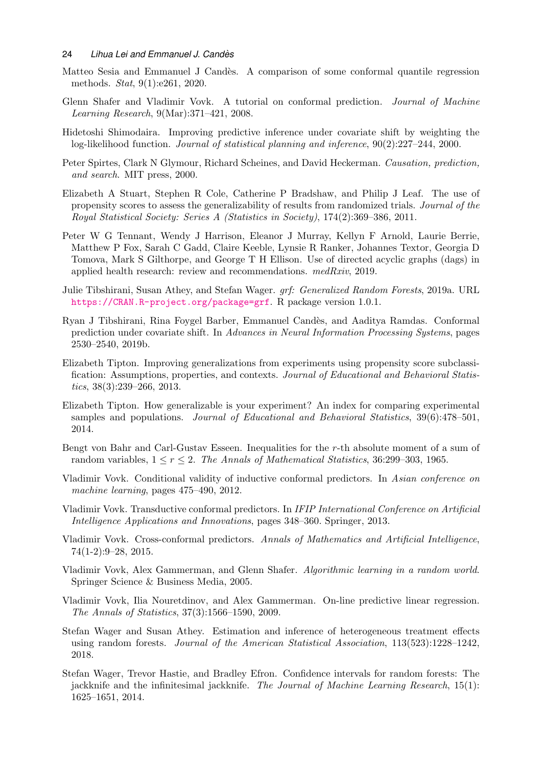- <span id="page-23-14"></span>Matteo Sesia and Emmanuel J Candès. A comparison of some conformal quantile regression methods. Stat, 9(1):e261, 2020.
- <span id="page-23-6"></span>Glenn Shafer and Vladimir Vovk. A tutorial on conformal prediction. Journal of Machine Learning Research, 9(Mar):371–421, 2008.
- <span id="page-23-3"></span>Hidetoshi Shimodaira. Improving predictive inference under covariate shift by weighting the log-likelihood function. Journal of statistical planning and inference, 90(2):227–244, 2000.
- <span id="page-23-15"></span>Peter Spirtes, Clark N Glymour, Richard Scheines, and David Heckerman. Causation, prediction, and search. MIT press, 2000.
- <span id="page-23-0"></span>Elizabeth A Stuart, Stephen R Cole, Catherine P Bradshaw, and Philip J Leaf. The use of propensity scores to assess the generalizability of results from randomized trials. Journal of the Royal Statistical Society: Series A (Statistics in Society), 174(2):369–386, 2011.
- <span id="page-23-16"></span>Peter W G Tennant, Wendy J Harrison, Eleanor J Murray, Kellyn F Arnold, Laurie Berrie, Matthew P Fox, Sarah C Gadd, Claire Keeble, Lynsie R Ranker, Johannes Textor, Georgia D Tomova, Mark S Gilthorpe, and George T H Ellison. Use of directed acyclic graphs (dags) in applied health research: review and recommendations.  $medRxiv$ , 2019.
- <span id="page-23-13"></span>Julie Tibshirani, Susan Athey, and Stefan Wager. grf: Generalized Random Forests, 2019a. URL <https://CRAN.R-project.org/package=grf>. R package version 1.0.1.
- <span id="page-23-4"></span>Ryan J Tibshirani, Rina Foygel Barber, Emmanuel Cand`es, and Aaditya Ramdas. Conformal prediction under covariate shift. In Advances in Neural Information Processing Systems, pages 2530–2540, 2019b.
- <span id="page-23-2"></span>Elizabeth Tipton. Improving generalizations from experiments using propensity score subclassification: Assumptions, properties, and contexts. Journal of Educational and Behavioral Statistics, 38(3):239–266, 2013.
- <span id="page-23-1"></span>Elizabeth Tipton. How generalizable is your experiment? An index for comparing experimental samples and populations. *Journal of Educational and Behavioral Statistics*, 39(6):478–501, 2014.
- <span id="page-23-17"></span>Bengt von Bahr and Carl-Gustav Esseen. Inequalities for the r-th absolute moment of a sum of random variables,  $1 \le r \le 2$ . The Annals of Mathematical Statistics, 36:299–303, 1965.
- <span id="page-23-8"></span>Vladimir Vovk. Conditional validity of inductive conformal predictors. In Asian conference on machine learning, pages 475–490, 2012.
- <span id="page-23-9"></span>Vladimir Vovk. Transductive conformal predictors. In IFIP International Conference on Artificial Intelligence Applications and Innovations, pages 348–360. Springer, 2013.
- <span id="page-23-10"></span>Vladimir Vovk. Cross-conformal predictors. Annals of Mathematics and Artificial Intelligence, 74(1-2):9–28, 2015.
- <span id="page-23-5"></span>Vladimir Vovk, Alex Gammerman, and Glenn Shafer. Algorithmic learning in a random world. Springer Science & Business Media, 2005.
- <span id="page-23-7"></span>Vladimir Vovk, Ilia Nouretdinov, and Alex Gammerman. On-line predictive linear regression. The Annals of Statistics, 37(3):1566–1590, 2009.
- <span id="page-23-11"></span>Stefan Wager and Susan Athey. Estimation and inference of heterogeneous treatment effects using random forests. Journal of the American Statistical Association, 113(523):1228–1242, 2018.
- <span id="page-23-12"></span>Stefan Wager, Trevor Hastie, and Bradley Efron. Confidence intervals for random forests: The jackknife and the infinitesimal jackknife. The Journal of Machine Learning Research, 15(1): 1625–1651, 2014.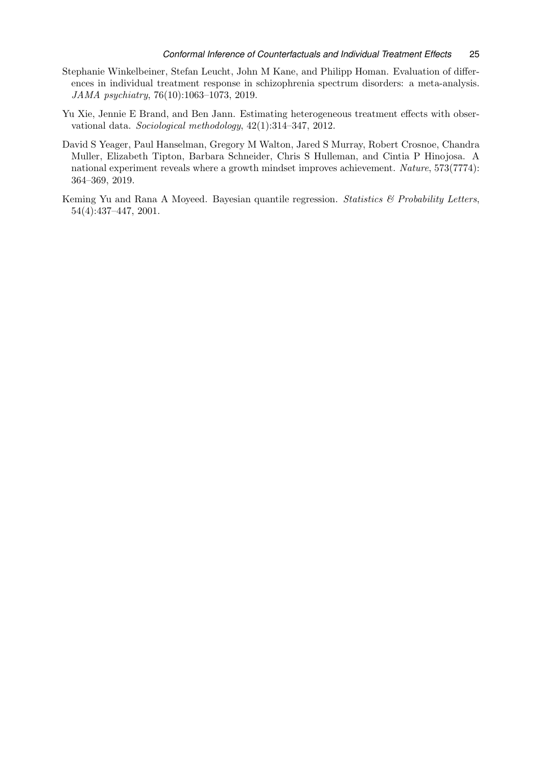- <span id="page-24-0"></span>Stephanie Winkelbeiner, Stefan Leucht, John M Kane, and Philipp Homan. Evaluation of differences in individual treatment response in schizophrenia spectrum disorders: a meta-analysis. JAMA psychiatry, 76(10):1063–1073, 2019.
- <span id="page-24-1"></span>Yu Xie, Jennie E Brand, and Ben Jann. Estimating heterogeneous treatment effects with observational data. Sociological methodology, 42(1):314–347, 2012.
- <span id="page-24-3"></span>David S Yeager, Paul Hanselman, Gregory M Walton, Jared S Murray, Robert Crosnoe, Chandra Muller, Elizabeth Tipton, Barbara Schneider, Chris S Hulleman, and Cintia P Hinojosa. A national experiment reveals where a growth mindset improves achievement. Nature, 573(7774): 364–369, 2019.
- <span id="page-24-2"></span>Keming Yu and Rana A Moyeed. Bayesian quantile regression. Statistics & Probability Letters, 54(4):437–447, 2001.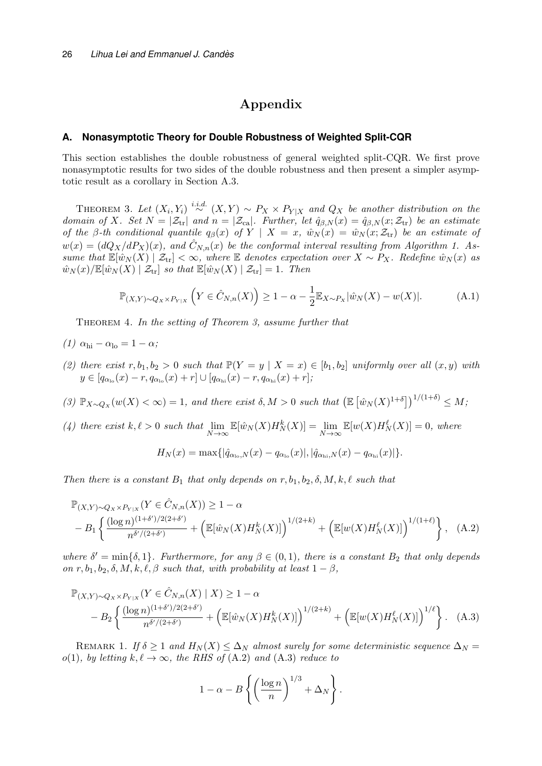# Appendix

## <span id="page-25-0"></span>**A. Nonasymptotic Theory for Double Robustness of Weighted Split-CQR**

This section establishes the double robustness of general weighted split-CQR. We first prove nonasymptotic results for two sides of the double robustness and then present a simpler asymptotic result as a corollary in Section [A.3.](#page-34-2)

<span id="page-25-1"></span>THEOREM 3. Let  $(X_i, Y_i) \stackrel{i.i.d.}{\sim} (X, Y) \sim P_X \times P_{Y|X}$  and  $Q_X$  be another distribution on the domain of X. Set  $N = |\mathcal{Z}_{tr}|$  and  $n = |\mathcal{Z}_{ca}|$ . Further, let  $\hat{q}_{\beta,N}(x) = \hat{q}_{\beta,N}(x; \mathcal{Z}_{tr})$  be an estimate of the β-th conditional quantile  $q_\beta(x)$  of  $Y \mid X = x$ ,  $\hat{w}_N(x) = \hat{w}_N(x; \mathcal{Z}_{tr})$  be an estimate of  $w(x) = (dQ_X/dP_X)(x)$ , and  $\hat{C}_{N,n}(x)$  be the conformal interval resulting from Algorithm [1.](#page-5-1) Assume that  $\mathbb{E}[\hat{w}_N(X) | Z_{tr}] < \infty$ , where  $\mathbb E$  denotes expectation over  $X \sim P_X$ . Redefine  $\hat{w}_N(x)$  as  $\hat{w}_N(x)/\mathbb{E}[\hat{w}_N(X) | \mathcal{Z}_{tr}]$  so that  $\mathbb{E}[\hat{w}_N(X) | \mathcal{Z}_{tr}] = 1$ . Then

<span id="page-25-4"></span>
$$
\mathbb{P}_{(X,Y)\sim Q_X \times P_{Y|X}}\left(Y \in \hat{C}_{N,n}(X)\right) \ge 1 - \alpha - \frac{1}{2} \mathbb{E}_{X \sim P_X} |\hat{w}_N(X) - w(X)|. \tag{A.1}
$$

<span id="page-25-5"></span>THEOREM 4. In the setting of Theorem [3,](#page-25-1) assume further that

- (1)  $\alpha_{\rm hi} \alpha_{\rm lo} = 1 \alpha$ ;
- (2) there exist  $r, b_1, b_2 > 0$  such that  $\mathbb{P}(Y = y \mid X = x) \in [b_1, b_2]$  uniformly over all  $(x, y)$  with  $y \in [q_{\alpha_{\text{lo}}}(x) - r, q_{\alpha_{\text{lo}}}(x) + r] \cup [q_{\alpha_{\text{hi}}}(x) - r, q_{\alpha_{\text{hi}}}(x) + r];$
- (3)  $\mathbb{P}_{X \sim Q_X}(w(X) < \infty) = 1$ , and there exist  $\delta, M > 0$  such that  $\left(\mathbb{E} \left[ \hat{w}_N(X)^{1+\delta} \right]\right)^{1/(1+\delta)} \leq M$ ;
- (4) there exist  $k, \ell > 0$  such that  $\lim_{N \to \infty} \mathbb{E}[\hat{w}_N(X) H_N^k(X)] = \lim_{N \to \infty} \mathbb{E}[w(X) H_N^{\ell}(X)] = 0$ , where  $H_N(x) = \max\{|\hat{q}_{\alpha_{\rm lo},N}(x) - q_{\alpha_{\rm lo}}(x)|, |\hat{q}_{\alpha_{\rm hi},N}(x) - q_{\alpha_{\rm hi}}(x)|\}.$

Then there is a constant  $B_1$  that only depends on  $r, b_1, b_2, \delta, M, k, \ell$  such that

$$
\mathbb{P}_{(X,Y)\sim Q_X \times P_{Y|X}}(Y \in \hat{C}_{N,n}(X)) \ge 1 - \alpha
$$
  
- 
$$
B_1 \left\{ \frac{(\log n)^{(1+\delta')/2(2+\delta')}}{n^{\delta'/(2+\delta')}} + \left( \mathbb{E}[\hat{w}_N(X)H_N^k(X)] \right)^{1/(2+k)} + \left( \mathbb{E}[w(X)H_N^{\ell}(X)] \right)^{1/(1+\ell)} \right\}, \quad (A.2)
$$

where  $\delta' = \min\{\delta, 1\}$ . Furthermore, for any  $\beta \in (0, 1)$ , there is a constant  $B_2$  that only depends on r,  $b_1$ ,  $b_2$ ,  $\delta$ ,  $M$ ,  $k$ ,  $\ell$ ,  $\beta$  such that, with probability at least  $1 - \beta$ ,

$$
\mathbb{P}_{(X,Y)\sim Q_X \times P_{Y|X}}(Y \in \hat{C}_{N,n}(X) \mid X) \ge 1 - \alpha
$$
  
- 
$$
B_2 \left\{ \frac{(\log n)^{(1+\delta')/2(2+\delta')}}{n^{\delta'(2+\delta')}} + \left( \mathbb{E}[\hat{w}_N(X)H_N^k(X)] \right)^{1/(2+k)} + \left( \mathbb{E}[w(X)H_N^{\ell}(X)] \right)^{1/\ell} \right\}. (A.3)
$$

REMARK 1. If  $\delta \geq 1$  and  $H_N(X) \leq \Delta_N$  almost surely for some deterministic sequence  $\Delta_N =$ o(1), by letting  $k, \ell \to \infty$ , the RHS of [\(A.2\)](#page-25-2) and [\(A.3\)](#page-25-3) reduce to

<span id="page-25-3"></span><span id="page-25-2"></span>
$$
1 - \alpha - B \left\{ \left( \frac{\log n}{n} \right)^{1/3} + \Delta_N \right\}.
$$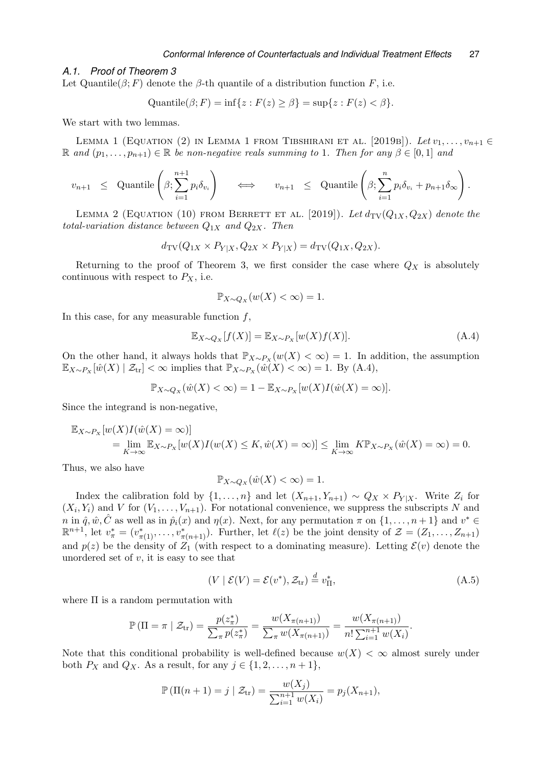#### *A.1. Proof of Theorem [3](#page-25-1)*

Let Quantile( $\beta$ ; F) denote the  $\beta$ -th quantile of a distribution function F, i.e.

<span id="page-26-1"></span>
$$
Quantile(\beta; F) = \inf\{z : F(z) \ge \beta\} = \sup\{z : F(z) < \beta\}.
$$

We start with two lemmas.

LEMMA 1 (EQUATION (2) IN LEMMA 1 FROM TIBSHIRANI ET AL. [2019B]). Let  $v_1, \ldots, v_{n+1} \in$ R and  $(p_1, \ldots, p_{n+1}) \in \mathbb{R}$  be non-negative reals summing to 1. Then for any  $\beta \in [0,1]$  and

$$
v_{n+1} \le \text{Quantile}\left(\beta; \sum_{i=1}^{n+1} p_i \delta_{v_i}\right) \iff v_{n+1} \le \text{Quantile}\left(\beta; \sum_{i=1}^{n} p_i \delta_{v_i} + p_{n+1} \delta_{\infty}\right).
$$

<span id="page-26-2"></span>LEMMA 2 (EQUATION (10) FROM BERRETT ET AL. [2019]). Let  $d_{\text{TV}}(Q_{1X}, Q_{2X})$  denote the total-variation distance between  $Q_{1X}$  and  $Q_{2X}$ . Then

$$
d_{\text{TV}}(Q_{1X} \times P_{Y|X}, Q_{2X} \times P_{Y|X}) = d_{\text{TV}}(Q_{1X}, Q_{2X}).
$$

Returning to the proof of Theorem [3,](#page-25-1) we first consider the case where  $Q_X$  is absolutely continuous with respect to  $P_X$ , i.e.

$$
\mathbb{P}_{X \sim Q_X}(w(X) < \infty) = 1.
$$

In this case, for any measurable function  $f$ ,

<span id="page-26-0"></span>
$$
\mathbb{E}_{X \sim Q_X}[f(X)] = \mathbb{E}_{X \sim P_X}[w(X)f(X)].\tag{A.4}
$$

On the other hand, it always holds that  $\mathbb{P}_{X\sim P_X}(w(X) < \infty) = 1$ . In addition, the assumption  $\mathbb{E}_{X \sim P_X} [\hat{w}(X) | \mathcal{Z}_{tr}] < \infty$  implies that  $\mathbb{P}_{X \sim P_X} (\hat{w}(X) < \infty) = 1$ . By [\(A.4\),](#page-26-0)

$$
\mathbb{P}_{X \sim Q_X}(\hat{w}(X) < \infty) = 1 - \mathbb{E}_{X \sim P_X}[w(X)I(\hat{w}(X) = \infty)].
$$

Since the integrand is non-negative,

$$
\mathbb{E}_{X \sim P_X} [w(X)I(\hat{w}(X) = \infty)]
$$
  
=  $\lim_{K \to \infty} \mathbb{E}_{X \sim P_X} [w(X)I(w(X) \le K, \hat{w}(X) = \infty)] \le \lim_{K \to \infty} K \mathbb{P}_{X \sim P_X} (\hat{w}(X) = \infty) = 0.$ 

Thus, we also have

$$
\mathbb{P}_{X \sim Q_X}(\hat{w}(X) < \infty) = 1.
$$

Index the calibration fold by  $\{1, \ldots, n\}$  and let  $(X_{n+1}, Y_{n+1}) \sim Q_X \times P_{Y|X}$ . Write  $Z_i$  for  $(X_i, Y_i)$  and V for  $(V_1, \ldots, V_{n+1})$ . For notational convenience, we suppress the subscripts N and n in  $\hat{q}, \hat{w}, \hat{C}$  as well as in  $\hat{p}_i(x)$  and  $\eta(x)$ . Next, for any permutation  $\pi$  on  $\{1, \ldots, n+1\}$  and  $v^* \in$  $\mathbb{R}^{n+1}$ , let  $v^*_{\pi} = (v^*_{\pi(1)}, \ldots, v^*_{\pi(n+1)})$ . Further, let  $\ell(z)$  be the joint density of  $\mathcal{Z} = (Z_1, \ldots, Z_{n+1})$ and  $p(z)$  be the density of  $Z_1$  (with respect to a dominating measure). Letting  $\mathcal{E}(v)$  denote the unordered set of  $v$ , it is easy to see that

$$
(V \mid \mathcal{E}(V) = \mathcal{E}(v^*), \mathcal{Z}_{tr}) \stackrel{d}{=} v_{\Pi}^*,\tag{A.5}
$$

where  $\Pi$  is a random permutation with

$$
\mathbb{P}(\Pi = \pi \mid \mathcal{Z}_{tr}) = \frac{p(z_{\pi}^{*})}{\sum_{\pi} p(z_{\pi}^{*})} = \frac{w(X_{\pi(n+1)})}{\sum_{\pi} w(X_{\pi(n+1)})} = \frac{w(X_{\pi(n+1)})}{n! \sum_{i=1}^{n+1} w(X_{i})}.
$$

Note that this conditional probability is well-defined because  $w(X) < \infty$  almost surely under both  $P_X$  and  $Q_X$ . As a result, for any  $j \in \{1, 2, \ldots, n+1\}$ ,

$$
\mathbb{P}(\Pi(n+1) = j \mid \mathcal{Z}_{tr}) = \frac{w(X_j)}{\sum_{i=1}^{n+1} w(X_i)} = p_j(X_{n+1}),
$$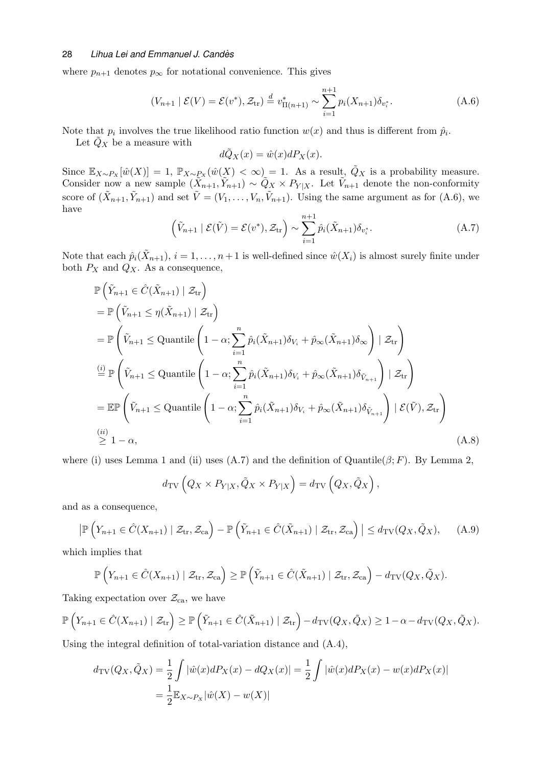where  $p_{n+1}$  denotes  $p_{\infty}$  for notational convenience. This gives

<span id="page-27-0"></span>
$$
(V_{n+1} | \mathcal{E}(V) = \mathcal{E}(v^*), \mathcal{Z}_{tr}) \stackrel{d}{=} v^*_{\Pi(n+1)} \sim \sum_{i=1}^{n+1} p_i(X_{n+1}) \delta_{v_i^*}.
$$
 (A.6)

Note that  $p_i$  involves the true likelihood ratio function  $w(x)$  and thus is different from  $\hat{p}_i$ .

Let  $Q_X$  be a measure with

$$
d\tilde{Q}_X(x) = \hat{w}(x)dP_X(x).
$$

Since  $\mathbb{E}_{X\sim P_X}[\hat{w}(X)] = 1$ ,  $\mathbb{P}_{X\sim P_X}(\hat{w}(X) < \infty) = 1$ . As a result,  $\tilde{Q}_X$  is a probability measure. Consider now a new sample  $(\tilde{X}_{n+1}, \tilde{Y}_{n+1}) \sim \tilde{Q}_X \times P_{Y|X}$ . Let  $\tilde{V}_{n+1}$  denote the non-conformity score of  $(\tilde{X}_{n+1}, \tilde{Y}_{n+1})$  and set  $\tilde{V} = (V_1, \ldots, V_n, \tilde{V}_{n+1})$ . Using the same argument as for  $(A.6)$ , we have

<span id="page-27-1"></span>
$$
\left(\tilde{V}_{n+1} \mid \mathcal{E}(\tilde{V}) = \mathcal{E}(v^*), \mathcal{Z}_{tr}\right) \sim \sum_{i=1}^{n+1} \hat{p}_i(\tilde{X}_{n+1}) \delta_{v_i^*}.
$$
\n(A.7)

Note that each  $\hat{p}_i(\tilde{X}_{n+1}), i = 1, \ldots, n+1$  is well-defined since  $\hat{w}(X_i)$  is almost surely finite under both  $P_X$  and  $Q_X$ . As a consequence,

$$
\mathbb{P}\left(\tilde{Y}_{n+1} \in \hat{C}(\tilde{X}_{n+1}) \mid \mathcal{Z}_{tr}\right)
$$
\n
$$
= \mathbb{P}\left(\tilde{V}_{n+1} \leq \eta(\tilde{X}_{n+1}) \mid \mathcal{Z}_{tr}\right)
$$
\n
$$
= \mathbb{P}\left(\tilde{V}_{n+1} \leq \text{Quantile}\left(1-\alpha; \sum_{i=1}^{n} \hat{p}_{i}(\tilde{X}_{n+1})\delta_{V_{i}} + \hat{p}_{\infty}(\tilde{X}_{n+1})\delta_{\infty}\right) \mid \mathcal{Z}_{tr}\right)
$$
\n
$$
\stackrel{(i)}{=} \mathbb{P}\left(\tilde{V}_{n+1} \leq \text{Quantile}\left(1-\alpha; \sum_{i=1}^{n} \hat{p}_{i}(\tilde{X}_{n+1})\delta_{V_{i}} + \hat{p}_{\infty}(\tilde{X}_{n+1})\delta_{\tilde{V}_{n+1}}\right) \mid \mathcal{Z}_{tr}\right)
$$
\n
$$
= \mathbb{E}\mathbb{P}\left(\tilde{V}_{n+1} \leq \text{Quantile}\left(1-\alpha; \sum_{i=1}^{n} \hat{p}_{i}(\tilde{X}_{n+1})\delta_{V_{i}} + \hat{p}_{\infty}(\tilde{X}_{n+1})\delta_{\tilde{V}_{n+1}}\right) \mid \mathcal{E}(\tilde{V}), \mathcal{Z}_{tr}\right)
$$
\n
$$
\stackrel{(ii)}{\geq} 1-\alpha,
$$
\n(A.8)

where (i) uses Lemma [1](#page-26-1) and (ii) uses [\(A.7\)](#page-27-1) and the definition of Quantile( $\beta$ ; F). By Lemma [2,](#page-26-2)

<span id="page-27-2"></span>
$$
d_{\text{TV}}\left(Q_X \times P_{Y|X}, \tilde{Q}_X \times P_{Y|X}\right) = d_{\text{TV}}\left(Q_X, \tilde{Q}_X\right),
$$

and as a consequence,

<span id="page-27-3"></span>
$$
\left| \mathbb{P}\left( Y_{n+1} \in \hat{C}(X_{n+1}) \mid \mathcal{Z}_{\text{tr}}, \mathcal{Z}_{\text{ca}} \right) - \mathbb{P}\left( \tilde{Y}_{n+1} \in \hat{C}(\tilde{X}_{n+1}) \mid \mathcal{Z}_{\text{tr}}, \mathcal{Z}_{\text{ca}} \right) \right| \le d_{\text{TV}}(Q_X, \tilde{Q}_X), \quad (A.9)
$$

which implies that

$$
\mathbb{P}\left(Y_{n+1}\in \hat{C}(X_{n+1})\mid \mathcal{Z}_{tr},\mathcal{Z}_{ca}\right)\geq \mathbb{P}\left(\tilde{Y}_{n+1}\in \hat{C}(\tilde{X}_{n+1})\mid \mathcal{Z}_{tr},\mathcal{Z}_{ca}\right)-d_{\text{TV}}(Q_X,\tilde{Q}_X).
$$

Taking expectation over  $\mathcal{Z}_{ca}$ , we have

$$
\mathbb{P}\left(Y_{n+1} \in \hat{C}(X_{n+1}) \mid \mathcal{Z}_{tr}\right) \geq \mathbb{P}\left(\tilde{Y}_{n+1} \in \hat{C}(\tilde{X}_{n+1}) \mid \mathcal{Z}_{tr}\right) - d_{\text{TV}}(Q_X, \tilde{Q}_X) \geq 1 - \alpha - d_{\text{TV}}(Q_X, \tilde{Q}_X).
$$

Using the integral definition of total-variation distance and [\(A.4\),](#page-26-0)

$$
d_{\text{TV}}(Q_X, \tilde{Q}_X) = \frac{1}{2} \int |\hat{w}(x) dP_X(x) - dQ_X(x)| = \frac{1}{2} \int |\hat{w}(x) dP_X(x) - w(x) dP_X(x)|
$$
  
= 
$$
\frac{1}{2} \mathbb{E}_{X \sim P_X} |\hat{w}(X) - w(X)|
$$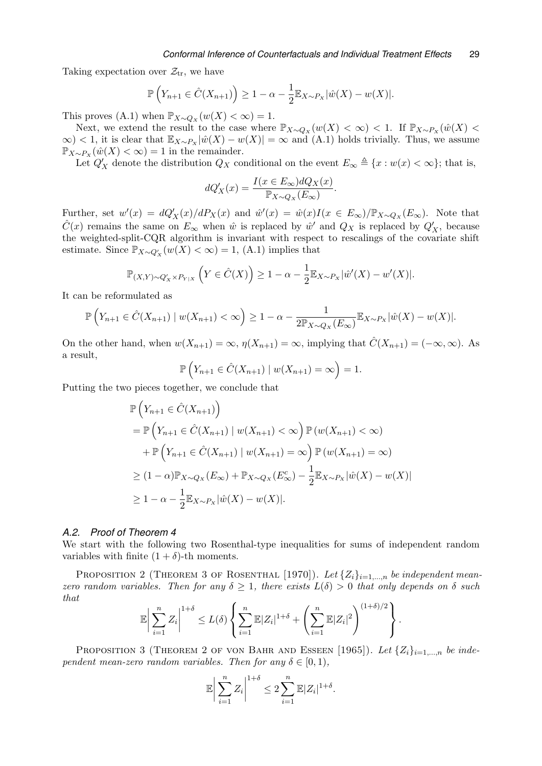Taking expectation over  $\mathcal{Z}_{tr}$ , we have

$$
\mathbb{P}\left(Y_{n+1} \in \hat{C}(X_{n+1})\right) \ge 1 - \alpha - \frac{1}{2} \mathbb{E}_{X \sim P_X} |\hat{w}(X) - w(X)|.
$$

This proves [\(A.1\)](#page-25-4) when  $\mathbb{P}_{X \sim Q_X}(w(X) < \infty) = 1$ .

Next, we extend the result to the case where  $\mathbb{P}_{X\sim Q_X}(w(X) < \infty) < 1$ . If  $\mathbb{P}_{X\sim P_X}(\hat{w}(X) <$  $\infty$  < 1, it is clear that  $\mathbb{E}_{X\sim P_X}|\hat{w}(X) - w(X)| = \infty$  and [\(A.1\)](#page-25-4) holds trivially. Thus, we assume  $\mathbb{P}_{X \sim P_X}(\hat{w}(X) < \infty) = 1$  in the remainder.

Let  $Q'_X$  denote the distribution  $Q_X$  conditional on the event  $E_\infty \triangleq \{x : w(x) < \infty\}$ ; that is,

$$
dQ'_{X}(x) = \frac{I(x \in E_{\infty})dQ_{X}(x)}{\mathbb{P}_{X \sim Q_{X}}(E_{\infty})}.
$$

Further, set  $w'(x) = dQ'_X(x)/dP_X(x)$  and  $\hat{w}'(x) = \hat{w}(x)I(x \in E_\infty)/\mathbb{P}_{X \sim Q_X}(E_\infty)$ . Note that  $\hat{C}(x)$  remains the same on  $E_{\infty}$  when  $\hat{w}$  is replaced by  $\hat{w}'$  and  $Q_X$  is replaced by  $Q'_X$ , because the weighted-split-CQR algorithm is invariant with respect to rescalings of the covariate shift estimate. Since  $\mathbb{P}_{X \sim Q'_X}(w(X) < \infty) = 1$ , [\(A.1\)](#page-25-4) implies that

$$
\mathbb{P}_{(X,Y)\sim Q'_X\times P_{Y|X}}\left(Y\in\hat{C}(X)\right)\geq 1-\alpha-\frac{1}{2}\mathbb{E}_{X\sim P_X}|\hat{w}'(X)-w'(X)|.
$$

It can be reformulated as

$$
\mathbb{P}\left(Y_{n+1}\in\hat{C}(X_{n+1})\mid w(X_{n+1})<\infty\right)\geq 1-\alpha-\frac{1}{2\mathbb{P}_{X\sim Q_X}(E_{\infty})}\mathbb{E}_{X\sim P_X}|\hat{w}(X)-w(X)|.
$$

On the other hand, when  $w(X_{n+1}) = \infty$ ,  $\eta(X_{n+1}) = \infty$ , implying that  $\hat{C}(X_{n+1}) = (-\infty, \infty)$ . As a result,

$$
\mathbb{P}\left(Y_{n+1} \in \hat{C}(X_{n+1}) \mid w(X_{n+1}) = \infty\right) = 1.
$$

Putting the two pieces together, we conclude that

$$
\mathbb{P}\left(Y_{n+1} \in \hat{C}(X_{n+1})\right) \n= \mathbb{P}\left(Y_{n+1} \in \hat{C}(X_{n+1}) \mid w(X_{n+1}) < \infty\right) \mathbb{P}\left(w(X_{n+1}) < \infty\right) \n+ \mathbb{P}\left(Y_{n+1} \in \hat{C}(X_{n+1}) \mid w(X_{n+1}) = \infty\right) \mathbb{P}\left(w(X_{n+1}) = \infty\right) \n\geq (1-\alpha) \mathbb{P}_{X \sim Q_X}(E_{\infty}) + \mathbb{P}_{X \sim Q_X}(E_{\infty}^c) - \frac{1}{2} \mathbb{E}_{X \sim P_X} |\hat{w}(X) - w(X)| \n\geq 1 - \alpha - \frac{1}{2} \mathbb{E}_{X \sim P_X} |\hat{w}(X) - w(X)|.
$$

## *A.2. Proof of Theorem [4](#page-25-5)*

We start with the following two Rosenthal-type inequalities for sums of independent random variables with finite  $(1 + \delta)$ -th moments.

<span id="page-28-0"></span>PROPOSITION 2 (THEOREM 3 OF ROSENTHAL [1970]). Let  $\{Z_i\}_{i=1,\dots,n}$  be independent meanzero random variables. Then for any  $\delta \geq 1$ , there exists  $L(\delta) > 0$  that only depends on  $\delta$  such that

$$
\mathbb{E}\bigg|\sum_{i=1}^n Z_i\bigg|^{1+\delta} \le L(\delta)\left\{\sum_{i=1}^n \mathbb{E}|Z_i|^{1+\delta}+\left(\sum_{i=1}^n \mathbb{E}|Z_i|^2\right)^{(1+\delta)/2}\right\}.
$$

<span id="page-28-1"></span>PROPOSITION 3 (THEOREM 2 OF VON BAHR AND ESSEEN [1965]). Let  $\{Z_i\}_{i=1,\dots,n}$  be independent mean-zero random variables. Then for any  $\delta \in [0,1)$ ,

$$
\mathbb{E}\left|\sum_{i=1}^n Z_i\right|^{1+\delta} \leq 2\sum_{i=1}^n \mathbb{E}|Z_i|^{1+\delta}.
$$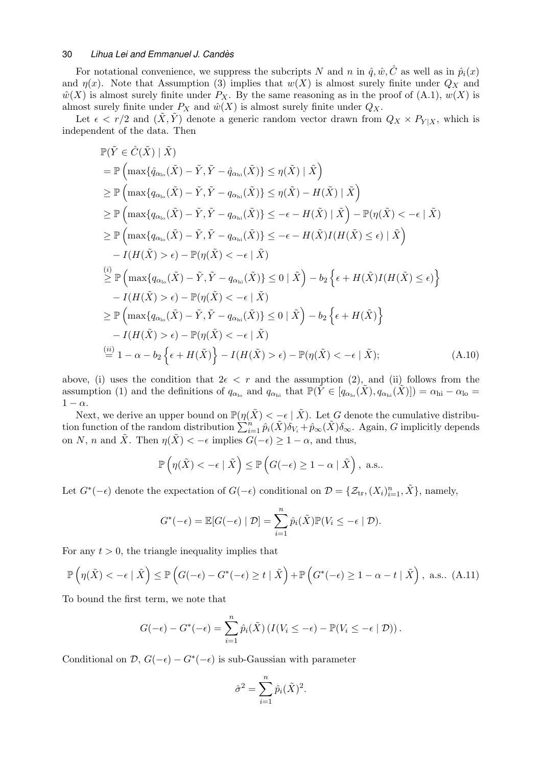For notational convenience, we suppress the subcripts N and n in  $\hat{q}, \hat{w}, \hat{C}$  as well as in  $\hat{p}_i(x)$ and  $\eta(x)$ . Note that Assumption (3) implies that  $w(X)$  is almost surely finite under  $Q_X$  and  $\hat{w}(X)$  is almost surely finite under  $P_X$ . By the same reasoning as in the proof of [\(A.1\),](#page-25-4)  $w(X)$  is almost surely finite under  $P_X$  and  $\hat{w}(X)$  is almost surely finite under  $Q_X$ .

Let  $\epsilon < r/2$  and  $(\tilde{X}, \tilde{Y})$  denote a generic random vector drawn from  $Q_X \times P_{Y|X}$ , which is independent of the data. Then

$$
\mathbb{P}(\tilde{Y} \in \hat{C}(\tilde{X}) \mid \tilde{X})
$$
\n
$$
= \mathbb{P}\left(\max\{\hat{q}_{\alpha_{\text{lo}}}(\tilde{X}) - \tilde{Y}, \tilde{Y} - \hat{q}_{\alpha_{\text{hi}}}(\tilde{X})\} \leq \eta(\tilde{X}) \mid \tilde{X}\right)
$$
\n
$$
\geq \mathbb{P}\left(\max\{q_{\alpha_{\text{lo}}}(\tilde{X}) - \tilde{Y}, \tilde{Y} - q_{\alpha_{\text{hi}}}(\tilde{X})\} \leq \eta(\tilde{X}) - H(\tilde{X}) \mid \tilde{X}\right)
$$
\n
$$
\geq \mathbb{P}\left(\max\{q_{\alpha_{\text{lo}}}(\tilde{X}) - \tilde{Y}, \tilde{Y} - q_{\alpha_{\text{hi}}}(\tilde{X})\} \leq -\epsilon - H(\tilde{X}) \mid \tilde{X}\right) - \mathbb{P}(\eta(\tilde{X}) < -\epsilon \mid \tilde{X})
$$
\n
$$
\geq \mathbb{P}\left(\max\{q_{\alpha_{\text{lo}}}(\tilde{X}) - \tilde{Y}, \tilde{Y} - q_{\alpha_{\text{hi}}}(\tilde{X})\} \leq -\epsilon - H(\tilde{X})I(H(\tilde{X}) \leq \epsilon) \mid \tilde{X}\right)
$$
\n
$$
- I(H(\tilde{X}) > \epsilon) - \mathbb{P}(\eta(\tilde{X}) < -\epsilon \mid \tilde{X})
$$
\n
$$
\geq \mathbb{P}\left(\max\{q_{\alpha_{\text{lo}}}(\tilde{X}) - \tilde{Y}, \tilde{Y} - q_{\alpha_{\text{hi}}}(\tilde{X})\} \leq 0 \mid \tilde{X}\right) - b_2 \left\{\epsilon + H(\tilde{X})I(H(\tilde{X}) \leq \epsilon)\right\}
$$
\n
$$
- I(H(\tilde{X}) > \epsilon) - \mathbb{P}(\eta(\tilde{X}) < -\epsilon \mid \tilde{X})
$$
\n
$$
\geq \mathbb{P}\left(\max\{q_{\alpha_{\text{lo}}}(\tilde{X}) - \tilde{Y}, \tilde{Y} - q_{\alpha_{\text{hi}}}(\tilde{X})\} \leq
$$

above, (i) uses the condition that  $2\epsilon \leq r$  and the assumption (2), and (ii) follows from the assumption (1) and the definitions of  $q_{\alpha_{\rm lo}}$  and  $q_{\alpha_{\rm hi}}$  that  $\mathbb{P}(Y \in [q_{\alpha_{\rm lo}}(X), q_{\alpha_{\rm hi}}(X)]) = \alpha_{\rm hi} - \alpha_{\rm lo} =$  $1 - \alpha$ .

Next, we derive an upper bound on  $\mathbb{P}(\eta(\tilde{X}) < -\epsilon \mid \tilde{X})$ . Let G denote the cumulative distribution function of the random distribution  $\sum_{i=1}^{n} \hat{p}_i(\tilde{X}) \delta_{V_i} + \hat{p}_{\infty}(\tilde{X}) \delta_{\infty}$ . Again, G implicitly depends on N, n and  $\tilde{X}$ . Then  $\eta(\tilde{X}) < -\epsilon$  implies  $G(-\epsilon) \geq 1 - \alpha$ , and thus,

<span id="page-29-0"></span>
$$
\mathbb{P}\left(\eta(\tilde{X}) < -\epsilon \mid \tilde{X}\right) \le \mathbb{P}\left(G(-\epsilon) \ge 1 - \alpha \mid \tilde{X}\right), \text{ a.s.}.
$$

Let  $G^*(-\epsilon)$  denote the expectation of  $G(-\epsilon)$  conditional on  $\mathcal{D} = \{ \mathcal{Z}_{tr}, (X_i)_{i=1}^n, \tilde{X} \}$ , namely,

$$
G^*(-\epsilon) = \mathbb{E}[G(-\epsilon) | \mathcal{D}] = \sum_{i=1}^n \hat{p}_i(\tilde{X}) \mathbb{P}(V_i \leq -\epsilon | \mathcal{D}).
$$

For any  $t > 0$ , the triangle inequality implies that

<span id="page-29-1"></span>
$$
\mathbb{P}\left(\eta(\tilde{X}) < -\epsilon \mid \tilde{X}\right) \le \mathbb{P}\left(G(-\epsilon) - G^*(-\epsilon) \ge t \mid \tilde{X}\right) + \mathbb{P}\left(G^*(-\epsilon) \ge 1 - \alpha - t \mid \tilde{X}\right), \text{ a.s.. (A.11)}
$$

To bound the first term, we note that

$$
G(-\epsilon) - G^*(-\epsilon) = \sum_{i=1}^n \hat{p}_i(\tilde{X}) \left( I(V_i \leq -\epsilon) - \mathbb{P}(V_i \leq -\epsilon \mid \mathcal{D}) \right).
$$

Conditional on  $\mathcal{D}, G(-\epsilon) - G^*(-\epsilon)$  is sub-Gaussian with parameter

$$
\hat{\sigma}^2 = \sum_{i=1}^n \hat{p}_i(\tilde{X})^2.
$$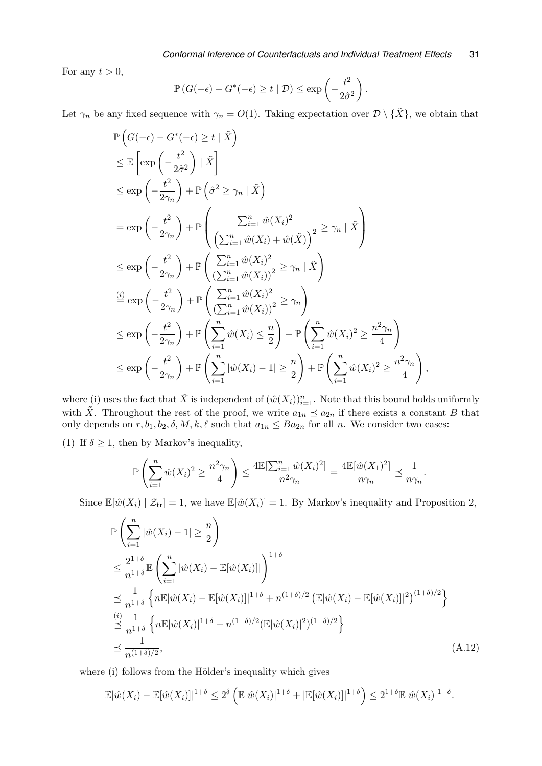For any  $t > 0$ ,

$$
\mathbb{P}\left(G(-\epsilon)-G^*(-\epsilon)\geq t\mid \mathcal{D}\right)\leq \exp\left(-\frac{t^2}{2\hat{\sigma}^2}\right).
$$

Let  $\gamma_n$  be any fixed sequence with  $\gamma_n = O(1)$ . Taking expectation over  $\mathcal{D} \setminus {\tilde{X}}$ , we obtain that

$$
\mathbb{P}\left(G(-\epsilon) - G^*(-\epsilon) \ge t | \tilde{X}\right)
$$
\n
$$
\leq \mathbb{E}\left[\exp\left(-\frac{t^2}{2\hat{\sigma}^2}\right) | \tilde{X}\right]
$$
\n
$$
\leq \exp\left(-\frac{t^2}{2\gamma_n}\right) + \mathbb{P}\left(\hat{\sigma}^2 \geq \gamma_n | \tilde{X}\right)
$$
\n
$$
= \exp\left(-\frac{t^2}{2\gamma_n}\right) + \mathbb{P}\left(\frac{\sum_{i=1}^n \hat{w}(X_i)^2}{\left(\sum_{i=1}^n \hat{w}(X_i) + \hat{w}(\tilde{X})\right)^2} \geq \gamma_n | \tilde{X}\right)
$$
\n
$$
\leq \exp\left(-\frac{t^2}{2\gamma_n}\right) + \mathbb{P}\left(\frac{\sum_{i=1}^n \hat{w}(X_i)^2}{\left(\sum_{i=1}^n \hat{w}(X_i)\right)^2} \geq \gamma_n | \tilde{X}\right)
$$
\n
$$
\stackrel{(i)}{=} \exp\left(-\frac{t^2}{2\gamma_n}\right) + \mathbb{P}\left(\frac{\sum_{i=1}^n \hat{w}(X_i)^2}{\left(\sum_{i=1}^n \hat{w}(X_i)\right)^2} \geq \gamma_n\right)
$$
\n
$$
\leq \exp\left(-\frac{t^2}{2\gamma_n}\right) + \mathbb{P}\left(\sum_{i=1}^n \hat{w}(X_i) \leq \frac{n}{2}\right) + \mathbb{P}\left(\sum_{i=1}^n \hat{w}(X_i)^2 \geq \frac{n^2\gamma_n}{4}\right)
$$
\n
$$
\leq \exp\left(-\frac{t^2}{2\gamma_n}\right) + \mathbb{P}\left(\sum_{i=1}^n |\hat{w}(X_i) - 1| \geq \frac{n}{2}\right) + \mathbb{P}\left(\sum_{i=1}^n \hat{w}(X_i)^2 \geq \frac{n^2\gamma_n}{4}\right),
$$

where (i) uses the fact that  $\tilde{X}$  is independent of  $(\hat{w}(X_i))_{i=1}^n$ . Note that this bound holds uniformly with  $\tilde{X}$ . Throughout the rest of the proof, we write  $a_{1n} \preceq a_{2n}$  if there exists a constant B that only depends on  $r, b_1, b_2, \delta, M, k, \ell$  such that  $a_{1n} \leq Ba_{2n}$  for all n. We consider two cases:

(1) If  $\delta \geq 1$ , then by Markov's inequality,

$$
\mathbb{P}\left(\sum_{i=1}^n \hat{w}(X_i)^2 \ge \frac{n^2\gamma_n}{4}\right) \le \frac{4\mathbb{E}[\sum_{i=1}^n \hat{w}(X_i)^2]}{n^2\gamma_n} = \frac{4\mathbb{E}[\hat{w}(X_1)^2]}{n\gamma_n} \le \frac{1}{n\gamma_n}.
$$

Since  $\mathbb{E}[\hat{w}(X_i) | Z_{tr}] = 1$ , we have  $\mathbb{E}[\hat{w}(X_i)] = 1$ . By Markov's inequality and Proposition [2,](#page-28-0)

$$
\mathbb{P}\left(\sum_{i=1}^{n} |\hat{w}(X_{i}) - 1| \geq \frac{n}{2}\right)
$$
\n
$$
\leq \frac{2^{1+\delta}}{n^{1+\delta}} \mathbb{E}\left(\sum_{i=1}^{n} |\hat{w}(X_{i}) - \mathbb{E}[\hat{w}(X_{i})]| \right)^{1+\delta}
$$
\n
$$
\leq \frac{1}{n^{1+\delta}} \left\{ n\mathbb{E}|\hat{w}(X_{i}) - \mathbb{E}[\hat{w}(X_{i})]|^{1+\delta} + n^{(1+\delta)/2} \left(\mathbb{E}|\hat{w}(X_{i}) - \mathbb{E}[\hat{w}(X_{i})]|^{2}\right)^{(1+\delta)/2} \right\}
$$
\n
$$
\leq \frac{(i)}{n^{1+\delta}} \left\{ n\mathbb{E}|\hat{w}(X_{i})|^{1+\delta} + n^{(1+\delta)/2} \left(\mathbb{E}|\hat{w}(X_{i})|^{2}\right)^{(1+\delta)/2} \right\}
$$
\n
$$
\leq \frac{1}{n^{(1+\delta)/2}}, \tag{A.12}
$$

where (i) follows from the Hölder's inequality which gives

<span id="page-30-0"></span>
$$
\mathbb{E}|\hat{w}(X_i) - \mathbb{E}[\hat{w}(X_i)]|^{1+\delta} \le 2^{\delta} \left( \mathbb{E}|\hat{w}(X_i)|^{1+\delta} + |\mathbb{E}[\hat{w}(X_i)]|^{1+\delta} \right) \le 2^{1+\delta} \mathbb{E}|\hat{w}(X_i)|^{1+\delta}.
$$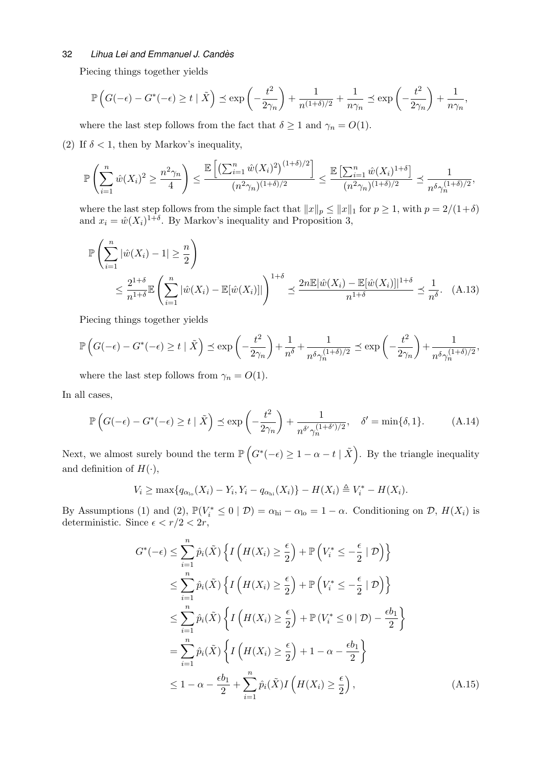Piecing things together yields

$$
\mathbb{P}\left(G(-\epsilon) - G^*(-\epsilon) \ge t \mid \tilde{X}\right) \le \exp\left(-\frac{t^2}{2\gamma_n}\right) + \frac{1}{n^{(1+\delta)/2}} + \frac{1}{n\gamma_n} \le \exp\left(-\frac{t^2}{2\gamma_n}\right) + \frac{1}{n\gamma_n},
$$

where the last step follows from the fact that  $\delta \geq 1$  and  $\gamma_n = O(1)$ .

(2) If  $\delta$  < 1, then by Markov's inequality,

$$
\mathbb{P}\left(\sum_{i=1}^n \hat{w}(X_i)^2 \ge \frac{n^2 \gamma_n}{4}\right) \le \frac{\mathbb{E}\left[\left(\sum_{i=1}^n \hat{w}(X_i)^2\right)^{(1+\delta)/2}\right]}{(n^2 \gamma_n)^{(1+\delta)/2}} \le \frac{\mathbb{E}\left[\sum_{i=1}^n \hat{w}(X_i)^{1+\delta}\right]}{(n^2 \gamma_n)^{(1+\delta)/2}} \le \frac{1}{n^{\delta} \gamma_n^{(1+\delta)/2}},
$$

where the last step follows from the simple fact that  $||x||_p \le ||x||_1$  for  $p \ge 1$ , with  $p = 2/(1+\delta)$ and  $x_i = \hat{w}(X_i)^{1+\delta}$ . By Markov's inequality and Proposition [3,](#page-28-1)

<span id="page-31-1"></span>
$$
\mathbb{P}\left(\sum_{i=1}^{n} |\hat{w}(X_i) - 1| \geq \frac{n}{2}\right)
$$
\n
$$
\leq \frac{2^{1+\delta}}{n^{1+\delta}} \mathbb{E}\left(\sum_{i=1}^{n} |\hat{w}(X_i) - \mathbb{E}[\hat{w}(X_i)]|\right)^{1+\delta} \leq \frac{2n \mathbb{E}|\hat{w}(X_i) - \mathbb{E}[\hat{w}(X_i)]|^{1+\delta}}{n^{1+\delta}} \leq \frac{1}{n^{\delta}}.\tag{A.13}
$$

Piecing things together yields

$$
\mathbb{P}\left(G(-\epsilon) - G^*(-\epsilon) \ge t \mid \tilde{X}\right) \le \exp\left(-\frac{t^2}{2\gamma_n}\right) + \frac{1}{n^{\delta}} + \frac{1}{n^{\delta}\gamma_n^{(1+\delta)/2}} \le \exp\left(-\frac{t^2}{2\gamma_n}\right) + \frac{1}{n^{\delta}\gamma_n^{(1+\delta)/2}},
$$

where the last step follows from  $\gamma_n = O(1)$ .

In all cases,

<span id="page-31-2"></span>
$$
\mathbb{P}\left(G(-\epsilon) - G^*(-\epsilon) \ge t \mid \tilde{X}\right) \le \exp\left(-\frac{t^2}{2\gamma_n}\right) + \frac{1}{n^{\delta'}\gamma_n^{(1+\delta')/2}}, \quad \delta' = \min\{\delta, 1\}.
$$
 (A.14)

Next, we almost surely bound the term  $\mathbb{P}\left(G^*(-\epsilon) \geq 1-\alpha-t \mid \tilde{X}\right)$ . By the triangle inequality and definition of  $H(\cdot)$ ,

$$
V_i \ge \max\{q_{\alpha_{\text{lo}}}(X_i) - Y_i, Y_i - q_{\alpha_{\text{hi}}}(X_i)\} - H(X_i) \triangleq V_i^* - H(X_i).
$$

By Assumptions (1) and (2),  $\mathbb{P}(V_i^* \leq 0 \mid \mathcal{D}) = \alpha_{hi} - \alpha_{lo} = 1 - \alpha$ . Conditioning on  $\mathcal{D}, H(X_i)$  is deterministic. Since  $\epsilon < r/2 < 2r$ ,

<span id="page-31-0"></span>
$$
G^*(-\epsilon) \leq \sum_{i=1}^{n} \hat{p}_i(\tilde{X}) \left\{ I\left(H(X_i) \geq \frac{\epsilon}{2}\right) + \mathbb{P}\left(V_i^* \leq -\frac{\epsilon}{2} \mid \mathcal{D}\right) \right\}
$$
  
\n
$$
\leq \sum_{i=1}^{n} \hat{p}_i(\tilde{X}) \left\{ I\left(H(X_i) \geq \frac{\epsilon}{2}\right) + \mathbb{P}\left(V_i^* \leq -\frac{\epsilon}{2} \mid \mathcal{D}\right) \right\}
$$
  
\n
$$
\leq \sum_{i=1}^{n} \hat{p}_i(\tilde{X}) \left\{ I\left(H(X_i) \geq \frac{\epsilon}{2}\right) + \mathbb{P}\left(V_i^* \leq 0 \mid \mathcal{D}\right) - \frac{\epsilon b_1}{2} \right\}
$$
  
\n
$$
= \sum_{i=1}^{n} \hat{p}_i(\tilde{X}) \left\{ I\left(H(X_i) \geq \frac{\epsilon}{2}\right) + 1 - \alpha - \frac{\epsilon b_1}{2} \right\}
$$
  
\n
$$
\leq 1 - \alpha - \frac{\epsilon b_1}{2} + \sum_{i=1}^{n} \hat{p}_i(\tilde{X}) I\left(H(X_i) \geq \frac{\epsilon}{2}\right), \tag{A.15}
$$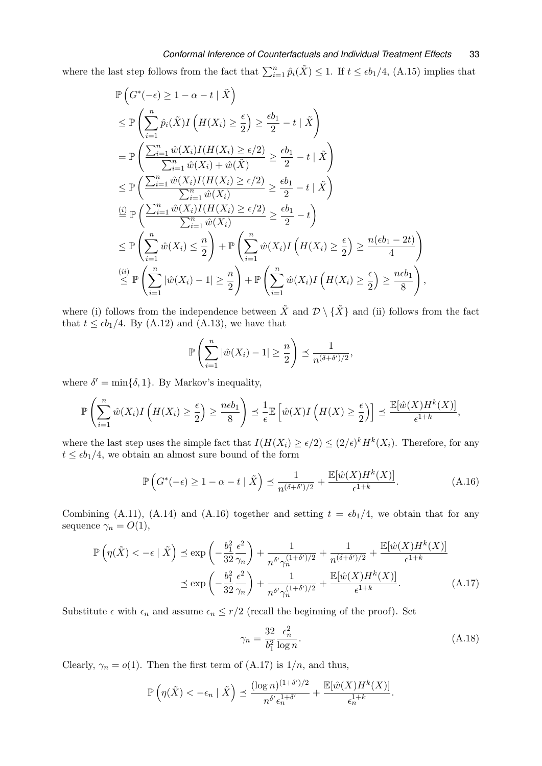# *Conformal Inference of Counterfactuals and Individual Treatment Effects* 33

where the last step follows from the fact that  $\sum_{i=1}^{n} \hat{p}_i(\tilde{X}) \leq 1$ . If  $t \leq \epsilon b_1/4$ , [\(A.15\)](#page-31-0) implies that

$$
\mathbb{P}\left(G^*(-\epsilon) \geq 1 - \alpha - t | \tilde{X}\right)
$$
\n
$$
\leq \mathbb{P}\left(\sum_{i=1}^{n} \hat{p}_i(\tilde{X}) I\left(H(X_i) \geq \frac{\epsilon}{2}\right) \geq \frac{\epsilon b_1}{2} - t | \tilde{X}\right)
$$
\n
$$
= \mathbb{P}\left(\frac{\sum_{i=1}^{n} \hat{w}(X_i) I(H(X_i) \geq \epsilon/2)}{\sum_{i=1}^{n} \hat{w}(X_i) + \hat{w}(\tilde{X})} \geq \frac{\epsilon b_1}{2} - t | \tilde{X}\right)
$$
\n
$$
\leq \mathbb{P}\left(\frac{\sum_{i=1}^{n} \hat{w}(X_i) I(H(X_i) \geq \epsilon/2)}{\sum_{i=1}^{n} \hat{w}(X_i)} \geq \frac{\epsilon b_1}{2} - t | \tilde{X}\right)
$$
\n
$$
\stackrel{(i)}{=} \mathbb{P}\left(\frac{\sum_{i=1}^{n} \hat{w}(X_i) I(H(X_i) \geq \epsilon/2)}{\sum_{i=1}^{n} \hat{w}(X_i)} \geq \frac{\epsilon b_1}{2} - t\right)
$$
\n
$$
\leq \mathbb{P}\left(\sum_{i=1}^{n} \hat{w}(X_i) \leq \frac{n}{2}\right) + \mathbb{P}\left(\sum_{i=1}^{n} \hat{w}(X_i) I\left(H(X_i) \geq \frac{\epsilon}{2}\right) \geq \frac{n(\epsilon b_1 - 2t)}{4}\right)
$$
\n
$$
\stackrel{(ii)}{\leq} \mathbb{P}\left(\sum_{i=1}^{n} |\hat{w}(X_i) - 1| \geq \frac{n}{2}\right) + \mathbb{P}\left(\sum_{i=1}^{n} \hat{w}(X_i) I\left(H(X_i) \geq \frac{\epsilon}{2}\right) \geq \frac{n\epsilon b_1}{8}\right),
$$

where (i) follows from the independence between  $\tilde{X}$  and  $\mathcal{D} \setminus {\{\tilde{X}\}}$  and (ii) follows from the fact that  $t \leq \epsilon b_1/4$ . By [\(A.12\)](#page-30-0) and [\(A.13\),](#page-31-1) we have that

$$
\mathbb{P}\left(\sum_{i=1}^n |\hat{w}(X_i) - 1| \geq \frac{n}{2}\right) \preceq \frac{1}{n^{(\delta + \delta')/2}},
$$

where  $\delta' = \min\{\delta, 1\}$ . By Markov's inequality,

$$
\mathbb{P}\left(\sum_{i=1}^n \hat{w}(X_i)I\left(H(X_i)\geq \frac{\epsilon}{2}\right)\geq \frac{n\epsilon b_1}{8}\right)\preceq \frac{1}{\epsilon}\mathbb{E}\left[\hat{w}(X)I\left(H(X)\geq \frac{\epsilon}{2}\right)\right]\preceq \frac{\mathbb{E}[\hat{w}(X)H^k(X)]}{\epsilon^{1+k}},
$$

where the last step uses the simple fact that  $I(H(X_i) \geq \epsilon/2) \leq (2/\epsilon)^k H^k(X_i)$ . Therefore, for any  $t \leq \epsilon b_1/4$ , we obtain an almost sure bound of the form

<span id="page-32-0"></span>
$$
\mathbb{P}\left(G^*(-\epsilon) \ge 1 - \alpha - t \mid \tilde{X}\right) \le \frac{1}{n^{(\delta+\delta')/2}} + \frac{\mathbb{E}[\hat{w}(X)H^k(X)]}{\epsilon^{1+k}}.
$$
\n(A.16)

Combining [\(A.11\),](#page-29-1) [\(A.14\)](#page-31-2) and [\(A.16\)](#page-32-0) together and setting  $t = \epsilon b_1/4$ , we obtain that for any sequence  $\gamma_n = O(1)$ ,

$$
\mathbb{P}\left(\eta(\tilde{X}) < -\epsilon \mid \tilde{X}\right) \le \exp\left(-\frac{b_1^2}{32} \frac{\epsilon^2}{\gamma_n}\right) + \frac{1}{n^{\delta'} \gamma_n^{(1+\delta')/2}} + \frac{1}{n^{(\delta+\delta')/2}} + \frac{\mathbb{E}[\hat{w}(X)H^k(X)]}{\epsilon^{1+k}}
$$
\n
$$
\le \exp\left(-\frac{b_1^2}{32} \frac{\epsilon^2}{\gamma_n}\right) + \frac{1}{n^{\delta'} \gamma_n^{(1+\delta')/2}} + \frac{\mathbb{E}[\hat{w}(X)H^k(X)]}{\epsilon^{1+k}}.\tag{A.17}
$$

Substitute  $\epsilon$  with  $\epsilon_n$  and assume  $\epsilon_n \leq r/2$  (recall the beginning of the proof). Set

<span id="page-32-1"></span>
$$
\gamma_n = \frac{32}{b_1^2} \frac{\epsilon_n^2}{\log n}.\tag{A.18}
$$

Clearly,  $\gamma_n = o(1)$ . Then the first term of [\(A.17\)](#page-32-1) is  $1/n$ , and thus,

$$
\mathbb{P}\left(\eta(\tilde{X}) < -\epsilon_n \mid \tilde{X}\right) \preceq \frac{(\log n)^{(1+\delta')/2}}{n^{\delta'}\epsilon_n^{1+\delta'}} + \frac{\mathbb{E}[\hat{w}(X)H^k(X)]}{\epsilon_n^{1+k}}.
$$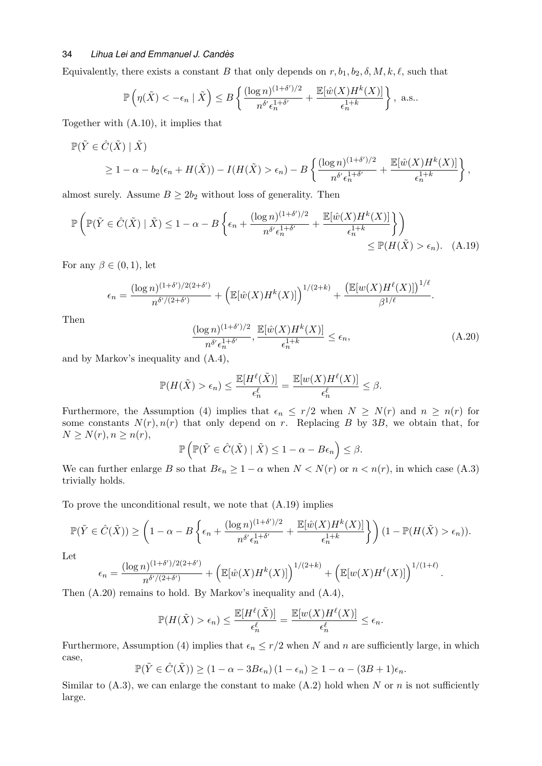Equivalently, there exists a constant B that only depends on  $r, b_1, b_2, \delta, M, k, \ell$ , such that

$$
\mathbb{P}\left(\eta(\tilde{X}) < -\epsilon_n \mid \tilde{X}\right) \le B\left\{\frac{(\log n)^{(1+\delta')/2}}{n^{\delta'}\epsilon_n^{1+\delta'}} + \frac{\mathbb{E}[\hat{w}(X)H^k(X)]}{\epsilon_n^{1+k}}\right\}, \text{ a.s.}
$$

Together with [\(A.10\),](#page-29-0) it implies that

$$
\mathbb{P}(\tilde{Y} \in \hat{C}(\tilde{X}) \mid \tilde{X})
$$
  
\n
$$
\geq 1 - \alpha - b_2(\epsilon_n + H(\tilde{X})) - I(H(\tilde{X}) > \epsilon_n) - B\left\{ \frac{(\log n)^{(1+\delta')/2}}{n^{\delta'} \epsilon_n^{1+\delta'}} + \frac{\mathbb{E}[\hat{w}(X)H^k(X)]}{\epsilon_n^{1+k}} \right\},
$$

almost surely. Assume  $B \geq 2b_2$  without loss of generality. Then

$$
\mathbb{P}\left(\mathbb{P}(\tilde{Y}\in\hat{C}(\tilde{X})\mid\tilde{X})\leq 1-\alpha-B\left\{\epsilon_n+\frac{(\log n)^{(1+\delta')/2}}{n^{\delta'}\epsilon_n^{1+\delta'}}+\frac{\mathbb{E}[\hat{w}(X)H^k(X)]}{\epsilon_n^{1+k}}\right\}\right) \leq \mathbb{P}(H(\tilde{X})>\epsilon_n). \quad (A.19)
$$

For any  $\beta \in (0,1)$ , let

$$
\epsilon_n = \frac{(\log n)^{(1+\delta')/2(2+\delta')}}{n^{\delta'/(2+\delta')}} + \left(\mathbb{E}[\hat{w}(X)H^k(X)]\right)^{1/(2+k)} + \frac{\left(\mathbb{E}[w(X)H^{\ell}(X)]\right)^{1/\ell}}{\beta^{1/\ell}}.
$$

Then

<span id="page-33-1"></span><span id="page-33-0"></span>
$$
\frac{(\log n)^{(1+\delta')/2}}{n^{\delta'}\epsilon_n^{1+\delta'}}, \frac{\mathbb{E}[\hat{w}(X)H^k(X)]}{\epsilon_n^{1+k}} \le \epsilon_n,
$$
\n(A.20)

.

and by Markov's inequality and [\(A.4\),](#page-26-0)

$$
\mathbb{P}(H(\tilde{X}) > \epsilon_n) \le \frac{\mathbb{E}[H^{\ell}(\tilde{X})]}{\epsilon_n^{\ell}} = \frac{\mathbb{E}[w(X)H^{\ell}(X)]}{\epsilon_n^{\ell}} \le \beta.
$$

Furthermore, the Assumption (4) implies that  $\epsilon_n \leq r/2$  when  $N \geq N(r)$  and  $n \geq n(r)$  for some constants  $N(r)$ ,  $n(r)$  that only depend on r. Replacing B by 3B, we obtain that, for  $N \geq N(r), n \geq n(r),$ 

$$
\mathbb{P}\left(\mathbb{P}(\tilde{Y}\in\hat{C}(\tilde{X})\mid\tilde{X})\leq 1-\alpha-B\epsilon_n\right)\leq\beta.
$$

We can further enlarge B so that  $B\epsilon_n \geq 1 - \alpha$  when  $N < N(r)$  or  $n < n(r)$ , in which case [\(A.3\)](#page-25-3) trivially holds.

To prove the unconditional result, we note that [\(A.19\)](#page-33-0) implies

$$
\mathbb{P}(\tilde{Y} \in \hat{C}(\tilde{X})) \geq \left(1 - \alpha - B\left\{\epsilon_n + \frac{(\log n)^{(1+\delta')/2}}{n^{\delta'}\epsilon_n^{1+\delta'}} + \frac{\mathbb{E}[\hat{w}(X)H^k(X)]}{\epsilon_n^{1+k}}\right\}\right) (1 - \mathbb{P}(H(\tilde{X}) > \epsilon_n)).
$$

Let

$$
\epsilon_n = \frac{(\log n)^{(1+\delta')/2(2+\delta')}}{n^{\delta'/(2+\delta')}} + \left(\mathbb{E}[\hat{w}(X)H^k(X)]\right)^{1/(2+k)} + \left(\mathbb{E}[w(X)H^\ell(X)]\right)^{1/(1+\ell)}
$$

Then [\(A.20\)](#page-33-1) remains to hold. By Markov's inequality and [\(A.4\),](#page-26-0)

$$
\mathbb{P}(H(\tilde{X}) > \epsilon_n) \le \frac{\mathbb{E}[H^{\ell}(\tilde{X})]}{\epsilon_n^{\ell}} = \frac{\mathbb{E}[w(X)H^{\ell}(X)]}{\epsilon_n^{\ell}} \le \epsilon_n.
$$

Furthermore, Assumption (4) implies that  $\epsilon_n \leq r/2$  when N and n are sufficiently large, in which case,

$$
\mathbb{P}(\tilde{Y}\in\hat{C}(\tilde{X}))\geq (1-\alpha-3B\epsilon_n)(1-\epsilon_n)\geq 1-\alpha-(3B+1)\epsilon_n.
$$

Similar to  $(A.3)$ , we can enlarge the constant to make  $(A.2)$  hold when N or n is not sufficiently large.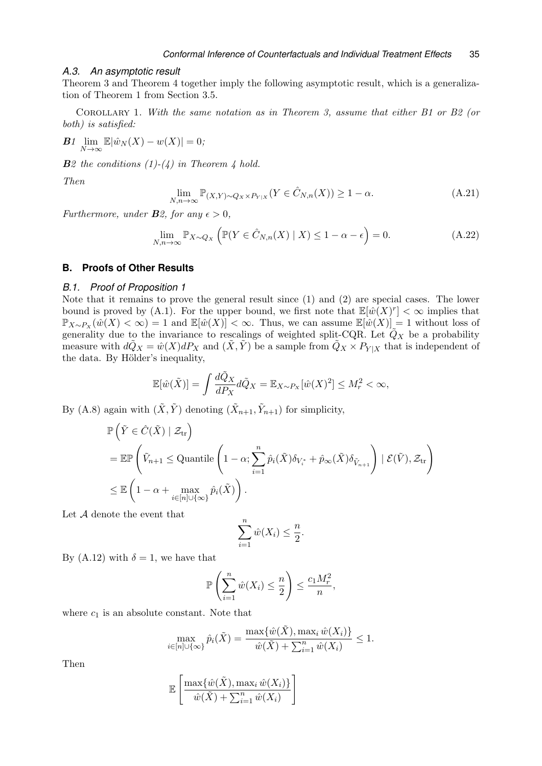#### <span id="page-34-2"></span>*A.3. An asymptotic result*

Theorem [3](#page-25-1) and Theorem [4](#page-25-5) together imply the following asymptotic result, which is a generalization of Theorem [1](#page-8-0) from Section [3.5.](#page-7-1)

Corollary 1. With the same notation as in Theorem [3,](#page-25-1) assume that either B1 or B2 (or both) is satisfied:

$$
\mathbf{B1} \lim_{N \to \infty} \mathbb{E} |\hat{w}_N(X) - w(X)| = 0;
$$

 $B2$  the conditions (1)-([4](#page-25-5)) in Theorem 4 hold.

Then

<span id="page-34-1"></span>
$$
\lim_{N,n \to \infty} \mathbb{P}_{(X,Y) \sim Q_X \times P_{Y|X}}(Y \in \hat{C}_{N,n}(X)) \ge 1 - \alpha.
$$
\n(A.21)

Furthermore, under **B**2, for any  $\epsilon > 0$ ,

$$
\lim_{N,n \to \infty} \mathbb{P}_{X \sim Q_X} \left( \mathbb{P}(Y \in \hat{C}_{N,n}(X) \mid X) \le 1 - \alpha - \epsilon \right) = 0. \tag{A.22}
$$

### <span id="page-34-0"></span>**B. Proofs of Other Results**

# *B.1. Proof of Proposition [1](#page-5-3)*

Note that it remains to prove the general result since (1) and (2) are special cases. The lower bound is proved by [\(A.1\).](#page-25-4) For the upper bound, we first note that  $\mathbb{E}[\hat{w}(X)^r] < \infty$  implies that  $\mathbb{P}_{X\sim P_X}(\hat{w}(X) < \infty) = 1$  and  $\mathbb{E}[\hat{w}(X)] < \infty$ . Thus, we can assume  $\mathbb{E}[\hat{w}(X)] = 1$  without loss of generality due to the invariance to rescalings of weighted split-CQR. Let  $\tilde{Q}_X$  be a probability measure with  $d\tilde{Q}_X = \hat{w}(X)dP_X$  and  $(\tilde{X}, \tilde{Y})$  be a sample from  $\tilde{Q}_X \times P_{Y|X}$  that is independent of the data. By Hölder's inequality,

$$
\mathbb{E}[\hat{w}(\tilde{X})] = \int \frac{d\tilde{Q}_X}{dP_X} d\tilde{Q}_X = \mathbb{E}_{X \sim P_X}[\hat{w}(X)^2] \le M_r^2 < \infty,
$$

By [\(A.8\)](#page-27-2) again with  $(\tilde{X}, \tilde{Y})$  denoting  $(\tilde{X}_{n+1}, \tilde{Y}_{n+1})$  for simplicity,

$$
\mathbb{P}\left(\tilde{Y} \in \hat{C}(\tilde{X}) \mid \mathcal{Z}_{tr}\right)
$$
\n
$$
= \mathbb{E}\mathbb{P}\left(\tilde{V}_{n+1} \le \text{Quantile}\left(1 - \alpha; \sum_{i=1}^{n} \hat{p}_i(\tilde{X})\delta_{V_i^*} + \hat{p}_{\infty}(\tilde{X})\delta_{\tilde{V}_{n+1}}\right) \mid \mathcal{E}(\tilde{V}), \mathcal{Z}_{tr}\right)
$$
\n
$$
\le \mathbb{E}\left(1 - \alpha + \max_{i \in [n] \cup \{\infty\}} \hat{p}_i(\tilde{X})\right).
$$

Let A denote the event that

$$
\sum_{i=1}^{n} \hat{w}(X_i) \leq \frac{n}{2}.
$$

By [\(A.12\)](#page-30-0) with  $\delta = 1$ , we have that

$$
\mathbb{P}\left(\sum_{i=1}^n \hat{w}(X_i) \leq \frac{n}{2}\right) \leq \frac{c_1 M_r^2}{n},
$$

where  $c_1$  is an absolute constant. Note that

$$
\max_{i \in [n] \cup \{\infty\}} \hat{p}_i(\tilde{X}) = \frac{\max\{\hat{w}(\tilde{X}), \max_i \hat{w}(X_i)\}}{\hat{w}(\tilde{X}) + \sum_{i=1}^n \hat{w}(X_i)} \le 1.
$$

Then

$$
\mathbb{E}\left[\frac{\max\{\hat{w}(\tilde{X}),\max_i \hat{w}(X_i)\}}{\hat{w}(\tilde{X}) + \sum_{i=1}^n \hat{w}(X_i)}\right]
$$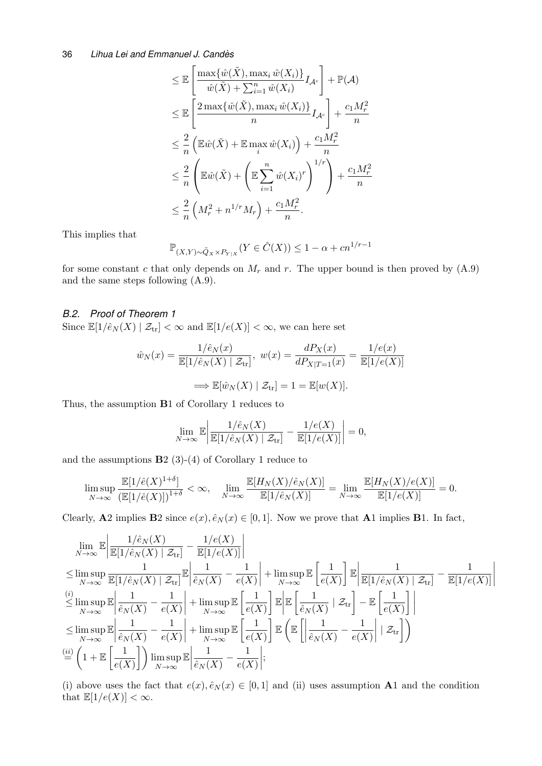$$
\leq \mathbb{E}\left[\frac{\max\{\hat{w}(\tilde{X}), \max_{i}\hat{w}(X_{i})\}}{\hat{w}(\tilde{X}) + \sum_{i=1}^{n}\hat{w}(X_{i})}I_{\mathcal{A}^{c}}\right] + \mathbb{P}(\mathcal{A})
$$
  
\n
$$
\leq \mathbb{E}\left[\frac{2\max\{\hat{w}(\tilde{X}), \max_{i}\hat{w}(X_{i})\}}{n}I_{\mathcal{A}^{c}}\right] + \frac{c_{1}M_{r}^{2}}{n}
$$
  
\n
$$
\leq \frac{2}{n}\left(\mathbb{E}\hat{w}(\tilde{X}) + \mathbb{E}\max_{i}\hat{w}(X_{i})\right) + \frac{c_{1}M_{r}^{2}}{n}
$$
  
\n
$$
\leq \frac{2}{n}\left(\mathbb{E}\hat{w}(\tilde{X}) + \left(\mathbb{E}\sum_{i=1}^{n}\hat{w}(X_{i})^{r}\right)^{1/r}\right) + \frac{c_{1}M_{r}^{2}}{n}
$$
  
\n
$$
\leq \frac{2}{n}\left(M_{r}^{2} + n^{1/r}M_{r}\right) + \frac{c_{1}M_{r}^{2}}{n}.
$$

This implies that

$$
\mathbb{P}_{(X,Y)\sim \tilde{Q}_X \times P_{Y|X}}(Y \in \hat{C}(X)) \le 1 - \alpha + cn^{1/r-1}
$$

for some constant c that only depends on  $M_r$  and r. The upper bound is then proved by  $(A.9)$ and the same steps following [\(A.9\).](#page-27-3)

## *B.2. Proof of Theorem [1](#page-8-0)*

Since  $\mathbb{E}[1/\hat{e}_N(X) | \mathcal{Z}_{tr}] < \infty$  and  $\mathbb{E}[1/e(X)] < \infty$ , we can here set

$$
\hat{w}_N(x) = \frac{1/\hat{e}_N(x)}{\mathbb{E}[1/\hat{e}_N(X) | \mathcal{Z}_{tr}]}, \ w(x) = \frac{dP_X(x)}{dP_{X|T=1}(x)} = \frac{1/e(x)}{\mathbb{E}[1/e(X)]}
$$

$$
\implies \mathbb{E}[\hat{w}_N(X) | \mathcal{Z}_{tr}] = 1 = \mathbb{E}[w(X)].
$$

Thus, the assumption B1 of Corollary [1](#page-34-1) reduces to

$$
\lim_{N \to \infty} \mathbb{E} \left| \frac{1/\hat{e}_N(X)}{\mathbb{E}[1/\hat{e}_N(X) \mid \mathcal{Z}_{\text{tr}}]} - \frac{1/e(X)}{\mathbb{E}[1/e(X)]} \right| = 0,
$$

and the assumptions  $B2(3)-(4)$  of Corollary [1](#page-34-1) reduce to

$$
\limsup_{N \to \infty} \frac{\mathbb{E}[1/\hat{e}(X)^{1+\delta}]}{\left(\mathbb{E}[1/\hat{e}(X)]\right)^{1+\delta}} < \infty, \quad \lim_{N \to \infty} \frac{\mathbb{E}[H_N(X)/\hat{e}_N(X)]}{\mathbb{E}[1/\hat{e}_N(X)]} = \lim_{N \to \infty} \frac{\mathbb{E}[H_N(X)/e(X)]}{\mathbb{E}[1/e(X)]} = 0.
$$

Clearly, A2 implies B2 since  $e(x), \hat{e}_N(x) \in [0, 1]$ . Now we prove that A1 implies B1. In fact,

$$
\lim_{N \to \infty} \mathbb{E} \left| \frac{1/\hat{e}_N(X)}{\mathbb{E}[1/\hat{e}_N(X) | \mathcal{Z}_{tr}]} - \frac{1/e(X)}{\mathbb{E}[1/e(X)]} \right|
$$
\n
$$
\leq \limsup_{N \to \infty} \frac{1}{\mathbb{E}[1/\hat{e}_N(X) | \mathcal{Z}_{tr}]} \mathbb{E} \left| \frac{1}{\hat{e}_N(X)} - \frac{1}{e(X)} \right| + \limsup_{N \to \infty} \mathbb{E} \left[ \frac{1}{e(X)} \right] \mathbb{E} \left| \frac{1}{\mathbb{E}[1/\hat{e}_N(X) | \mathcal{Z}_{tr}]} - \frac{1}{\mathbb{E}[1/e(X)]} \right|
$$
\n
$$
\leq \limsup_{N \to \infty} \mathbb{E} \left| \frac{1}{\hat{e}_N(X)} - \frac{1}{e(X)} \right| + \limsup_{N \to \infty} \mathbb{E} \left[ \frac{1}{e(X)} \right] \mathbb{E} \left| \mathbb{E} \left[ \frac{1}{\hat{e}_N(X)} | \mathcal{Z}_{tr} \right] - \mathbb{E} \left[ \frac{1}{e(X)} \right] \right|
$$
\n
$$
\leq \limsup_{N \to \infty} \mathbb{E} \left| \frac{1}{\hat{e}_N(X)} - \frac{1}{e(X)} \right| + \limsup_{N \to \infty} \mathbb{E} \left[ \frac{1}{e(X)} \right] \mathbb{E} \left( \mathbb{E} \left[ \left| \frac{1}{\hat{e}_N(X)} - \frac{1}{e(X)} \right| | \mathcal{Z}_{tr} \right] \right)
$$
\n
$$
\stackrel{(ii)}{=} \left( 1 + \mathbb{E} \left[ \frac{1}{e(X)} \right] \right) \limsup_{N \to \infty} \mathbb{E} \left| \frac{1}{\hat{e}_N(X)} - \frac{1}{e(X)} \right|;
$$

(i) above uses the fact that  $e(x), \hat{e}_N(x) \in [0,1]$  and (ii) uses assumption **A**1 and the condition that  $\mathbb{E}[1/e(X)] < \infty$ .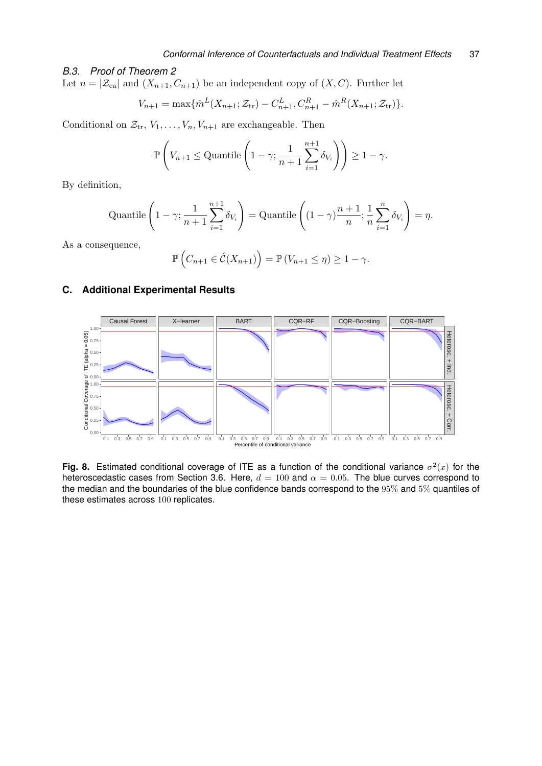# *B.3. Proof of Theorem [2](#page-14-2)*

Let  $n = \left| \mathcal{Z}_{\text{ca}} \right|$  and  $(X_{n+1}, C_{n+1})$  be an independent copy of  $(X, C)$ . Further let

$$
V_{n+1} = \max\{\hat{m}^L(X_{n+1}; \mathcal{Z}_{tr}) - C_{n+1}^L, C_{n+1}^R - \hat{m}^R(X_{n+1}; \mathcal{Z}_{tr})\}.
$$

Conditional on  $\mathcal{Z}_{tr}, V_1, \ldots, V_n, V_{n+1}$  are exchangeable. Then

$$
\mathbb{P}\left(V_{n+1} \le \text{Quantile}\left(1-\gamma; \frac{1}{n+1}\sum_{i=1}^{n+1} \delta_{V_i}\right)\right) \ge 1-\gamma.
$$

By definition,

Quantile 
$$
\left(1 - \gamma; \frac{1}{n+1} \sum_{i=1}^{n+1} \delta_{V_i}\right)
$$
 = Quantile  $\left((1 - \gamma) \frac{n+1}{n}; \frac{1}{n} \sum_{i=1}^{n} \delta_{V_i}\right) = \eta$ .

As a consequence,

<span id="page-36-1"></span>
$$
\mathbb{P}\left(C_{n+1}\in\hat{\mathcal{C}}(X_{n+1})\right)=\mathbb{P}\left(V_{n+1}\leq\eta\right)\geq1-\gamma.
$$

# <span id="page-36-0"></span>**C. Additional Experimental Results**



**Fig. 8.** Estimated conditional coverage of ITE as a function of the conditional variance  $\sigma^2(x)$  for the heteroscedastic cases from Section [3.6.](#page-8-2) Here,  $d = 100$  and  $\alpha = 0.05$ . The blue curves correspond to the median and the boundaries of the blue confidence bands correspond to the 95% and 5% quantiles of these estimates across 100 replicates.